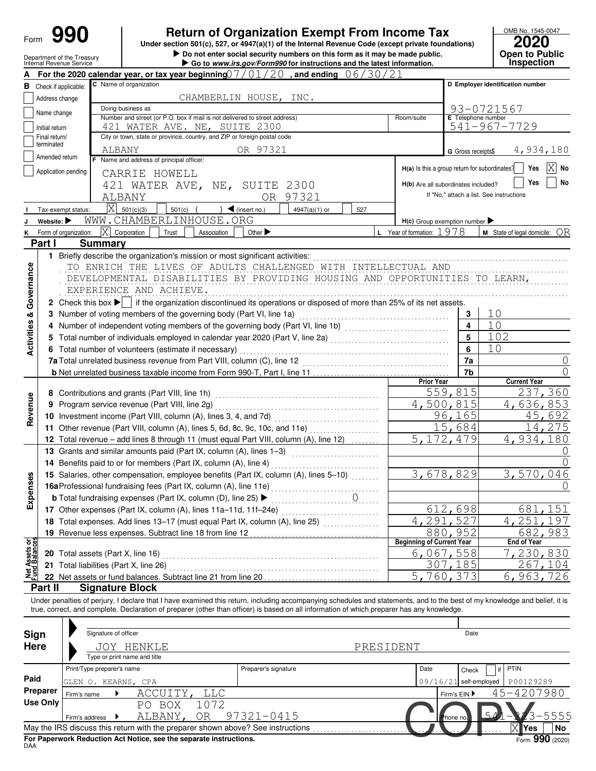| Form                           |                                |                                                        | <b>Return of Organization Exempt From Income Tax</b><br>Under section 501(c), 527, or 4947(a)(1) of the Internal Revenue Code (except private foundations)<br>Do not enter social security numbers on this form as it may be made public.                                                                                                                                                                                                                                                        |                                               | OMB No. 1545-0047<br>2020<br>Open to Public |
|--------------------------------|--------------------------------|--------------------------------------------------------|--------------------------------------------------------------------------------------------------------------------------------------------------------------------------------------------------------------------------------------------------------------------------------------------------------------------------------------------------------------------------------------------------------------------------------------------------------------------------------------------------|-----------------------------------------------|---------------------------------------------|
|                                |                                | Department of the Treasury<br>Internal Revenue Service | Go to www.irs.gov/Form990 for instructions and the latest information.                                                                                                                                                                                                                                                                                                                                                                                                                           |                                               | Inspection                                  |
|                                |                                |                                                        | For the 2020 calendar year, or tax year beginning $07/01/20$ , and ending $06/30/21$                                                                                                                                                                                                                                                                                                                                                                                                             |                                               |                                             |
|                                |                                | <b>B</b> Check if applicable:                          | C Name of organization                                                                                                                                                                                                                                                                                                                                                                                                                                                                           |                                               | D Employer identification number            |
|                                | Address change                 |                                                        | CHAMBERLIN HOUSE, INC.                                                                                                                                                                                                                                                                                                                                                                                                                                                                           |                                               |                                             |
|                                | Name change                    |                                                        | Doing business as                                                                                                                                                                                                                                                                                                                                                                                                                                                                                | E Telephone number                            | 93-0721567                                  |
|                                | Initial return                 |                                                        | Number and street (or P.O. box if mail is not delivered to street address)<br>Room/suite<br>421 WATER AVE. NE, SUITE 2300                                                                                                                                                                                                                                                                                                                                                                        |                                               | 541-967-7729                                |
|                                | Final return/                  |                                                        | City or town, state or province, country, and ZIP or foreign postal code                                                                                                                                                                                                                                                                                                                                                                                                                         |                                               |                                             |
|                                | terminated                     | 4,934,180                                              |                                                                                                                                                                                                                                                                                                                                                                                                                                                                                                  |                                               |                                             |
|                                | Amended return                 |                                                        | ALBANY<br>OR 97321<br>F Name and address of principal officer:                                                                                                                                                                                                                                                                                                                                                                                                                                   | G Gross receipts\$                            |                                             |
|                                |                                | Application pending                                    | CARRIE HOWELL                                                                                                                                                                                                                                                                                                                                                                                                                                                                                    | H(a) Is this a group return for subordinates? | ΙX<br>Yes<br>No                             |
|                                |                                |                                                        | 421 WATER AVE, NE, SUITE 2300                                                                                                                                                                                                                                                                                                                                                                                                                                                                    | H(b) Are all subordinates included?           | Yes<br>No                                   |
|                                |                                |                                                        | OR 97321<br>ALBANY                                                                                                                                                                                                                                                                                                                                                                                                                                                                               | If "No," attach a list. See instructions      |                                             |
|                                |                                | Tax-exempt status:                                     | $\overline{X}$ 501(c)(3)<br>$501(c)$ (<br>$\int$ (insert no.)<br>4947(a)(1) or<br>527                                                                                                                                                                                                                                                                                                                                                                                                            |                                               |                                             |
|                                | Website: $\blacktriangleright$ |                                                        | WWW.CHAMBERLINHOUSE.ORG                                                                                                                                                                                                                                                                                                                                                                                                                                                                          | $H(c)$ Group exemption number                 |                                             |
|                                |                                | K Form of organization:                                | $ \mathbf{X} $ Corporation<br>L Year of formation: 1978<br>Other $\blacktriangleright$<br>Trust<br>Association                                                                                                                                                                                                                                                                                                                                                                                   |                                               | <b>M</b> State of legal domicile: $OR$      |
|                                | Part I                         |                                                        | <b>Summary</b>                                                                                                                                                                                                                                                                                                                                                                                                                                                                                   |                                               |                                             |
|                                |                                |                                                        | 1 Briefly describe the organization's mission or most significant activities:                                                                                                                                                                                                                                                                                                                                                                                                                    |                                               |                                             |
| Governance<br>ಹ<br>Activities  | 3<br>4                         |                                                        | DEVELOPMENTAL DISABILITIES BY PROVIDING HOUSING AND OPPORTUNITIES TO LEARN,<br>EXPERIENCE AND ACHIEVE.<br>2 Check this box $\blacktriangleright$ if the organization discontinued its operations or disposed of more than 25% of its net assets.<br>Number of voting members of the governing body (Part VI, line 1a)<br>Number of independent voting members of the governing body (Part VI, line 1b) [1] [1] [1] Number of independent voting members of the governing body (Part VI, line 1b) | 3<br>4                                        | 10<br>10                                    |
|                                | 5                              |                                                        | Total number of individuals employed in calendar year 2020 (Part V, line 2a) [[[[[[[[[[[[[[[[[[[[[[[[[[[[[[[[                                                                                                                                                                                                                                                                                                                                                                                    | 5                                             | 102                                         |
|                                |                                |                                                        | 6 Total number of volunteers (estimate if necessary)                                                                                                                                                                                                                                                                                                                                                                                                                                             | 6                                             | 10                                          |
|                                |                                |                                                        |                                                                                                                                                                                                                                                                                                                                                                                                                                                                                                  | 7a                                            | $\cup$                                      |
|                                |                                |                                                        |                                                                                                                                                                                                                                                                                                                                                                                                                                                                                                  | 7b                                            | 0                                           |
|                                |                                |                                                        | <b>Prior Year</b>                                                                                                                                                                                                                                                                                                                                                                                                                                                                                |                                               | <b>Current Year</b>                         |
|                                |                                |                                                        | 8 Contributions and grants (Part VIII, line 1h)                                                                                                                                                                                                                                                                                                                                                                                                                                                  | 559,815                                       | 237,360                                     |
|                                | 9                              |                                                        | Program service revenue (Part VIII, line 2g)                                                                                                                                                                                                                                                                                                                                                                                                                                                     | 4,500,815                                     | 4,636,853                                   |
| Revenue                        |                                |                                                        | 10 Investment income (Part VIII, column (A), lines 3, 4, and 7d)                                                                                                                                                                                                                                                                                                                                                                                                                                 | 96,165                                        | 45,692                                      |
|                                |                                |                                                        | 11 Other revenue (Part VIII, column (A), lines 5, 6d, 8c, 9c, 10c, and 11e)                                                                                                                                                                                                                                                                                                                                                                                                                      | 15,684                                        | 14,275                                      |
|                                |                                |                                                        | 12 Total revenue - add lines 8 through 11 (must equal Part VIII, column (A), line 12)                                                                                                                                                                                                                                                                                                                                                                                                            | 5, 172, 479                                   | 4,934,180                                   |
|                                |                                |                                                        | 13 Grants and similar amounts paid (Part IX, column (A), lines 1-3)                                                                                                                                                                                                                                                                                                                                                                                                                              |                                               |                                             |
|                                |                                |                                                        | 14 Benefits paid to or for members (Part IX, column (A), line 4)                                                                                                                                                                                                                                                                                                                                                                                                                                 |                                               | 0                                           |
|                                |                                |                                                        | 15 Salaries, other compensation, employee benefits (Part IX, column (A), lines 5-10)                                                                                                                                                                                                                                                                                                                                                                                                             | 3,678,829                                     | 3,570,046                                   |
| Expenses                       |                                |                                                        | 16aProfessional fundraising fees (Part IX, column (A), line 11e)                                                                                                                                                                                                                                                                                                                                                                                                                                 |                                               |                                             |
|                                |                                |                                                        | . 0.<br><b>b</b> Total fundraising expenses (Part IX, column (D), line 25) >                                                                                                                                                                                                                                                                                                                                                                                                                     |                                               |                                             |
|                                |                                |                                                        | 17 Other expenses (Part IX, column (A), lines 11a-11d, 11f-24e)<br>.                                                                                                                                                                                                                                                                                                                                                                                                                             | 612,698                                       | .151<br>681                                 |
|                                |                                |                                                        | 18 Total expenses. Add lines 13-17 (must equal Part IX, column (A), line 25)                                                                                                                                                                                                                                                                                                                                                                                                                     | 4,291,527                                     | 4,251,<br>197                               |
|                                |                                |                                                        | 19 Revenue less expenses. Subtract line 18 from line 12                                                                                                                                                                                                                                                                                                                                                                                                                                          | 880,952                                       | 682, 983                                    |
| Net Assets or<br>Fund Balances |                                |                                                        | <b>Beginning of Current Year</b>                                                                                                                                                                                                                                                                                                                                                                                                                                                                 |                                               | <b>End of Year</b>                          |
|                                |                                |                                                        |                                                                                                                                                                                                                                                                                                                                                                                                                                                                                                  | 6,067,558                                     | 7,230,830                                   |
|                                |                                |                                                        | 21 Total liabilities (Part X, line 26)                                                                                                                                                                                                                                                                                                                                                                                                                                                           | 307,185                                       | 267,104                                     |
|                                |                                |                                                        | 22 Net assets or fund balances. Subtract line 21 from line 20                                                                                                                                                                                                                                                                                                                                                                                                                                    | 5,760,373                                     | 6,963,726                                   |
|                                | Part II                        |                                                        | <b>Signature Block</b>                                                                                                                                                                                                                                                                                                                                                                                                                                                                           |                                               |                                             |
| Sign<br><b>Here</b>            |                                |                                                        | Under penalties of perjury, I declare that I have examined this return, including accompanying schedules and statements, and to the best of my knowledge and belief, it is<br>true, correct, and complete. Declaration of preparer (other than officer) is based on all information of which preparer has any knowledge.<br>Signature of officer<br>JOY HENKLE<br>PRESIDENT                                                                                                                      | Date                                          |                                             |
|                                |                                |                                                        | Type or print name and title                                                                                                                                                                                                                                                                                                                                                                                                                                                                     |                                               |                                             |
|                                |                                |                                                        | Print/Type preparer's name<br>Preparer's signature<br>Date                                                                                                                                                                                                                                                                                                                                                                                                                                       | Check                                         | PTIN<br>if                                  |
| Paid                           |                                |                                                        | 09/16/21<br>GLEN O. KEARNS, CPA                                                                                                                                                                                                                                                                                                                                                                                                                                                                  | self-employed                                 | P00129289                                   |
|                                | <b>Preparer</b>                | Firm's name                                            | ACCUITY,<br><b>TTC</b>                                                                                                                                                                                                                                                                                                                                                                                                                                                                           | Firm's EIN                                    | 45-4207980                                  |
|                                | <b>Use Only</b>                |                                                        | PO BOX<br>1072                                                                                                                                                                                                                                                                                                                                                                                                                                                                                   |                                               |                                             |
|                                |                                | Firm's address                                         | 97321-0415<br>ALBANY,<br>OR                                                                                                                                                                                                                                                                                                                                                                                                                                                                      | hone no                                       | $\sqrt{2}$<br>5555                          |
|                                |                                |                                                        | May the IRS discuss this return with the preparer shown above? See instructions                                                                                                                                                                                                                                                                                                                                                                                                                  |                                               | Yes<br>No                                   |

| Sign        | Signature of officer                                                                   |                                                                                 |                      |           |              | Date                     |                                       |  |  |  |
|-------------|----------------------------------------------------------------------------------------|---------------------------------------------------------------------------------|----------------------|-----------|--------------|--------------------------|---------------------------------------|--|--|--|
| <b>Here</b> | Type or print name and title                                                           | HENKLE                                                                          |                      | PRESIDENT |              |                          |                                       |  |  |  |
|             | Print/Type preparer's name                                                             |                                                                                 | Preparer's signature |           | Date         | Ħ<br>Check               | <b>PTIN</b>                           |  |  |  |
| Paid        | GLEN O. KEARNS, CPA                                                                    |                                                                                 |                      |           |              | $09/16/21$ self-employed | P00129289                             |  |  |  |
| Preparer    | Firm's name                                                                            | ACCUITY,<br><b>LLC</b>                                                          |                      |           | Firm's $EIN$ |                          | 45-4207980                            |  |  |  |
| Use Only    | Firm's address                                                                         | 1072<br>BOX<br>PΟ<br>0R<br>ALBANY,                                              | 97321-0415           |           | Phone no.    |                          | -5555                                 |  |  |  |
|             |                                                                                        | May the IRS discuss this return with the preparer shown above? See instructions |                      |           |              |                          | $X$ <sup><math>Y</math>es</sup><br>No |  |  |  |
| <b>DAA</b>  | Form $990(2020)$<br>For Paperwork Reduction Act Notice, see the separate instructions. |                                                                                 |                      |           |              |                          |                                       |  |  |  |

**For Paperwork Reduction Act Notice, see the separate instructions.**<br><sub>DAA</sub>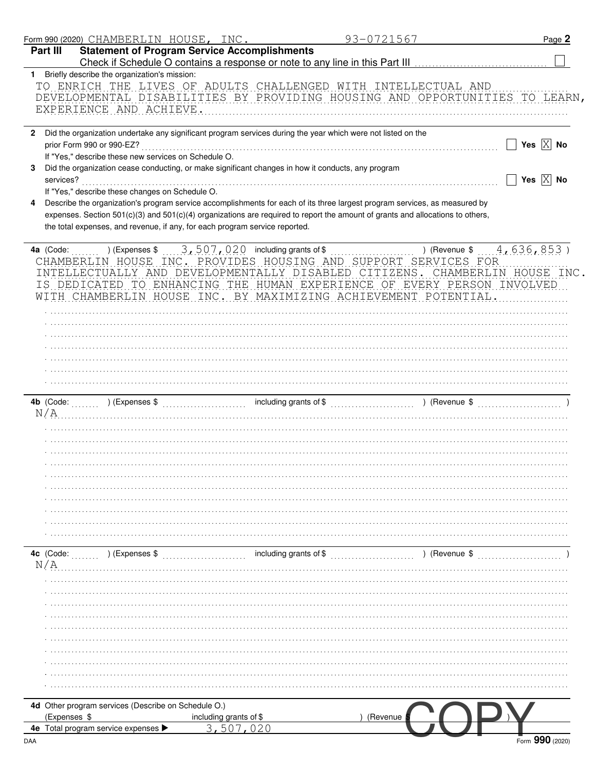|              | Form 990 (2020) CHAMBERLIN HOUSE, INC.                                                             |                                                     | 93-0721567                                                                                                                     | Page 2                                                  |
|--------------|----------------------------------------------------------------------------------------------------|-----------------------------------------------------|--------------------------------------------------------------------------------------------------------------------------------|---------------------------------------------------------|
|              | Part III                                                                                           | <b>Statement of Program Service Accomplishments</b> |                                                                                                                                |                                                         |
|              | 1 Briefly describe the organization's mission:                                                     |                                                     |                                                                                                                                |                                                         |
|              |                                                                                                    |                                                     | TO ENRICH THE LIVES OF ADULTS CHALLENGED WITH INTELLECTUAL AND                                                                 |                                                         |
|              |                                                                                                    |                                                     | DEVELOPMENTAL DISABILITIES BY PROVIDING HOUSING AND OPPORTUNITIES TO LEARN,                                                    |                                                         |
|              | EXPERIENCE AND ACHIEVE.                                                                            |                                                     |                                                                                                                                |                                                         |
|              |                                                                                                    |                                                     |                                                                                                                                |                                                         |
| $\mathbf{2}$ |                                                                                                    |                                                     | Did the organization undertake any significant program services during the year which were not listed on the                   |                                                         |
|              | prior Form 990 or 990-EZ?                                                                          |                                                     |                                                                                                                                | Yes $X$ No                                              |
|              | If "Yes," describe these new services on Schedule O.                                               |                                                     |                                                                                                                                |                                                         |
| 3            | Did the organization cease conducting, or make significant changes in how it conducts, any program |                                                     |                                                                                                                                |                                                         |
|              | services?                                                                                          |                                                     |                                                                                                                                | $\overline{\phantom{x}}$ Yes $\overline{\mathrm{X}}$ No |
|              | If "Yes," describe these changes on Schedule O.                                                    |                                                     |                                                                                                                                |                                                         |
| 4            |                                                                                                    |                                                     | Describe the organization's program service accomplishments for each of its three largest program services, as measured by     |                                                         |
|              |                                                                                                    |                                                     | expenses. Section 501(c)(3) and 501(c)(4) organizations are required to report the amount of grants and allocations to others, |                                                         |
|              | the total expenses, and revenue, if any, for each program service reported.                        |                                                     |                                                                                                                                |                                                         |
|              |                                                                                                    |                                                     |                                                                                                                                |                                                         |
|              | 4a (Code:                                                                                          |                                                     |                                                                                                                                | ) (Revenue $$4,636,853$ )                               |
|              |                                                                                                    |                                                     | CHAMBERLIN HOUSE INC. PROVIDES HOUSING AND SUPPORT SERVICES FOR                                                                |                                                         |
|              |                                                                                                    |                                                     | INTELLECTUALLY AND DEVELOPMENTALLY DISABLED CITIZENS. CHAMBERLIN HOUSE INC.                                                    |                                                         |
|              |                                                                                                    |                                                     | IS DEDICATED TO ENHANCING THE HUMAN EXPERIENCE OF EVERY PERSON INVOLVED                                                        |                                                         |
|              |                                                                                                    |                                                     | WITH CHAMBERLIN HOUSE INC. BY MAXIMIZING ACHIEVEMENT POTENTIAL.                                                                |                                                         |
|              |                                                                                                    |                                                     |                                                                                                                                |                                                         |
|              |                                                                                                    |                                                     |                                                                                                                                |                                                         |
|              |                                                                                                    |                                                     |                                                                                                                                |                                                         |
|              |                                                                                                    |                                                     |                                                                                                                                |                                                         |
|              |                                                                                                    |                                                     |                                                                                                                                |                                                         |
|              |                                                                                                    |                                                     |                                                                                                                                |                                                         |
|              |                                                                                                    |                                                     |                                                                                                                                |                                                         |
|              |                                                                                                    |                                                     |                                                                                                                                |                                                         |
| N/A          |                                                                                                    |                                                     |                                                                                                                                |                                                         |
|              |                                                                                                    |                                                     |                                                                                                                                |                                                         |
|              |                                                                                                    |                                                     |                                                                                                                                |                                                         |
|              |                                                                                                    |                                                     |                                                                                                                                |                                                         |
|              |                                                                                                    |                                                     |                                                                                                                                |                                                         |
|              |                                                                                                    |                                                     |                                                                                                                                |                                                         |
|              |                                                                                                    |                                                     |                                                                                                                                |                                                         |
|              |                                                                                                    |                                                     |                                                                                                                                |                                                         |
|              |                                                                                                    |                                                     |                                                                                                                                |                                                         |
|              |                                                                                                    |                                                     |                                                                                                                                |                                                         |
|              |                                                                                                    |                                                     |                                                                                                                                |                                                         |
|              |                                                                                                    |                                                     |                                                                                                                                |                                                         |
|              |                                                                                                    |                                                     |                                                                                                                                |                                                         |
|              | 4c (Code:<br>) (Expenses \$                                                                        | including grants of \$                              |                                                                                                                                | ) (Revenue \$                                           |
|              |                                                                                                    |                                                     |                                                                                                                                |                                                         |
|              |                                                                                                    |                                                     |                                                                                                                                |                                                         |
|              |                                                                                                    |                                                     |                                                                                                                                |                                                         |
|              |                                                                                                    |                                                     |                                                                                                                                |                                                         |
|              |                                                                                                    |                                                     |                                                                                                                                |                                                         |
|              |                                                                                                    |                                                     |                                                                                                                                |                                                         |
|              |                                                                                                    |                                                     |                                                                                                                                |                                                         |
|              |                                                                                                    |                                                     |                                                                                                                                |                                                         |
|              |                                                                                                    |                                                     |                                                                                                                                |                                                         |
| N/A          |                                                                                                    |                                                     |                                                                                                                                |                                                         |
|              |                                                                                                    |                                                     |                                                                                                                                |                                                         |
|              |                                                                                                    |                                                     |                                                                                                                                |                                                         |
|              | 4d Other program services (Describe on Schedule O.)<br>(Expenses \$                                | including grants of \$                              | (Revenue                                                                                                                       |                                                         |

Form 990 (2020)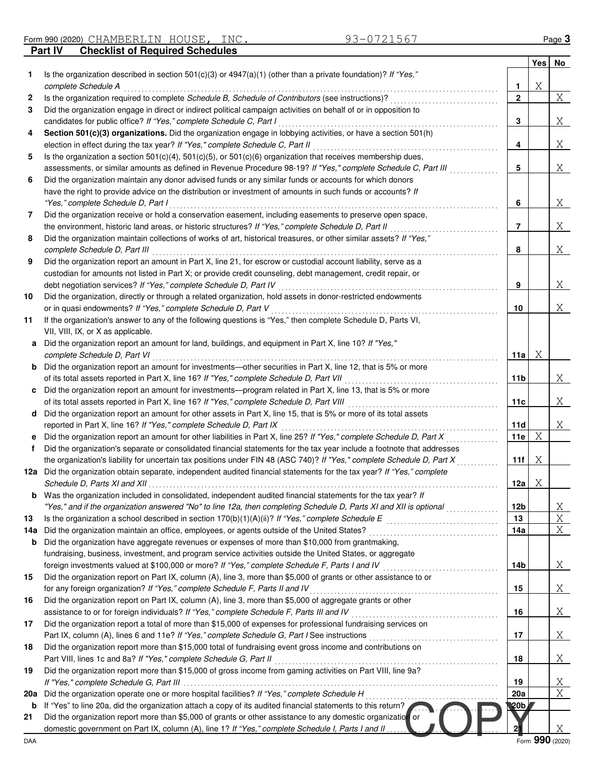| Form 990 (2020) ( | CHAMBERLIN                             | HOUSE | INC. |                           | $a$ ge $\ddot{a}$ |
|-------------------|----------------------------------------|-------|------|---------------------------|-------------------|
| Part IV           | <b>Checklist of Required Schedules</b> |       |      |                           |                   |
|                   |                                        |       |      | $\mathbf{v}$ $\mathbf{v}$ | ---               |

|        |                                                                                                                                                                                                                       |                 | Yes No          |        |
|--------|-----------------------------------------------------------------------------------------------------------------------------------------------------------------------------------------------------------------------|-----------------|-----------------|--------|
| 1.     | Is the organization described in section $501(c)(3)$ or $4947(a)(1)$ (other than a private foundation)? If "Yes,"                                                                                                     |                 |                 |        |
|        | complete Schedule A                                                                                                                                                                                                   | 1               | Χ               |        |
| 2<br>3 | Is the organization required to complete Schedule B, Schedule of Contributors (see instructions)?<br>Did the organization engage in direct or indirect political campaign activities on behalf of or in opposition to | $\mathbf{2}$    |                 | X      |
|        | candidates for public office? If "Yes," complete Schedule C, Part I                                                                                                                                                   | 3               |                 | Χ      |
| 4      | Section 501(c)(3) organizations. Did the organization engage in lobbying activities, or have a section 501(h)                                                                                                         |                 |                 |        |
|        | election in effect during the tax year? If "Yes," complete Schedule C, Part II                                                                                                                                        | 4               |                 | Χ      |
| 5      | Is the organization a section $501(c)(4)$ , $501(c)(5)$ , or $501(c)(6)$ organization that receives membership dues,                                                                                                  |                 |                 |        |
|        | assessments, or similar amounts as defined in Revenue Procedure 98-19? If "Yes," complete Schedule C, Part III                                                                                                        | 5               |                 | Χ      |
| 6      | Did the organization maintain any donor advised funds or any similar funds or accounts for which donors                                                                                                               |                 |                 |        |
|        | have the right to provide advice on the distribution or investment of amounts in such funds or accounts? If                                                                                                           |                 |                 |        |
|        | "Yes," complete Schedule D, Part I                                                                                                                                                                                    | 6               |                 | Χ      |
| 7      | Did the organization receive or hold a conservation easement, including easements to preserve open space,                                                                                                             |                 |                 |        |
|        | the environment, historic land areas, or historic structures? If "Yes," complete Schedule D, Part II                                                                                                                  | 7               |                 | Χ      |
| 8      | Did the organization maintain collections of works of art, historical treasures, or other similar assets? If "Yes,"                                                                                                   |                 |                 |        |
|        | complete Schedule D, Part III                                                                                                                                                                                         | 8               |                 | Χ      |
| 9      | Did the organization report an amount in Part X, line 21, for escrow or custodial account liability, serve as a                                                                                                       |                 |                 |        |
|        | custodian for amounts not listed in Part X; or provide credit counseling, debt management, credit repair, or                                                                                                          |                 |                 |        |
|        | debt negotiation services? If "Yes," complete Schedule D, Part IV                                                                                                                                                     | 9               |                 | Χ      |
| 10     | Did the organization, directly or through a related organization, hold assets in donor-restricted endowments                                                                                                          |                 |                 |        |
| 11     | or in quasi endowments? If "Yes," complete Schedule D, Part V<br>If the organization's answer to any of the following questions is "Yes," then complete Schedule D, Parts VI,                                         | 10              |                 | Χ      |
|        | VII, VIII, IX, or X as applicable.                                                                                                                                                                                    |                 |                 |        |
| а      | Did the organization report an amount for land, buildings, and equipment in Part X, line 10? If "Yes,"                                                                                                                |                 |                 |        |
|        | complete Schedule D, Part VI                                                                                                                                                                                          | 11a             | Χ               |        |
| b      | Did the organization report an amount for investments—other securities in Part X, line 12, that is 5% or more                                                                                                         |                 |                 |        |
|        | of its total assets reported in Part X, line 16? If "Yes," complete Schedule D, Part VII                                                                                                                              | 11 <sub>b</sub> |                 | Χ      |
| c      | Did the organization report an amount for investments—program related in Part X, line 13, that is 5% or more                                                                                                          |                 |                 |        |
|        | of its total assets reported in Part X, line 16? If "Yes," complete Schedule D, Part VIII                                                                                                                             | 11c             |                 | X      |
| d      | Did the organization report an amount for other assets in Part X, line 15, that is 5% or more of its total assets                                                                                                     |                 |                 |        |
|        | reported in Part X, line 16? If "Yes," complete Schedule D, Part IX                                                                                                                                                   | 11d             |                 | X      |
| е      | Did the organization report an amount for other liabilities in Part X, line 25? If "Yes," complete Schedule D, Part X                                                                                                 | 11e             | X               |        |
| f      | Did the organization's separate or consolidated financial statements for the tax year include a footnote that addresses                                                                                               |                 |                 |        |
|        | the organization's liability for uncertain tax positions under FIN 48 (ASC 740)? If "Yes," complete Schedule D, Part X                                                                                                | 11f             | Χ               |        |
| 12a    | Did the organization obtain separate, independent audited financial statements for the tax year? If "Yes," complete                                                                                                   |                 |                 |        |
|        | Schedule D, Parts XI and XII<br>Was the organization included in consolidated, independent audited financial statements for the tax year? If                                                                          | 12a             | Χ               |        |
|        | "Yes," and if the organization answered "No" to line 12a, then completing Schedule D, Parts XI and XII is optional                                                                                                    | 12 <sub>b</sub> |                 | Χ      |
| 13     | Is the organization a school described in section $170(b)(1)(A)(ii)?$ If "Yes," complete Schedule E                                                                                                                   | 13              |                 | Χ      |
| 14a    | Did the organization maintain an office, employees, or agents outside of the United States?                                                                                                                           | 14a             |                 | Χ      |
| b      | Did the organization have aggregate revenues or expenses of more than \$10,000 from grantmaking,                                                                                                                      |                 |                 |        |
|        | fundraising, business, investment, and program service activities outside the United States, or aggregate                                                                                                             |                 |                 |        |
|        | foreign investments valued at \$100,000 or more? If "Yes," complete Schedule F, Parts I and IV [[[[[[[[[[[[[[[                                                                                                        | 14b             |                 | Χ      |
| 15     | Did the organization report on Part IX, column (A), line 3, more than \$5,000 of grants or other assistance to or                                                                                                     |                 |                 |        |
|        | for any foreign organization? If "Yes," complete Schedule F, Parts II and IV                                                                                                                                          | 15              |                 | Χ      |
| 16     | Did the organization report on Part IX, column (A), line 3, more than \$5,000 of aggregate grants or other                                                                                                            |                 |                 |        |
|        | assistance to or for foreign individuals? If "Yes," complete Schedule F, Parts III and IV                                                                                                                             | 16              |                 | Χ      |
| 17     | Did the organization report a total of more than \$15,000 of expenses for professional fundraising services on                                                                                                        |                 |                 |        |
|        |                                                                                                                                                                                                                       | 17              |                 | Χ      |
| 18     | Did the organization report more than \$15,000 total of fundraising event gross income and contributions on                                                                                                           |                 |                 |        |
|        | Part VIII, lines 1c and 8a? If "Yes," complete Schedule G, Part II                                                                                                                                                    | 18              |                 | Χ      |
| 19     | Did the organization report more than \$15,000 of gross income from gaming activities on Part VIII, line 9a?                                                                                                          |                 |                 |        |
| 20a    | Did the organization operate one or more hospital facilities? If "Yes," complete Schedule H                                                                                                                           | 19<br>20a       |                 | Χ<br>X |
| b      | If "Yes" to line 20a, did the organization attach a copy of its audited financial statements to this return?                                                                                                          | ¶20b            |                 |        |
| 21     | Did the organization report more than \$5,000 of grants or other assistance to any domestic organization or                                                                                                           |                 |                 |        |
|        | domestic government on Part IX, column (A), line 1? If "Yes," complete Schedule I, Parts I and II                                                                                                                     |                 |                 | Χ      |
| DAA    |                                                                                                                                                                                                                       |                 | Form 990 (2020) |        |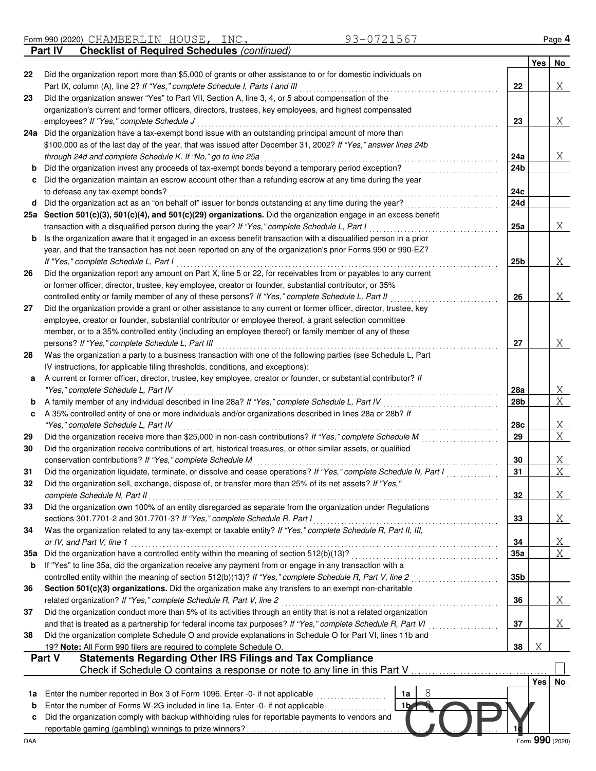Form 990 (2020) CHAMBERLIN HOUSE, INC. 93-0721567 **Part IV** Checklist of Required Schedules (continued)

|         |                                                                                                                                                                                                     |                 | Yes | No              |
|---------|-----------------------------------------------------------------------------------------------------------------------------------------------------------------------------------------------------|-----------------|-----|-----------------|
| 22      | Did the organization report more than \$5,000 of grants or other assistance to or for domestic individuals on                                                                                       |                 |     |                 |
| 23      | Part IX, column (A), line 2? If "Yes," complete Schedule I, Parts I and III<br>Did the organization answer "Yes" to Part VII, Section A, line 3, 4, or 5 about compensation of the                  | 22              |     | Χ               |
|         | organization's current and former officers, directors, trustees, key employees, and highest compensated                                                                                             |                 |     |                 |
|         | employees? If "Yes," complete Schedule J                                                                                                                                                            | 23              |     | Χ               |
| 24a     | Did the organization have a tax-exempt bond issue with an outstanding principal amount of more than                                                                                                 |                 |     |                 |
|         | \$100,000 as of the last day of the year, that was issued after December 31, 2002? If "Yes," answer lines 24b                                                                                       |                 |     |                 |
|         | through 24d and complete Schedule K. If "No," go to line 25a                                                                                                                                        | 24a             |     | Χ               |
| b       | Did the organization invest any proceeds of tax-exempt bonds beyond a temporary period exception?                                                                                                   | 24b             |     |                 |
| c       | Did the organization maintain an escrow account other than a refunding escrow at any time during the year                                                                                           |                 |     |                 |
|         | to defease any tax-exempt bonds?                                                                                                                                                                    | 24c             |     |                 |
| d       | Did the organization act as an "on behalf of" issuer for bonds outstanding at any time during the year?                                                                                             | 24d             |     |                 |
| 25а     | Section 501(c)(3), 501(c)(4), and 501(c)(29) organizations. Did the organization engage in an excess benefit                                                                                        |                 |     |                 |
|         | transaction with a disqualified person during the year? If "Yes," complete Schedule L, Part I                                                                                                       | 25a             |     | Χ               |
| b       | Is the organization aware that it engaged in an excess benefit transaction with a disqualified person in a prior                                                                                    |                 |     |                 |
|         | year, and that the transaction has not been reported on any of the organization's prior Forms 990 or 990-EZ?                                                                                        |                 |     |                 |
|         | If "Yes," complete Schedule L, Part I                                                                                                                                                               | 25 <sub>b</sub> |     | Χ               |
| 26      | Did the organization report any amount on Part X, line 5 or 22, for receivables from or payables to any current                                                                                     |                 |     |                 |
|         | or former officer, director, trustee, key employee, creator or founder, substantial contributor, or 35%                                                                                             |                 |     |                 |
|         | controlled entity or family member of any of these persons? If "Yes," complete Schedule L, Part II                                                                                                  | 26              |     | Χ               |
| 27      | Did the organization provide a grant or other assistance to any current or former officer, director, trustee, key                                                                                   |                 |     |                 |
|         | employee, creator or founder, substantial contributor or employee thereof, a grant selection committee                                                                                              |                 |     |                 |
|         | member, or to a 35% controlled entity (including an employee thereof) or family member of any of these                                                                                              |                 |     |                 |
|         | persons? If "Yes," complete Schedule L, Part III                                                                                                                                                    | 27              |     | Χ               |
| 28      | Was the organization a party to a business transaction with one of the following parties (see Schedule L, Part                                                                                      |                 |     |                 |
|         | IV instructions, for applicable filing thresholds, conditions, and exceptions):<br>A current or former officer, director, trustee, key employee, creator or founder, or substantial contributor? If |                 |     |                 |
| а       | "Yes," complete Schedule L, Part IV                                                                                                                                                                 | 28a             |     | Χ               |
| b       | A family member of any individual described in line 28a? If "Yes," complete Schedule L, Part IV                                                                                                     | 28b             |     | X               |
| c       | A 35% controlled entity of one or more individuals and/or organizations described in lines 28a or 28b? If                                                                                           |                 |     |                 |
|         | "Yes," complete Schedule L, Part IV                                                                                                                                                                 | 28c             |     | X               |
| 29      | Did the organization receive more than \$25,000 in non-cash contributions? If "Yes," complete Schedule M                                                                                            | 29              |     | $\overline{X}$  |
| 30      | Did the organization receive contributions of art, historical treasures, or other similar assets, or qualified                                                                                      |                 |     |                 |
|         | conservation contributions? If "Yes," complete Schedule M                                                                                                                                           | 30              |     | Χ               |
| 31      | Did the organization liquidate, terminate, or dissolve and cease operations? If "Yes," complete Schedule N, Part I                                                                                  | 31              |     | X               |
| 32      | Did the organization sell, exchange, dispose of, or transfer more than 25% of its net assets? If "Yes,"                                                                                             |                 |     |                 |
|         | complete Schedule N, Part II                                                                                                                                                                        | 32              |     | Χ               |
| 33      | Did the organization own 100% of an entity disregarded as separate from the organization under Regulations                                                                                          |                 |     |                 |
|         | sections 301.7701-2 and 301.7701-3? If "Yes," complete Schedule R, Part I                                                                                                                           | 33              |     | Χ               |
| 34      | Was the organization related to any tax-exempt or taxable entity? If "Yes," complete Schedule R, Part II, III,                                                                                      |                 |     |                 |
|         | or IV, and Part V, line 1                                                                                                                                                                           | 34              |     | <u>X</u>        |
| 35а     |                                                                                                                                                                                                     | 35a             |     | $\overline{X}$  |
| b       | If "Yes" to line 35a, did the organization receive any payment from or engage in any transaction with a                                                                                             |                 |     |                 |
|         | controlled entity within the meaning of section 512(b)(13)? If "Yes," complete Schedule R, Part V, line 2                                                                                           | 35 <sub>b</sub> |     |                 |
| 36      | Section 501(c)(3) organizations. Did the organization make any transfers to an exempt non-charitable                                                                                                |                 |     |                 |
|         | related organization? If "Yes," complete Schedule R, Part V, line 2                                                                                                                                 | 36              |     | Χ               |
| 37      | Did the organization conduct more than 5% of its activities through an entity that is not a related organization                                                                                    |                 |     |                 |
|         | and that is treated as a partnership for federal income tax purposes? If "Yes," complete Schedule R, Part VI                                                                                        | 37              |     | Χ               |
| 38      | Did the organization complete Schedule O and provide explanations in Schedule O for Part VI, lines 11b and                                                                                          |                 |     |                 |
|         | 19? Note: All Form 990 filers are required to complete Schedule O.<br><b>Statements Regarding Other IRS Filings and Tax Compliance</b><br>Part V                                                    | 38              | Χ   |                 |
|         | Check if Schedule O contains a response or note to any line in this Part V                                                                                                                          |                 |     |                 |
|         |                                                                                                                                                                                                     |                 | Yes |                 |
|         | 8                                                                                                                                                                                                   |                 |     | No              |
| 1a<br>b | Enter the number reported in Box 3 of Form 1096. Enter -0- if not applicable<br>1a<br>Enter the number of Forms W-2G included in line 1a. Enter -0- if not applicable<br>1 <sub>b</sub>             |                 |     |                 |
| c       | Did the organization comply with backup withholding rules for reportable payments to vendors and                                                                                                    |                 |     |                 |
|         |                                                                                                                                                                                                     |                 |     |                 |
| DAA     |                                                                                                                                                                                                     |                 |     | Form 990 (2020) |
|         |                                                                                                                                                                                                     |                 |     |                 |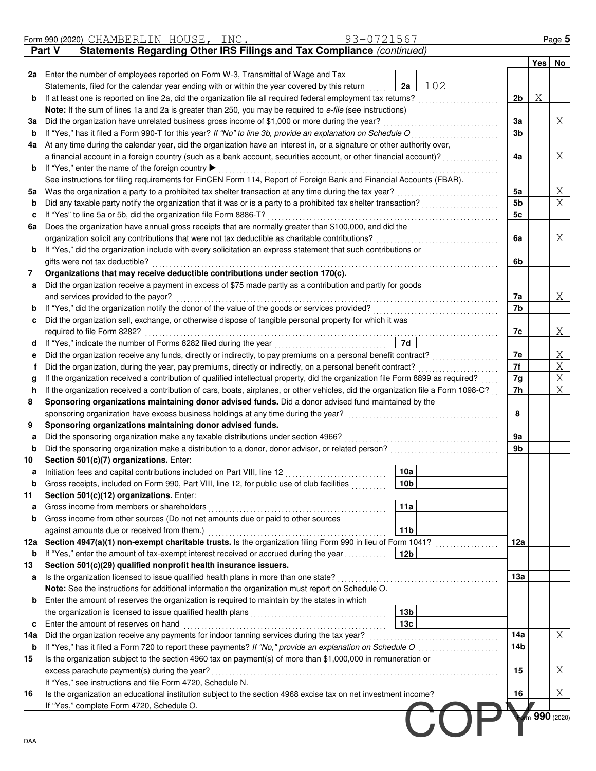|            | 93-0721567<br>Form 990 (2020) CHAMBERLIN HOUSE, INC.                                                                                                                    |                |   | Page 5       |
|------------|-------------------------------------------------------------------------------------------------------------------------------------------------------------------------|----------------|---|--------------|
|            | Statements Regarding Other IRS Filings and Tax Compliance (continued)<br>Part V                                                                                         |                |   |              |
|            |                                                                                                                                                                         |                |   | Yes No       |
|            | 2a Enter the number of employees reported on Form W-3, Transmittal of Wage and Tax                                                                                      |                |   |              |
|            | Statements, filed for the calendar year ending with or within the year covered by this return<br>2a                                                                     | 102            |   |              |
| b          | If at least one is reported on line 2a, did the organization file all required federal employment tax returns?                                                          | 2 <sub>b</sub> | Χ |              |
|            | <b>Note:</b> If the sum of lines 1a and 2a is greater than 250, you may be required to e-file (see instructions)                                                        |                |   |              |
| За         | Did the organization have unrelated business gross income of \$1,000 or more during the year?                                                                           | За             |   | Χ            |
| b          | If "Yes," has it filed a Form 990-T for this year? If "No" to line 3b, provide an explanation on Schedule O                                                             | 3 <sub>b</sub> |   |              |
| 4a         | At any time during the calendar year, did the organization have an interest in, or a signature or other authority over,                                                 |                |   |              |
|            | a financial account in a foreign country (such as a bank account, securities account, or other financial account)?<br>If "Yes," enter the name of the foreign country ▶ | 4a             |   | Χ            |
| b          | See instructions for filing requirements for FinCEN Form 114, Report of Foreign Bank and Financial Accounts (FBAR).                                                     |                |   |              |
| 5а         | Was the organization a party to a prohibited tax shelter transaction at any time during the tax year?                                                                   | 5a             |   | Χ            |
| b          | Did any taxable party notify the organization that it was or is a party to a prohibited tax shelter transaction?                                                        | 5 <sub>b</sub> |   | X            |
| c          | If "Yes" to line 5a or 5b, did the organization file Form 8886-T?                                                                                                       | 5c             |   |              |
| 6а         | Does the organization have annual gross receipts that are normally greater than \$100,000, and did the                                                                  |                |   |              |
|            | organization solicit any contributions that were not tax deductible as charitable contributions?                                                                        | 6a             |   | Χ            |
| b          | If "Yes," did the organization include with every solicitation an express statement that such contributions or                                                          |                |   |              |
|            | gifts were not tax deductible?                                                                                                                                          | 6b             |   |              |
| 7          | Organizations that may receive deductible contributions under section 170(c).                                                                                           |                |   |              |
| а          | Did the organization receive a payment in excess of \$75 made partly as a contribution and partly for goods                                                             |                |   |              |
|            | and services provided to the payor?                                                                                                                                     | 7a             |   | Χ            |
| b          | If "Yes," did the organization notify the donor of the value of the goods or services provided?                                                                         | 7b             |   |              |
| c          | Did the organization sell, exchange, or otherwise dispose of tangible personal property for which it was                                                                |                |   |              |
|            | required to file Form 8282?                                                                                                                                             | 7c             |   | Χ            |
| d          | 7d<br>If "Yes," indicate the number of Forms 8282 filed during the year                                                                                                 |                |   |              |
| е          | Did the organization receive any funds, directly or indirectly, to pay premiums on a personal benefit contract?                                                         | 7e             |   | Χ            |
| f          | Did the organization, during the year, pay premiums, directly or indirectly, on a personal benefit contract?                                                            | 7f             |   | Χ            |
| g          | If the organization received a contribution of qualified intellectual property, did the organization file Form 8899 as required?                                        | 7g             |   | Χ            |
| h          | If the organization received a contribution of cars, boats, airplanes, or other vehicles, did the organization file a Form 1098-C?                                      | 7h             |   | Χ            |
| 8          | Sponsoring organizations maintaining donor advised funds. Did a donor advised fund maintained by the                                                                    |                |   |              |
|            | sponsoring organization have excess business holdings at any time during the year?                                                                                      | 8              |   |              |
| 9          | Sponsoring organizations maintaining donor advised funds.                                                                                                               |                |   |              |
| а          | Did the sponsoring organization make any taxable distributions under section 4966?                                                                                      | 9а             |   |              |
| b          | Did the sponsoring organization make a distribution to a donor, donor advisor, or related person?                                                                       | 9b             |   |              |
| 10         | Section 501(c)(7) organizations. Enter:<br> 10a <br>Initiation fees and capital contributions included on Part VIII, line 12                                            |                |   |              |
| а<br>b     | Gross receipts, included on Form 990, Part VIII, line 12, for public use of club facilities<br>10b                                                                      |                |   |              |
| 11         | Section 501(c)(12) organizations. Enter:                                                                                                                                |                |   |              |
| а          | Gross income from members or shareholders<br>11a                                                                                                                        |                |   |              |
| b          | Gross income from other sources (Do not net amounts due or paid to other sources                                                                                        |                |   |              |
|            | 11 <sub>b</sub><br>against amounts due or received from them.)                                                                                                          |                |   |              |
| 12a        | Section 4947(a)(1) non-exempt charitable trusts. Is the organization filing Form 990 in lieu of Form 1041?                                                              | 12a            |   |              |
| b          | If "Yes," enter the amount of tax-exempt interest received or accrued during the year<br>12b                                                                            |                |   |              |
| 13         | Section 501(c)(29) qualified nonprofit health insurance issuers.                                                                                                        |                |   |              |
| a          | Is the organization licensed to issue qualified health plans in more than one state?                                                                                    | 13a            |   |              |
|            | Note: See the instructions for additional information the organization must report on Schedule O.                                                                       |                |   |              |
| b          | Enter the amount of reserves the organization is required to maintain by the states in which                                                                            |                |   |              |
|            | 13b                                                                                                                                                                     |                |   |              |
| c          | 13 <sub>c</sub><br>Enter the amount of reserves on hand                                                                                                                 |                |   |              |
| 14a        | Did the organization receive any payments for indoor tanning services during the tax year?                                                                              | 14a            |   | Χ            |
| b          | If "Yes," has it filed a Form 720 to report these payments? If "No," provide an explanation on Schedule O                                                               | 14b            |   |              |
| 15         | Is the organization subject to the section 4960 tax on payment(s) of more than \$1,000,000 in remuneration or                                                           |                |   |              |
|            | excess parachute payment(s) during the year?                                                                                                                            | 15             |   | Χ            |
|            | If "Yes," see instructions and file Form 4720, Schedule N.                                                                                                              |                |   |              |
| 16         | Is the organization an educational institution subject to the section 4968 excise tax on net investment income?                                                         | 16             |   | Χ            |
|            | If "Yes," complete Form 4720, Schedule O.                                                                                                                               |                |   |              |
|            |                                                                                                                                                                         |                |   | m 990 (2020) |
|            |                                                                                                                                                                         |                |   |              |
| <b>DAA</b> |                                                                                                                                                                         |                |   |              |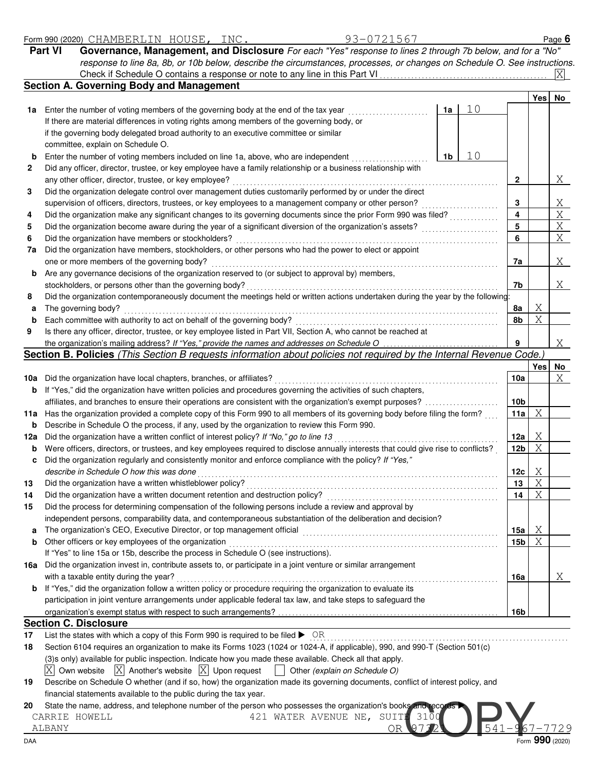| -<br>∣990 (2<br>⊢orm | (2020) | $\sim$ $\sim$ $\sim$ $\sim$ $\sim$<br>-N<br>-MF<br>к н<br>◡<br>- - - - | $\cap$ TT $\cap$ T<br>HOUSE | $- - - -$<br>$\perp$ N C | <b>Contract Contract Contract</b> | Page |  |
|----------------------|--------|------------------------------------------------------------------------|-----------------------------|--------------------------|-----------------------------------|------|--|
|----------------------|--------|------------------------------------------------------------------------|-----------------------------|--------------------------|-----------------------------------|------|--|

| Part VI | Governance, Management, and Disclosure For each "Yes" response to lines 2 through 7b below, and for a "No"                |
|---------|---------------------------------------------------------------------------------------------------------------------------|
|         | response to line 8a, 8b, or 10b below, describe the circumstances, processes, or changes on Schedule O. See instructions. |
|         | $X_{\perp}$<br>Check if Schedule O contains a response or note to any line in this Part VI                                |

|          | <b>Section A. Governing Body and Management</b>                                                                                                                                           |                         |        |    |
|----------|-------------------------------------------------------------------------------------------------------------------------------------------------------------------------------------------|-------------------------|--------|----|
|          |                                                                                                                                                                                           |                         | Yesl   | No |
|          | 10<br>1a Enter the number of voting members of the governing body at the end of the tax year<br>1a                                                                                        |                         |        |    |
|          | If there are material differences in voting rights among members of the governing body, or                                                                                                |                         |        |    |
|          | if the governing body delegated broad authority to an executive committee or similar                                                                                                      |                         |        |    |
|          | committee, explain on Schedule O.                                                                                                                                                         |                         |        |    |
| b        | 10<br>Enter the number of voting members included on line 1a, above, who are independent<br>1b                                                                                            |                         |        |    |
| 2        | Did any officer, director, trustee, or key employee have a family relationship or a business relationship with                                                                            |                         |        |    |
|          | any other officer, director, trustee, or key employee?                                                                                                                                    | 2                       |        | X  |
| 3        | Did the organization delegate control over management duties customarily performed by or under the direct                                                                                 |                         |        |    |
|          | supervision of officers, directors, trustees, or key employees to a management company or other person?                                                                                   | 3                       |        | Χ  |
| 4        | Did the organization make any significant changes to its governing documents since the prior Form 990 was filed?                                                                          | $\overline{\mathbf{4}}$ |        | X  |
| 5        | Did the organization become aware during the year of a significant diversion of the organization's assets?                                                                                | 5                       |        | Χ  |
| 6        | Did the organization have members or stockholders?                                                                                                                                        | 6                       |        | Χ  |
| 7a       | Did the organization have members, stockholders, or other persons who had the power to elect or appoint                                                                                   |                         |        |    |
|          | one or more members of the governing body?                                                                                                                                                | 7a                      |        | Χ  |
| b        | Are any governance decisions of the organization reserved to (or subject to approval by) members,                                                                                         |                         |        |    |
|          | stockholders, or persons other than the governing body?                                                                                                                                   | 7b                      |        | Χ  |
| 8        | Did the organization contemporaneously document the meetings held or written actions undertaken during the year by the following:                                                         |                         |        |    |
| a        | The governing body?                                                                                                                                                                       | 8a                      | Χ<br>Χ |    |
| b        | Each committee with authority to act on behalf of the governing body?<br>Is there any officer, director, trustee, or key employee listed in Part VII, Section A, who cannot be reached at | 8b                      |        |    |
| 9        | the organization's mailing address? If "Yes," provide the names and addresses on Schedule O                                                                                               | 9                       |        | Χ  |
|          | Section B. Policies (This Section B requests information about policies not required by the Internal Revenue Code.)                                                                       |                         |        |    |
|          |                                                                                                                                                                                           |                         | Yes    | No |
|          | 10a Did the organization have local chapters, branches, or affiliates?                                                                                                                    | 10a                     |        | Χ  |
|          | <b>b</b> If "Yes," did the organization have written policies and procedures governing the activities of such chapters,                                                                   |                         |        |    |
|          | affiliates, and branches to ensure their operations are consistent with the organization's exempt purposes?                                                                               | 10b                     |        |    |
|          | 11a Has the organization provided a complete copy of this Form 990 to all members of its governing body before filing the form?                                                           | 11a                     | Χ      |    |
| b        | Describe in Schedule O the process, if any, used by the organization to review this Form 990.                                                                                             |                         |        |    |
| 12a      | Did the organization have a written conflict of interest policy? If "No," go to line 13                                                                                                   | 12a                     | Χ      |    |
| b        | Were officers, directors, or trustees, and key employees required to disclose annually interests that could give rise to conflicts?                                                       | 12 <sub>b</sub>         | Χ      |    |
| c        | Did the organization regularly and consistently monitor and enforce compliance with the policy? If "Yes,"                                                                                 |                         |        |    |
|          | describe in Schedule O how this was done                                                                                                                                                  | 12c                     | Χ      |    |
| 13       | Did the organization have a written whistleblower policy?                                                                                                                                 | 13                      | Χ      |    |
| 14       | Did the organization have a written document retention and destruction policy?                                                                                                            | 14                      | Χ      |    |
| 15       | Did the process for determining compensation of the following persons include a review and approval by                                                                                    |                         |        |    |
|          | independent persons, comparability data, and contemporaneous substantiation of the deliberation and decision?                                                                             |                         |        |    |
| a        |                                                                                                                                                                                           | 15a                     | Χ      |    |
| b        | Other officers or key employees of the organization                                                                                                                                       | 15b                     | Χ      |    |
|          | If "Yes" to line 15a or 15b, describe the process in Schedule O (see instructions).                                                                                                       |                         |        |    |
|          | 16a Did the organization invest in, contribute assets to, or participate in a joint venture or similar arrangement                                                                        |                         |        |    |
|          | with a taxable entity during the year?                                                                                                                                                    | 16a                     |        | Χ  |
|          | <b>b</b> If "Yes," did the organization follow a written policy or procedure requiring the organization to evaluate its                                                                   |                         |        |    |
|          | participation in joint venture arrangements under applicable federal tax law, and take steps to safeguard the                                                                             |                         |        |    |
|          |                                                                                                                                                                                           | 16b                     |        |    |
|          | <b>Section C. Disclosure</b><br>List the states with which a copy of this Form 990 is required to be filed $\triangleright$ OR                                                            |                         |        |    |
| 17<br>18 | Section 6104 requires an organization to make its Forms 1023 (1024 or 1024-A, if applicable), 990, and 990-T (Section 501(c)                                                              |                         |        |    |
|          | (3)s only) available for public inspection. Indicate how you made these available. Check all that apply.                                                                                  |                         |        |    |
|          | $ X $ Another's website $ X $ Upon request<br>Own website<br>Other (explain on Schedule O)                                                                                                |                         |        |    |
| 19       | Describe on Schedule O whether (and if so, how) the organization made its governing documents, conflict of interest policy, and                                                           |                         |        |    |
|          |                                                                                                                                                                                           |                         |        |    |

financial statements available to the public during the tax year.

**20** State the name, address, and telephone number of the person who possesses the organization's books and records ARRIE HOWELL  $421$  WATER AVENUE NE, SUITE 3100 CARRIE HOWELL  $421$  water avenue ne, suiti

ALBANY CR **97321 541-967-7729**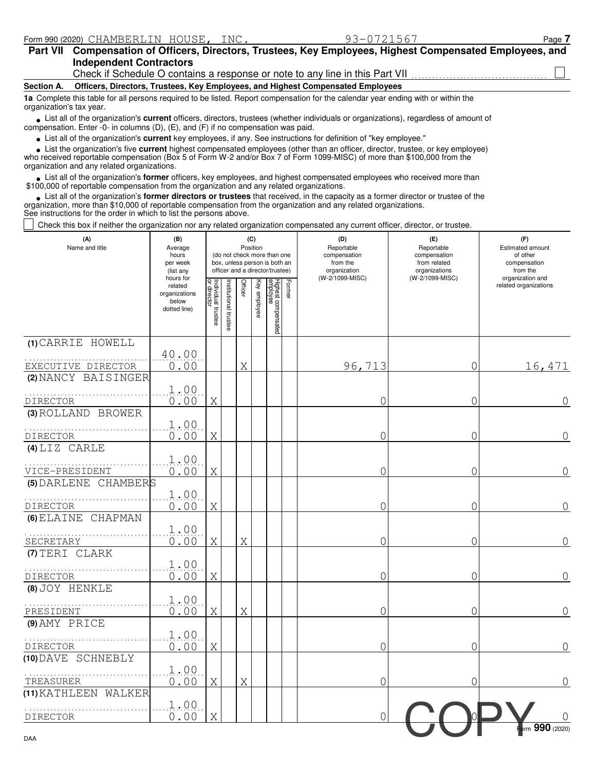| <b>Part VII</b>          | Compensation of Officers, Directors, Trustees, Key Employees, Highest Compensated Employees, and<br><b>Independent Contractors</b>                                                                                                |  |  |  |  |  |  |  |
|--------------------------|-----------------------------------------------------------------------------------------------------------------------------------------------------------------------------------------------------------------------------------|--|--|--|--|--|--|--|
|                          | Check if Schedule O contains a response or note to any line in this Part VII <i>concerential</i>                                                                                                                                  |  |  |  |  |  |  |  |
| Section A.               | Officers, Directors, Trustees, Key Employees, and Highest Compensated Employees                                                                                                                                                   |  |  |  |  |  |  |  |
| organization's tax year. | 1a Complete this table for all persons required to be listed. Report compensation for the calendar year ending with or within the                                                                                                 |  |  |  |  |  |  |  |
|                          | List all of the organization's current officers, directors, trustees (whether individuals or organizations), regardless of amount of<br>compensation. Enter -0- in columns $(D)$ , $(E)$ , and $(F)$ if no compensation was paid. |  |  |  |  |  |  |  |
|                          | الممرزما ومعرم برميالكم ومتلاوثاتهم بالمستقي ويستحون ومتراك والمستعمر ومستحدث والمستحدث واستخدمته ومستحدث والمنامية                                                                                                               |  |  |  |  |  |  |  |

List all of the organization's **current** key employees, if any. See instructions for definition of "key employee." **•**

■ List the organization's five **current** highest compensated employees (other than an officer, director, trustee, or key employee)<br> **•** Preceived reportable compensation (Box 5 of Form W-2 and/or Box 7 of Form 1099-MISC)

who received reportable compensation (Box 5 of Form W-2 and/or Box 7 of Form 1099-MISC) of more than \$100,000 from the organization and any related organizations.

• List all of the organization's **former** officers, key employees, and highest compensated employees who received more than<br>00,000 of reportable compensation from the organization and any related organizations \$100,000 of reportable compensation from the organization and any related organizations.

List all of the organization's **former directors or trustees** that received, in the capacity as a former director or trustee of the List all of the organization's **former directors or trustees** that received, in the capacity as a former director organization, more than \$10,000 of reportable compensation from the organization and any related organizatio See instructions for the order in which to list the persons above.

Check this box if neither the organization nor any related organization compensated any current officer, director, or trustee.

| (A)<br>Name and title                   | (B)<br>Average<br>hours<br>per week<br>(list any               |                                   | (C)<br>Position<br>(do not check more than one<br>box, unless person is both an<br>officer and a director/trustee) |         |              |                                 |        | (D)<br>Reportable<br>compensation<br>from the<br>organization | (E)<br>Reportable<br>compensation<br>from related<br>organizations | (F)<br>Estimated amount<br>of other<br>compensation<br>from the |
|-----------------------------------------|----------------------------------------------------------------|-----------------------------------|--------------------------------------------------------------------------------------------------------------------|---------|--------------|---------------------------------|--------|---------------------------------------------------------------|--------------------------------------------------------------------|-----------------------------------------------------------------|
|                                         | hours for<br>related<br>organizations<br>below<br>dotted line) | Individual trustee<br>or director | nstitutional trustee                                                                                               | Officer | Key employee | Highest compensated<br>employee | Former | (W-2/1099-MISC)                                               | (W-2/1099-MISC)                                                    | organization and<br>related organizations                       |
| (1) CARRIE HOWELL<br>EXECUTIVE DIRECTOR | 40.00<br>0.00                                                  |                                   |                                                                                                                    | Χ       |              |                                 |        | 96,713                                                        | 0                                                                  | 16,471                                                          |
| (2) NANCY BAISINGER<br><b>DIRECTOR</b>  | 1.00<br>0.00                                                   | Χ                                 |                                                                                                                    |         |              |                                 |        | 0                                                             | 0                                                                  | $\overline{0}$                                                  |
| (3) ROLLAND BROWER<br>DIRECTOR          | 1.00<br>0.00                                                   | Χ                                 |                                                                                                                    |         |              |                                 |        | 0                                                             | 0                                                                  | $\overline{0}$                                                  |
| $(4)$ LIZ CARLE<br>VICE-PRESIDENT       | 1.00<br>0.00                                                   | Χ                                 |                                                                                                                    |         |              |                                 |        | 0                                                             | 0                                                                  | $\overline{0}$                                                  |
| (5) DARLENE CHAMBERS<br><b>DIRECTOR</b> | 1.00<br>0.00                                                   | Χ                                 |                                                                                                                    |         |              |                                 |        | 0                                                             | 0                                                                  | $\overline{0}$                                                  |
| (6) ELAINE CHAPMAN<br>SECRETARY         | 1.00<br>0.00                                                   | Χ                                 |                                                                                                                    | Χ       |              |                                 |        | 0                                                             | 0                                                                  | 0                                                               |
| (7) TERI CLARK<br>DIRECTOR              | 1.00<br>0.00                                                   | Χ                                 |                                                                                                                    |         |              |                                 |        | 0                                                             | 0                                                                  | $\overline{0}$                                                  |
| (8) JOY HENKLE<br>PRESIDENT             | 1.00<br>0.00                                                   | Χ                                 |                                                                                                                    | Χ       |              |                                 |        | 0                                                             | 0                                                                  | $\overline{0}$                                                  |
| (9) AMY PRICE<br>DIRECTOR               | 1.00<br>0.00                                                   | Χ                                 |                                                                                                                    |         |              |                                 |        | 0                                                             | 0                                                                  | $\mathbf 0$                                                     |
| (10) DAVE SCHNEBLY<br>TREASURER         | 1.00<br>0.00                                                   | Χ                                 |                                                                                                                    | Χ       |              |                                 |        | 0                                                             | $\mathcal{O}$                                                      | $\sqrt{a}$                                                      |
| (11) KATHLEEN WALKER<br><b>DIRECTOR</b> | 1.00<br>0.00                                                   | Χ                                 |                                                                                                                    |         |              |                                 |        | $\mathcal{O}$                                                 |                                                                    |                                                                 |
| DAA                                     |                                                                |                                   |                                                                                                                    |         |              |                                 |        |                                                               |                                                                    | $_{\bullet}$ rm 990 (2020)                                      |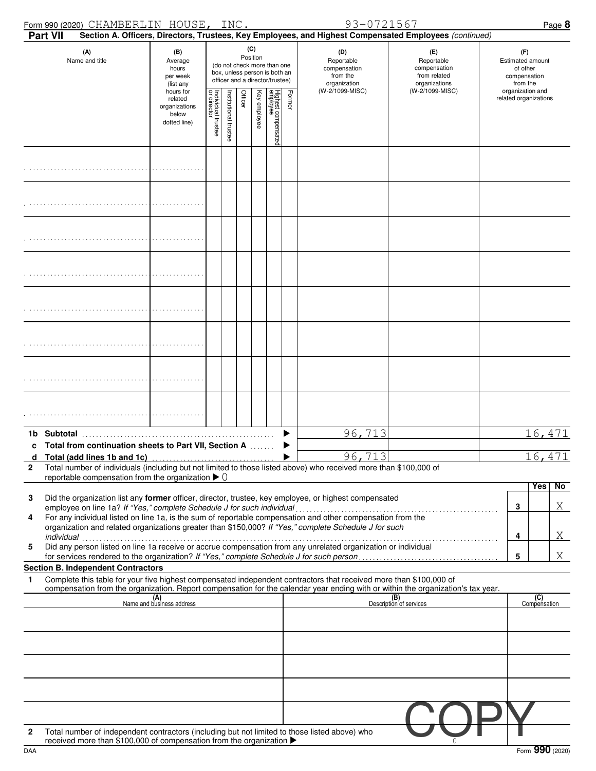|              |                 | Form 990 (2020) CHAMBERLIN HOUSE, INC.                                                              |                                                                |                                        |                      |         |                 |                                                                                                 |        | 93-0721567                                                                                                                                                                                                                                             |                                                                    |                                           |                                                                 | Page 8           |
|--------------|-----------------|-----------------------------------------------------------------------------------------------------|----------------------------------------------------------------|----------------------------------------|----------------------|---------|-----------------|-------------------------------------------------------------------------------------------------|--------|--------------------------------------------------------------------------------------------------------------------------------------------------------------------------------------------------------------------------------------------------------|--------------------------------------------------------------------|-------------------------------------------|-----------------------------------------------------------------|------------------|
|              | <b>Part VII</b> |                                                                                                     |                                                                |                                        |                      |         |                 |                                                                                                 |        | Section A. Officers, Directors, Trustees, Key Employees, and Highest Compensated Employees (continued)                                                                                                                                                 |                                                                    |                                           |                                                                 |                  |
|              |                 | (A)<br>Name and title                                                                               | (B)<br>Average<br>hours<br>per week<br>(list any               |                                        |                      |         | (C)<br>Position | (do not check more than one<br>box, unless person is both an<br>officer and a director/trustee) |        | (D)<br>Reportable<br>compensation<br>from the<br>organization                                                                                                                                                                                          | (E)<br>Reportable<br>compensation<br>from related<br>organizations |                                           | (F)<br>Estimated amount<br>of other<br>compensation<br>from the |                  |
|              |                 |                                                                                                     | hours for<br>related<br>organizations<br>below<br>dotted line) | ₽<br>Individual trustee<br>or director | nstitutional trustee | Officer | Key employee    | Highest compensated<br>employee                                                                 | Former | (W-2/1099-MISC)                                                                                                                                                                                                                                        | (W-2/1099-MISC)                                                    | organization and<br>related organizations |                                                                 |                  |
|              |                 |                                                                                                     |                                                                |                                        |                      |         |                 |                                                                                                 |        |                                                                                                                                                                                                                                                        |                                                                    |                                           |                                                                 |                  |
|              |                 |                                                                                                     |                                                                |                                        |                      |         |                 |                                                                                                 |        |                                                                                                                                                                                                                                                        |                                                                    |                                           |                                                                 |                  |
|              |                 |                                                                                                     |                                                                |                                        |                      |         |                 |                                                                                                 |        |                                                                                                                                                                                                                                                        |                                                                    |                                           |                                                                 |                  |
|              |                 |                                                                                                     |                                                                |                                        |                      |         |                 |                                                                                                 |        |                                                                                                                                                                                                                                                        |                                                                    |                                           |                                                                 |                  |
|              |                 |                                                                                                     |                                                                |                                        |                      |         |                 |                                                                                                 |        |                                                                                                                                                                                                                                                        |                                                                    |                                           |                                                                 |                  |
|              |                 |                                                                                                     |                                                                |                                        |                      |         |                 |                                                                                                 |        |                                                                                                                                                                                                                                                        |                                                                    |                                           |                                                                 |                  |
|              |                 |                                                                                                     |                                                                |                                        |                      |         |                 |                                                                                                 |        |                                                                                                                                                                                                                                                        |                                                                    |                                           |                                                                 |                  |
|              |                 |                                                                                                     |                                                                |                                        |                      |         |                 |                                                                                                 |        |                                                                                                                                                                                                                                                        |                                                                    |                                           |                                                                 |                  |
| d            |                 | 1b Subtotal<br>Total from continuation sheets to Part VII, Section A<br>Total (add lines 1b and 1c) |                                                                |                                        |                      |         |                 |                                                                                                 |        | 96,713<br>96, 713                                                                                                                                                                                                                                      |                                                                    |                                           |                                                                 | 16,471<br>16,471 |
| $\mathbf{2}$ |                 | reportable compensation from the organization $\triangleright$ 0                                    |                                                                |                                        |                      |         |                 |                                                                                                 |        | Total number of individuals (including but not limited to those listed above) who received more than \$100,000 of                                                                                                                                      |                                                                    |                                           |                                                                 |                  |
| 3            |                 |                                                                                                     |                                                                |                                        |                      |         |                 |                                                                                                 |        | Did the organization list any former officer, director, trustee, key employee, or highest compensated                                                                                                                                                  |                                                                    |                                           | <b>Yes</b>                                                      | No               |
| 4            |                 | employee on line 1a? If "Yes," complete Schedule J for such individual                              |                                                                |                                        |                      |         |                 |                                                                                                 |        | For any individual listed on line 1a, is the sum of reportable compensation and other compensation from the<br>organization and related organizations greater than \$150,000? If "Yes," complete Schedule J for such                                   |                                                                    | 3                                         |                                                                 | X                |
| 5            | individual      |                                                                                                     |                                                                |                                        |                      |         |                 |                                                                                                 |        | Did any person listed on line 1a receive or accrue compensation from any unrelated organization or individual<br>for services rendered to the organization? If "Yes," complete Schedule J for such person                                              |                                                                    | 4<br>5                                    |                                                                 | X<br>Χ           |
|              |                 | <b>Section B. Independent Contractors</b>                                                           |                                                                |                                        |                      |         |                 |                                                                                                 |        |                                                                                                                                                                                                                                                        |                                                                    |                                           |                                                                 |                  |
| 1            |                 |                                                                                                     |                                                                |                                        |                      |         |                 |                                                                                                 |        | Complete this table for your five highest compensated independent contractors that received more than \$100,000 of<br>compensation from the organization. Report compensation for the calendar year ending with or within the organization's tax year. |                                                                    |                                           |                                                                 |                  |
|              |                 |                                                                                                     | (A)<br>Name and business address                               |                                        |                      |         |                 |                                                                                                 |        |                                                                                                                                                                                                                                                        | (B)<br>Description of services                                     |                                           | (C)<br>Compensation                                             |                  |
|              |                 |                                                                                                     |                                                                |                                        |                      |         |                 |                                                                                                 |        |                                                                                                                                                                                                                                                        |                                                                    |                                           |                                                                 |                  |
|              |                 |                                                                                                     |                                                                |                                        |                      |         |                 |                                                                                                 |        |                                                                                                                                                                                                                                                        |                                                                    |                                           |                                                                 |                  |
|              |                 |                                                                                                     |                                                                |                                        |                      |         |                 |                                                                                                 |        |                                                                                                                                                                                                                                                        |                                                                    |                                           |                                                                 |                  |
|              |                 |                                                                                                     |                                                                |                                        |                      |         |                 |                                                                                                 |        |                                                                                                                                                                                                                                                        |                                                                    |                                           |                                                                 |                  |
| 2            |                 | received more than \$100,000 of compensation from the organization ▶                                |                                                                |                                        |                      |         |                 |                                                                                                 |        | Total number of independent contractors (including but not limited to those listed above) who                                                                                                                                                          |                                                                    |                                           |                                                                 |                  |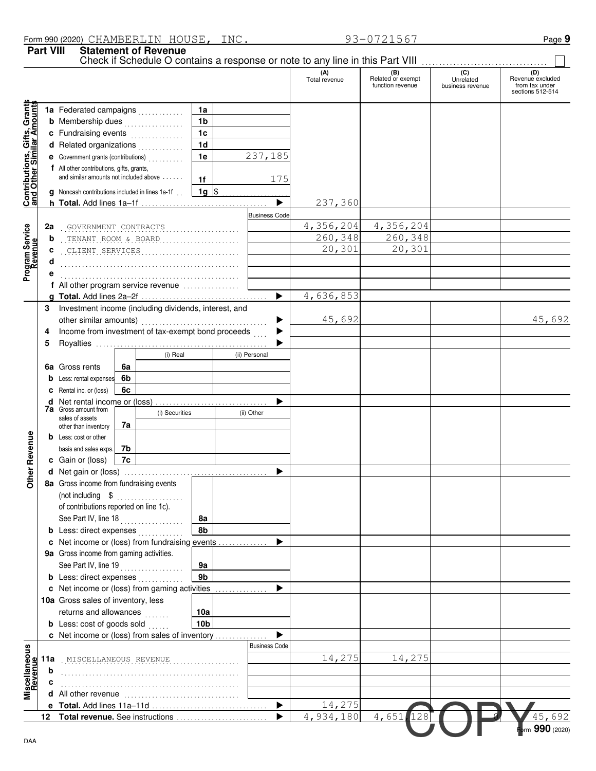**Part VIII Statement of Revenue**

|                                                                  |     |                                                                  |                 |                       | (A)                       |                                              | $\overline{C}$                |                                                        |
|------------------------------------------------------------------|-----|------------------------------------------------------------------|-----------------|-----------------------|---------------------------|----------------------------------------------|-------------------------------|--------------------------------------------------------|
|                                                                  |     |                                                                  |                 |                       | Total revenue             | (B)<br>Related or exempt<br>function revenue | Unrelated<br>business revenue | Revenue excluded<br>from tax under<br>sections 512-514 |
|                                                                  |     | 1a Federated campaigns                                           | 1a              |                       |                           |                                              |                               |                                                        |
|                                                                  |     | <b>b</b> Membership dues                                         | 1 <sub>b</sub>  |                       |                           |                                              |                               |                                                        |
|                                                                  |     | c Fundraising events                                             | 1 <sub>c</sub>  |                       |                           |                                              |                               |                                                        |
|                                                                  |     | d Related organizations                                          | 1 <sub>d</sub>  |                       |                           |                                              |                               |                                                        |
|                                                                  |     | e Government grants (contributions)                              | 1e              | 237,185               |                           |                                              |                               |                                                        |
|                                                                  |     | f All other contributions, gifts, grants,                        |                 |                       |                           |                                              |                               |                                                        |
|                                                                  |     | and similar amounts not included above                           | 1f              | 175                   |                           |                                              |                               |                                                        |
| <b>Contributions, Gifts, Grants</b><br>and Other Similar Amounts |     | <b>g</b> Noncash contributions included in lines 1a-1f           | $1g$ \$         |                       |                           |                                              |                               |                                                        |
|                                                                  |     |                                                                  |                 | ь                     | 237,360                   |                                              |                               |                                                        |
|                                                                  |     |                                                                  |                 | <b>Business Code</b>  |                           |                                              |                               |                                                        |
|                                                                  | 2a  | GOVERNMENT CONTRACTS                                             |                 |                       | 4,356,204                 | 4,356,204                                    |                               |                                                        |
|                                                                  | b   | TENANT ROOM & BOARD                                              |                 |                       | 260,348                   | 260,348                                      |                               |                                                        |
| Program Service<br>Revenue                                       | c   | CLIENT SERVICES                                                  |                 |                       | 20,301                    | 20,301                                       |                               |                                                        |
|                                                                  |     |                                                                  |                 |                       |                           |                                              |                               |                                                        |
|                                                                  |     |                                                                  |                 |                       |                           |                                              |                               |                                                        |
|                                                                  |     | f All other program service revenue                              |                 |                       |                           |                                              |                               |                                                        |
|                                                                  |     |                                                                  |                 | $\blacktriangleright$ | $\overline{4}$ , 636, 853 |                                              |                               |                                                        |
|                                                                  | 3   | Investment income (including dividends, interest, and            |                 |                       |                           |                                              |                               |                                                        |
|                                                                  |     | other similar amounts)                                           |                 |                       | 45,692                    |                                              |                               | 45,692                                                 |
|                                                                  | 4   | Income from investment of tax-exempt bond proceeds               |                 |                       |                           |                                              |                               |                                                        |
|                                                                  | 5   |                                                                  |                 |                       |                           |                                              |                               |                                                        |
|                                                                  |     | (i) Real                                                         |                 | (ii) Personal         |                           |                                              |                               |                                                        |
|                                                                  |     | 6a Gross rents<br>6a                                             |                 |                       |                           |                                              |                               |                                                        |
|                                                                  |     | 6b<br><b>b</b> Less: rental expenses                             |                 |                       |                           |                                              |                               |                                                        |
|                                                                  |     | 6c<br>C Rental inc. or (loss)                                    |                 |                       |                           |                                              |                               |                                                        |
|                                                                  |     | <b>d</b> Net rental income or (loss)                             |                 |                       |                           |                                              |                               |                                                        |
|                                                                  |     | <b>7a</b> Gross amount from<br>(i) Securities<br>sales of assets |                 | (ii) Other            |                           |                                              |                               |                                                        |
|                                                                  |     | 7a<br>other than inventory                                       |                 |                       |                           |                                              |                               |                                                        |
|                                                                  |     | <b>b</b> Less: cost or other                                     |                 |                       |                           |                                              |                               |                                                        |
|                                                                  |     | basis and sales exps.<br>7b                                      |                 |                       |                           |                                              |                               |                                                        |
|                                                                  |     | 7c<br>c Gain or (loss)                                           |                 |                       |                           |                                              |                               |                                                        |
| Other Revenue                                                    |     |                                                                  |                 |                       |                           |                                              |                               |                                                        |
|                                                                  |     | 8a Gross income from fundraising events                          |                 |                       |                           |                                              |                               |                                                        |
|                                                                  |     | (not including \$                                                |                 |                       |                           |                                              |                               |                                                        |
|                                                                  |     | of contributions reported on line 1c).                           |                 |                       |                           |                                              |                               |                                                        |
|                                                                  |     | See Part IV, line 18<br>.                                        | 8а              |                       |                           |                                              |                               |                                                        |
|                                                                  |     |                                                                  | 8b              |                       |                           |                                              |                               |                                                        |
|                                                                  |     | c Net income or (loss) from fundraising events                   |                 |                       |                           |                                              |                               |                                                        |
|                                                                  |     | 9a Gross income from gaming activities.                          |                 |                       |                           |                                              |                               |                                                        |
|                                                                  |     | See Part IV, line 19<br>.                                        | 9a              |                       |                           |                                              |                               |                                                        |
|                                                                  |     |                                                                  | 9b              |                       |                           |                                              |                               |                                                        |
|                                                                  |     | c Net income or (loss) from gaming activities                    |                 |                       |                           |                                              |                               |                                                        |
|                                                                  |     | 10a Gross sales of inventory, less                               |                 |                       |                           |                                              |                               |                                                        |
|                                                                  |     | returns and allowances                                           | 10a             |                       |                           |                                              |                               |                                                        |
|                                                                  |     | <b>b</b> Less: cost of goods sold                                | 10 <sub>b</sub> |                       |                           |                                              |                               |                                                        |
|                                                                  |     | c Net income or (loss) from sales of inventory                   |                 |                       |                           |                                              |                               |                                                        |
|                                                                  |     |                                                                  |                 | <b>Business Code</b>  |                           |                                              |                               |                                                        |
| Miscellaneous<br>Revenue                                         | 11a | MISCELLANEOUS REVENUE                                            |                 |                       | 14,275                    | 14,275                                       |                               |                                                        |
|                                                                  | b   |                                                                  |                 |                       |                           |                                              |                               |                                                        |
|                                                                  |     |                                                                  |                 |                       |                           |                                              |                               |                                                        |
|                                                                  |     |                                                                  |                 |                       |                           |                                              |                               |                                                        |
|                                                                  |     |                                                                  |                 |                       | 14,275                    |                                              |                               |                                                        |
|                                                                  |     |                                                                  |                 |                       | 4,934,180                 | 4,651<br>128                                 |                               | 45,692                                                 |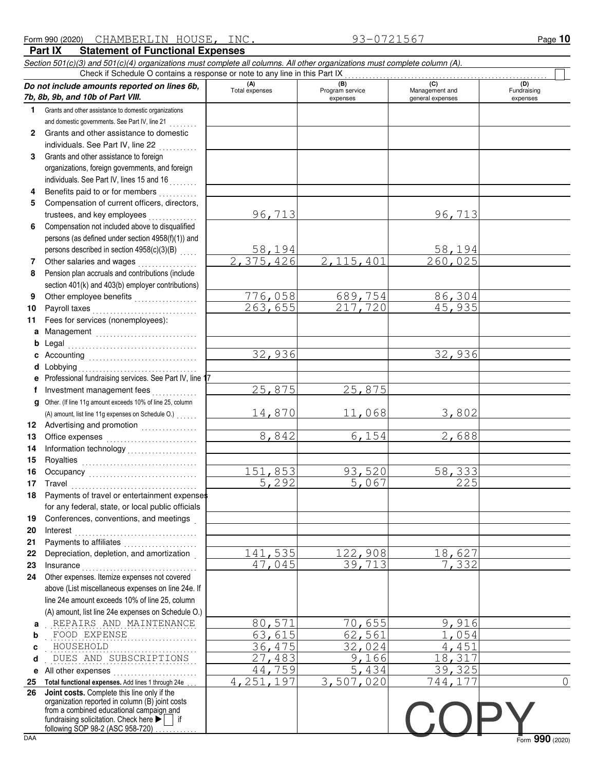| 1.                | Check if Schedule O contains a response or note to any line in this Part IX<br>Do not include amounts reported on lines 6b,<br>7b, 8b, 9b, and 10b of Part VIII.                                                                                                                                                                                                                              | (A)<br>Total expenses      | (B)             | (C)              |                 |
|-------------------|-----------------------------------------------------------------------------------------------------------------------------------------------------------------------------------------------------------------------------------------------------------------------------------------------------------------------------------------------------------------------------------------------|----------------------------|-----------------|------------------|-----------------|
|                   |                                                                                                                                                                                                                                                                                                                                                                                               |                            |                 |                  | (D)             |
|                   |                                                                                                                                                                                                                                                                                                                                                                                               |                            | Program service | Management and   | Fundraising     |
|                   |                                                                                                                                                                                                                                                                                                                                                                                               |                            | expenses        | general expenses | expenses        |
|                   | Grants and other assistance to domestic organizations                                                                                                                                                                                                                                                                                                                                         |                            |                 |                  |                 |
|                   | and domestic governments. See Part IV, line 21                                                                                                                                                                                                                                                                                                                                                |                            |                 |                  |                 |
| $\mathbf{2}$      | Grants and other assistance to domestic                                                                                                                                                                                                                                                                                                                                                       |                            |                 |                  |                 |
|                   | individuals. See Part IV, line 22                                                                                                                                                                                                                                                                                                                                                             |                            |                 |                  |                 |
| 3                 | Grants and other assistance to foreign                                                                                                                                                                                                                                                                                                                                                        |                            |                 |                  |                 |
|                   | organizations, foreign governments, and foreign                                                                                                                                                                                                                                                                                                                                               |                            |                 |                  |                 |
|                   | individuals. See Part IV, lines 15 and 16                                                                                                                                                                                                                                                                                                                                                     |                            |                 |                  |                 |
| 4                 | Benefits paid to or for members                                                                                                                                                                                                                                                                                                                                                               |                            |                 |                  |                 |
| 5                 | Compensation of current officers, directors,                                                                                                                                                                                                                                                                                                                                                  |                            |                 |                  |                 |
|                   | trustees, and key employees                                                                                                                                                                                                                                                                                                                                                                   | 96,713                     |                 | 96,713           |                 |
| 6                 | Compensation not included above to disqualified                                                                                                                                                                                                                                                                                                                                               |                            |                 |                  |                 |
|                   | persons (as defined under section 4958(f)(1)) and                                                                                                                                                                                                                                                                                                                                             |                            |                 |                  |                 |
|                   | persons described in section 4958(c)(3)(B)                                                                                                                                                                                                                                                                                                                                                    | $\frac{58,194}{2,375,426}$ |                 | 58,194           |                 |
| 7                 | Other salaries and wages                                                                                                                                                                                                                                                                                                                                                                      |                            | 2,115,401       | 260,025          |                 |
| 8                 | Pension plan accruals and contributions (include                                                                                                                                                                                                                                                                                                                                              |                            |                 |                  |                 |
|                   | section 401(k) and 403(b) employer contributions)                                                                                                                                                                                                                                                                                                                                             |                            |                 |                  |                 |
| 9                 | Other employee benefits                                                                                                                                                                                                                                                                                                                                                                       | 776,058                    | 689,754         | 86,304           |                 |
| 10                | Payroll taxes                                                                                                                                                                                                                                                                                                                                                                                 | 263,655                    | 217,720         | 45,935           |                 |
| 11                | Fees for services (nonemployees):                                                                                                                                                                                                                                                                                                                                                             |                            |                 |                  |                 |
|                   | a Management                                                                                                                                                                                                                                                                                                                                                                                  |                            |                 |                  |                 |
|                   |                                                                                                                                                                                                                                                                                                                                                                                               |                            |                 |                  |                 |
|                   |                                                                                                                                                                                                                                                                                                                                                                                               | 32,936                     |                 | 32,936           |                 |
| <b>d</b> Lobbying |                                                                                                                                                                                                                                                                                                                                                                                               |                            |                 |                  |                 |
|                   | e Professional fundraising services. See Part IV, line 17                                                                                                                                                                                                                                                                                                                                     |                            |                 |                  |                 |
| f                 | Investment management fees                                                                                                                                                                                                                                                                                                                                                                    | 25,875                     | 25,875          |                  |                 |
| g                 | Other. (If line 11g amount exceeds 10% of line 25, column                                                                                                                                                                                                                                                                                                                                     |                            | 11,068          |                  |                 |
|                   | (A) amount, list line 11g expenses on Schedule O.)<br>12 Advertising and promotion<br>                                                                                                                                                                                                                                                                                                        | 14,870                     |                 | 3,802            |                 |
| 13                | Office expenses                                                                                                                                                                                                                                                                                                                                                                               | 8,842                      | 6,154           | 2,688            |                 |
| 14                |                                                                                                                                                                                                                                                                                                                                                                                               |                            |                 |                  |                 |
| 15                |                                                                                                                                                                                                                                                                                                                                                                                               |                            |                 |                  |                 |
| 16                | Occupancy                                                                                                                                                                                                                                                                                                                                                                                     | 151,853                    | 93,520          | 58,333           |                 |
| 17                |                                                                                                                                                                                                                                                                                                                                                                                               | 5,292                      | 5,067           | 225              |                 |
| 18                | Payments of travel or entertainment expenses                                                                                                                                                                                                                                                                                                                                                  |                            |                 |                  |                 |
|                   | for any federal, state, or local public officials                                                                                                                                                                                                                                                                                                                                             |                            |                 |                  |                 |
| 19                | Conferences, conventions, and meetings                                                                                                                                                                                                                                                                                                                                                        |                            |                 |                  |                 |
| 20                | $\textbf{Interest} \hspace{0.05cm} \textbf{1} \hspace{0.05cm} \textbf{1} \hspace{0.05cm} \textbf{1} \hspace{0.05cm} \textbf{1} \hspace{0.05cm} \textbf{1} \hspace{0.05cm} \textbf{1} \hspace{0.05cm} \textbf{1} \hspace{0.05cm} \textbf{1} \hspace{0.05cm} \textbf{1} \hspace{0.05cm} \textbf{1} \hspace{0.05cm} \textbf{1} \hspace{0.05cm} \textbf{1} \hspace{0.05cm} \textbf{1} \hspace{0.$ |                            |                 |                  |                 |
| 21                | Payments to affiliates                                                                                                                                                                                                                                                                                                                                                                        |                            |                 |                  |                 |
| 22                | Depreciation, depletion, and amortization                                                                                                                                                                                                                                                                                                                                                     | 141,535                    | 122,908         | 18,627           |                 |
| 23                | $In surface \begin{tabular}{@{}l@{}} \hline \rule{0.2cm}{0.2cm} & \rule{0.2cm}{0.2cm} & \rule{0.2cm}{0.2cm} & \rule{0.2cm}{0.2cm} & \rule{0.2cm}{0.2cm} & \rule{0.2cm}{0.2cm} & \rule{0.2cm}{0.2cm} & \rule{0.2cm}{0.2cm} & \rule{0.2cm}{0.2cm} & \rule{0.2cm}{0.2cm} & \rule{0.2cm}{0.2cm} & \rule{0.2cm}{0.2cm} & \rule{0.2cm}{0.2cm} & \rule{0.2cm}{0.2cm} & \rule{0.2cm$                  | 47,045                     | 39,713          | 7,332            |                 |
| 24                | Other expenses. Itemize expenses not covered                                                                                                                                                                                                                                                                                                                                                  |                            |                 |                  |                 |
|                   | above (List miscellaneous expenses on line 24e. If                                                                                                                                                                                                                                                                                                                                            |                            |                 |                  |                 |
|                   | line 24e amount exceeds 10% of line 25, column                                                                                                                                                                                                                                                                                                                                                |                            |                 |                  |                 |
|                   | (A) amount, list line 24e expenses on Schedule O.)                                                                                                                                                                                                                                                                                                                                            |                            |                 |                  |                 |
| a                 | REPAIRS AND MAINTENANCE                                                                                                                                                                                                                                                                                                                                                                       | 80,571                     | 70,655          | 9,916            |                 |
| b                 | FOOD EXPENSE                                                                                                                                                                                                                                                                                                                                                                                  | 63,615                     | 62,561          | 1,054            |                 |
| c                 | HOUSEHOLD                                                                                                                                                                                                                                                                                                                                                                                     | 36,475                     | 32,024          | 4,451            |                 |
| d                 | DUES AND SUBSCRIPTIONS                                                                                                                                                                                                                                                                                                                                                                        | 27,483                     | 9,166           | 18,317           |                 |
| е                 | All other expenses                                                                                                                                                                                                                                                                                                                                                                            | 44,759                     | 5,434           | 39,325           |                 |
| 25                | Total functional expenses. Add lines 1 through 24e                                                                                                                                                                                                                                                                                                                                            | 4, 251, 197                | 3,507,020       | 744,177          | $\overline{0}$  |
| 26                | Joint costs. Complete this line only if the<br>organization reported in column (B) joint costs                                                                                                                                                                                                                                                                                                |                            |                 |                  |                 |
|                   | from a combined educational campaign and                                                                                                                                                                                                                                                                                                                                                      |                            |                 |                  |                 |
|                   | fundraising solicitation. Check here $\blacktriangleright$   if<br>following SOP 98-2 (ASC 958-720)                                                                                                                                                                                                                                                                                           |                            |                 |                  |                 |
| <b>DAA</b>        |                                                                                                                                                                                                                                                                                                                                                                                               |                            |                 |                  | Form 990 (2020) |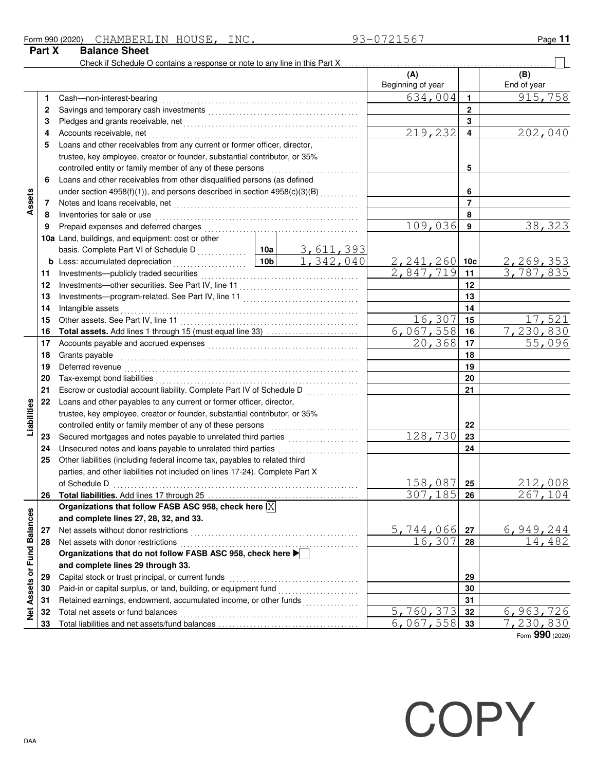| Form 990 (2020) | CHAMBERLIN           | HOUSE | INC. | 56<br>. | Page |
|-----------------|----------------------|-------|------|---------|------|
| Part X          | <b>Balance Sheet</b> |       |      |         |      |

|                             |    | Check if Schedule O contains a response or note to any line in this Part X                                                                                                                                                                                                                                                                                                                                                                                                                                                                                       |  |    |                          |                |                            |
|-----------------------------|----|------------------------------------------------------------------------------------------------------------------------------------------------------------------------------------------------------------------------------------------------------------------------------------------------------------------------------------------------------------------------------------------------------------------------------------------------------------------------------------------------------------------------------------------------------------------|--|----|--------------------------|----------------|----------------------------|
|                             |    |                                                                                                                                                                                                                                                                                                                                                                                                                                                                                                                                                                  |  |    | (A)<br>Beginning of year |                | (B)<br>End of year         |
|                             | 1. | Cash-non-interest-bearing                                                                                                                                                                                                                                                                                                                                                                                                                                                                                                                                        |  |    | 634,004                  | $\mathbf{1}$   | 915,758                    |
|                             | 2  |                                                                                                                                                                                                                                                                                                                                                                                                                                                                                                                                                                  |  |    |                          | $\mathbf{2}$   |                            |
|                             | 3  |                                                                                                                                                                                                                                                                                                                                                                                                                                                                                                                                                                  |  |    |                          | 3              |                            |
|                             | 4  |                                                                                                                                                                                                                                                                                                                                                                                                                                                                                                                                                                  |  |    | 219,232                  | 4              | 202,040                    |
|                             | 5  | Loans and other receivables from any current or former officer, director,                                                                                                                                                                                                                                                                                                                                                                                                                                                                                        |  |    |                          |                |                            |
|                             |    | trustee, key employee, creator or founder, substantial contributor, or 35%                                                                                                                                                                                                                                                                                                                                                                                                                                                                                       |  |    |                          |                |                            |
|                             |    |                                                                                                                                                                                                                                                                                                                                                                                                                                                                                                                                                                  |  |    |                          | 5              |                            |
|                             | 6  | Loans and other receivables from other disqualified persons (as defined                                                                                                                                                                                                                                                                                                                                                                                                                                                                                          |  |    |                          |                |                            |
|                             |    | under section 4958(f)(1)), and persons described in section $4958(c)(3)(B)$                                                                                                                                                                                                                                                                                                                                                                                                                                                                                      |  |    |                          | 6              |                            |
| Assets                      | 7  |                                                                                                                                                                                                                                                                                                                                                                                                                                                                                                                                                                  |  |    |                          | $\overline{7}$ |                            |
|                             | 8  | Inventories for sale or use contained and a series of the state of the state of the state of the state of the                                                                                                                                                                                                                                                                                                                                                                                                                                                    |  | 8  |                          |                |                            |
|                             | 9  |                                                                                                                                                                                                                                                                                                                                                                                                                                                                                                                                                                  |  |    | 109,036                  | 9              | 38,323                     |
|                             |    | 10a Land, buildings, and equipment: cost or other                                                                                                                                                                                                                                                                                                                                                                                                                                                                                                                |  |    |                          |                |                            |
|                             |    |                                                                                                                                                                                                                                                                                                                                                                                                                                                                                                                                                                  |  |    |                          |                |                            |
|                             |    | basis. Complete Part VI of Schedule D<br><b>b</b> Less: accumulated depreciation<br><b>b</b> Less: accumulated depreciation<br><b>10b</b><br>1, 342, 040                                                                                                                                                                                                                                                                                                                                                                                                         |  |    | $2,241,260$ 10c          |                | 2,269,353                  |
|                             | 11 |                                                                                                                                                                                                                                                                                                                                                                                                                                                                                                                                                                  |  |    | 2,847,719                | 11             | 3,787,835                  |
|                             | 12 |                                                                                                                                                                                                                                                                                                                                                                                                                                                                                                                                                                  |  |    |                          | 12             |                            |
|                             | 13 |                                                                                                                                                                                                                                                                                                                                                                                                                                                                                                                                                                  |  |    |                          | 13             |                            |
|                             | 14 |                                                                                                                                                                                                                                                                                                                                                                                                                                                                                                                                                                  |  |    |                          | 14             |                            |
|                             | 15 |                                                                                                                                                                                                                                                                                                                                                                                                                                                                                                                                                                  |  |    | 16,307                   | 15             | 17,521                     |
|                             | 16 |                                                                                                                                                                                                                                                                                                                                                                                                                                                                                                                                                                  |  |    | $6,067,558$ 16           |                | 7,230,830                  |
|                             | 17 |                                                                                                                                                                                                                                                                                                                                                                                                                                                                                                                                                                  |  |    | 20,368                   | 17             | 55,096                     |
|                             | 18 | Grants payable                                                                                                                                                                                                                                                                                                                                                                                                                                                                                                                                                   |  |    |                          | 18             |                            |
|                             | 19 |                                                                                                                                                                                                                                                                                                                                                                                                                                                                                                                                                                  |  |    |                          | 19             |                            |
|                             | 20 | Deferred revenue <b>construction construction construction construction construction construction construction construction construction construction construction construction construction construct</b>                                                                                                                                                                                                                                                                                                                                                       |  | 20 |                          |                |                            |
|                             | 21 | Escrow or custodial account liability. Complete Part IV of Schedule D                                                                                                                                                                                                                                                                                                                                                                                                                                                                                            |  | 21 |                          |                |                            |
|                             | 22 | Loans and other payables to any current or former officer, director,                                                                                                                                                                                                                                                                                                                                                                                                                                                                                             |  |    |                          |                |                            |
| Liabilities                 |    | trustee, key employee, creator or founder, substantial contributor, or 35%                                                                                                                                                                                                                                                                                                                                                                                                                                                                                       |  |    |                          |                |                            |
|                             |    |                                                                                                                                                                                                                                                                                                                                                                                                                                                                                                                                                                  |  |    |                          | 22             |                            |
|                             | 23 |                                                                                                                                                                                                                                                                                                                                                                                                                                                                                                                                                                  |  |    | 128,730                  | 23             |                            |
|                             | 24 |                                                                                                                                                                                                                                                                                                                                                                                                                                                                                                                                                                  |  |    |                          | 24             |                            |
|                             | 25 | Other liabilities (including federal income tax, payables to related third                                                                                                                                                                                                                                                                                                                                                                                                                                                                                       |  |    |                          |                |                            |
|                             |    | parties, and other liabilities not included on lines 17-24). Complete Part X                                                                                                                                                                                                                                                                                                                                                                                                                                                                                     |  |    |                          |                |                            |
|                             |    |                                                                                                                                                                                                                                                                                                                                                                                                                                                                                                                                                                  |  |    | 158,087                  | 25             | 212,008                    |
|                             | 26 | of Schedule D<br>$\qquad \qquad \ldots \qquad \qquad \ldots \qquad \qquad \ldots \qquad \qquad \ldots \qquad \qquad \ldots \qquad \ldots \qquad \ldots \qquad \ldots \qquad \ldots \qquad \ldots \qquad \ldots \qquad \ldots \qquad \ldots \qquad \ldots \qquad \ldots \qquad \ldots \qquad \ldots \qquad \ldots \qquad \ldots \qquad \ldots \qquad \ldots \qquad \ldots \qquad \ldots \qquad \ldots \qquad \ldots \qquad \ldots \qquad \ldots \qquad \ldots \qquad \ldots \qquad \ldots \qquad \ldots \qquad \ld$<br>Total liabilities. Add lines 17 through 25 |  |    | 307,185                  | 26             | 267,104                    |
|                             |    | Organizations that follow FASB ASC 958, check here $ \overline{\mathsf{X}} $                                                                                                                                                                                                                                                                                                                                                                                                                                                                                     |  |    |                          |                |                            |
|                             |    | and complete lines 27, 28, 32, and 33.                                                                                                                                                                                                                                                                                                                                                                                                                                                                                                                           |  |    |                          |                |                            |
|                             |    | Net assets without donor restrictions                                                                                                                                                                                                                                                                                                                                                                                                                                                                                                                            |  |    | 5,744,066                | 27             |                            |
|                             | 27 | Net assets with donor restrictions                                                                                                                                                                                                                                                                                                                                                                                                                                                                                                                               |  |    | 16,307                   | 28             | <u>6,949,244</u><br>14,482 |
|                             | 28 | Net assets with donor restrictions<br>Organizations that do not follow FASB ASC 958, check here ▶                                                                                                                                                                                                                                                                                                                                                                                                                                                                |  |    |                          |                |                            |
|                             |    |                                                                                                                                                                                                                                                                                                                                                                                                                                                                                                                                                                  |  |    |                          |                |                            |
|                             | 29 | and complete lines 29 through 33.                                                                                                                                                                                                                                                                                                                                                                                                                                                                                                                                |  |    |                          |                |                            |
|                             |    | Capital stock or trust principal, or current funds                                                                                                                                                                                                                                                                                                                                                                                                                                                                                                               |  |    |                          | 29             |                            |
|                             | 30 | Paid-in or capital surplus, or land, building, or equipment fund [[[[[[[[[[[[[[[[[[[[[[[[[[[[[[[[[[[                                                                                                                                                                                                                                                                                                                                                                                                                                                             |  |    |                          | 30             |                            |
| Net Assets or Fund Balances | 31 | Retained earnings, endowment, accumulated income, or other funds                                                                                                                                                                                                                                                                                                                                                                                                                                                                                                 |  |    |                          | 31             |                            |
|                             | 32 | Total net assets or fund balances                                                                                                                                                                                                                                                                                                                                                                                                                                                                                                                                |  |    | 5,760,373                | 32             | 6,963,726                  |
|                             | 33 |                                                                                                                                                                                                                                                                                                                                                                                                                                                                                                                                                                  |  |    | 6,067,558                | 33             | 7, 230, 830                |

Form **990** (2020)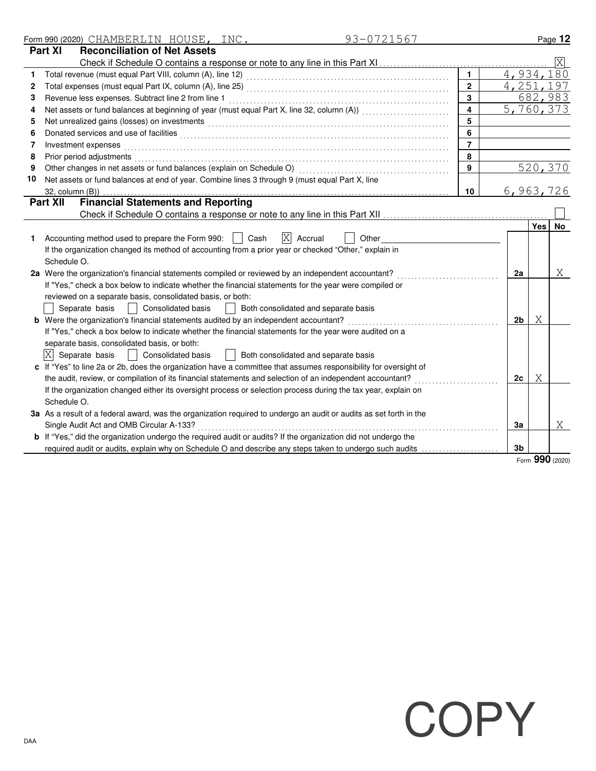|    | 93-0721567<br>Form 990 (2020) CHAMBERLIN HOUSE, INC.                                                                  |                         |                |                  | Page 12                 |
|----|-----------------------------------------------------------------------------------------------------------------------|-------------------------|----------------|------------------|-------------------------|
|    | <b>Reconciliation of Net Assets</b><br><b>Part XI</b>                                                                 |                         |                |                  |                         |
|    |                                                                                                                       |                         |                |                  | $\overline{\mathrm{X}}$ |
| 1  |                                                                                                                       | $\mathbf{1}$            | 4,934,180      |                  |                         |
| 2  |                                                                                                                       | $\overline{2}$          | 4, 251, 197    |                  |                         |
| 3  |                                                                                                                       | 3                       |                |                  | 682,983                 |
| 4  | Net assets or fund balances at beginning of year (must equal Part X, line 32, column (A))                             | $\overline{\mathbf{4}}$ | 5,760,373      |                  |                         |
| 5  |                                                                                                                       | $\overline{5}$          |                |                  |                         |
| 6  |                                                                                                                       | 6                       |                |                  |                         |
| 7  | Investment expenses                                                                                                   | $\overline{7}$          |                |                  |                         |
| 8  | Prior period adjustments                                                                                              | 8                       |                |                  |                         |
| 9  | Other changes in net assets or fund balances (explain on Schedule O)                                                  | 9                       |                |                  | 520,370                 |
| 10 | Net assets or fund balances at end of year. Combine lines 3 through 9 (must equal Part X, line                        |                         |                |                  |                         |
|    | 32, column (B))                                                                                                       | 10                      | 6,963,726      |                  |                         |
|    | <b>Financial Statements and Reporting</b><br><b>Part XII</b>                                                          |                         |                |                  |                         |
|    |                                                                                                                       |                         |                |                  |                         |
|    |                                                                                                                       |                         |                | Yes <sup>1</sup> | No                      |
|    | $\overline{X}$<br>Accounting method used to prepare the Form 990:  <br>Cash<br>Accrual<br>Other                       |                         |                |                  |                         |
|    | If the organization changed its method of accounting from a prior year or checked "Other," explain in                 |                         |                |                  |                         |
|    | Schedule O.                                                                                                           |                         |                |                  |                         |
|    | 2a Were the organization's financial statements compiled or reviewed by an independent accountant?                    |                         | 2a             |                  | X                       |
|    | If "Yes," check a box below to indicate whether the financial statements for the year were compiled or                |                         |                |                  |                         |
|    | reviewed on a separate basis, consolidated basis, or both:                                                            |                         |                |                  |                         |
|    | Both consolidated and separate basis<br>Separate basis<br><b>Consolidated basis</b>                                   |                         |                |                  |                         |
|    | <b>b</b> Were the organization's financial statements audited by an independent accountant?                           |                         | 2 <sub>b</sub> | X                |                         |
|    | If "Yes," check a box below to indicate whether the financial statements for the year were audited on a               |                         |                |                  |                         |
|    | separate basis, consolidated basis, or both:                                                                          |                         |                |                  |                         |
|    | $ X $ Separate basis<br>Consolidated basis<br>    Both consolidated and separate basis                                |                         |                |                  |                         |
|    | c If "Yes" to line 2a or 2b, does the organization have a committee that assumes responsibility for oversight of      |                         |                |                  |                         |
|    | the audit, review, or compilation of its financial statements and selection of an independent accountant?             |                         | 2c             | Χ                |                         |
|    | If the organization changed either its oversight process or selection process during the tax year, explain on         |                         |                |                  |                         |
|    | Schedule O.                                                                                                           |                         |                |                  |                         |
|    | 3a As a result of a federal award, was the organization required to undergo an audit or audits as set forth in the    |                         |                |                  |                         |
|    | Single Audit Act and OMB Circular A-133?                                                                              |                         | 3a             |                  | X                       |
|    | <b>b</b> If "Yes," did the organization undergo the required audit or audits? If the organization did not undergo the |                         |                |                  |                         |
|    | required audit or audits, explain why on Schedule O and describe any steps taken to undergo such audits               |                         | 3 <sub>b</sub> |                  |                         |

Form **990** (2020)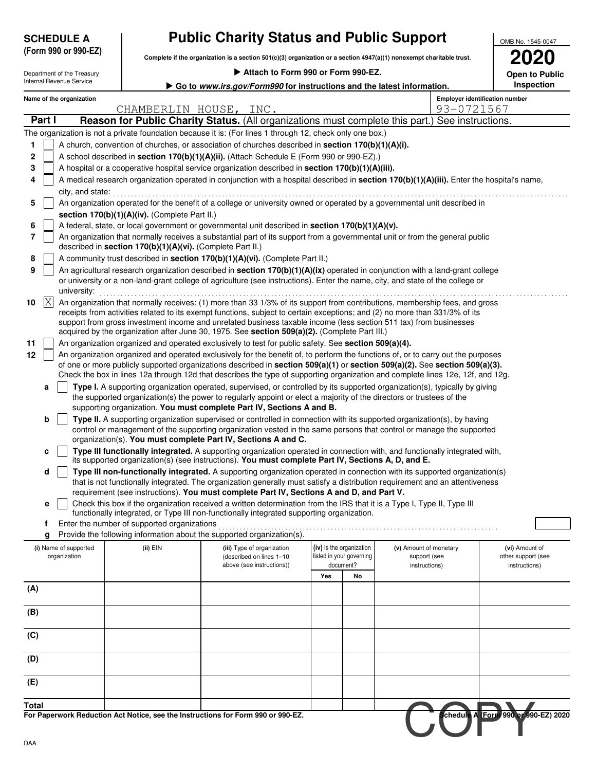| <b>SCHEDULE A</b>    |
|----------------------|
| (Form 990 or 990-EZ) |

## **Public Charity Status and Public Support**

**Complete if the organization is a section 501(c)(3) organization or a section 4947(a)(1) nonexempt charitable trust.**

| OMB No. 1545-0047 |
|-------------------|
|                   |
| <b>2020</b>       |
| Onon to Dublic    |

| Attach to Form 990 or Form 990-EZ.<br>Department of the Treasury<br>Internal Revenue Service |                                                                                                                                                                                                                                                                                                                                                                                                                                                                                                            |                                                            |                                                                                                                                                                                                                                                                                                                                                                                                                                                                                  |                          |                                        | <b>Open to Public</b>                               |                                     |  |  |  |
|----------------------------------------------------------------------------------------------|------------------------------------------------------------------------------------------------------------------------------------------------------------------------------------------------------------------------------------------------------------------------------------------------------------------------------------------------------------------------------------------------------------------------------------------------------------------------------------------------------------|------------------------------------------------------------|----------------------------------------------------------------------------------------------------------------------------------------------------------------------------------------------------------------------------------------------------------------------------------------------------------------------------------------------------------------------------------------------------------------------------------------------------------------------------------|--------------------------|----------------------------------------|-----------------------------------------------------|-------------------------------------|--|--|--|
|                                                                                              |                                                                                                                                                                                                                                                                                                                                                                                                                                                                                                            |                                                            | Go to www.irs.gov/Form990 for instructions and the latest information.                                                                                                                                                                                                                                                                                                                                                                                                           |                          |                                        |                                                     | Inspection                          |  |  |  |
|                                                                                              | Name of the organization                                                                                                                                                                                                                                                                                                                                                                                                                                                                                   | CHAMBERLIN HOUSE, INC.                                     |                                                                                                                                                                                                                                                                                                                                                                                                                                                                                  |                          |                                        | <b>Employer identification number</b><br>93-0721567 |                                     |  |  |  |
| Part I                                                                                       |                                                                                                                                                                                                                                                                                                                                                                                                                                                                                                            |                                                            | Reason for Public Charity Status. (All organizations must complete this part.) See instructions.                                                                                                                                                                                                                                                                                                                                                                                 |                          |                                        |                                                     |                                     |  |  |  |
|                                                                                              |                                                                                                                                                                                                                                                                                                                                                                                                                                                                                                            |                                                            | The organization is not a private foundation because it is: (For lines 1 through 12, check only one box.)                                                                                                                                                                                                                                                                                                                                                                        |                          |                                        |                                                     |                                     |  |  |  |
| 1                                                                                            |                                                                                                                                                                                                                                                                                                                                                                                                                                                                                                            |                                                            | A church, convention of churches, or association of churches described in section 170(b)(1)(A)(i).                                                                                                                                                                                                                                                                                                                                                                               |                          |                                        |                                                     |                                     |  |  |  |
| $\mathbf 2$                                                                                  |                                                                                                                                                                                                                                                                                                                                                                                                                                                                                                            |                                                            | A school described in section 170(b)(1)(A)(ii). (Attach Schedule E (Form 990 or 990-EZ).)                                                                                                                                                                                                                                                                                                                                                                                        |                          |                                        |                                                     |                                     |  |  |  |
| 3                                                                                            |                                                                                                                                                                                                                                                                                                                                                                                                                                                                                                            |                                                            | A hospital or a cooperative hospital service organization described in section 170(b)(1)(A)(iii).                                                                                                                                                                                                                                                                                                                                                                                |                          |                                        |                                                     |                                     |  |  |  |
| 4                                                                                            |                                                                                                                                                                                                                                                                                                                                                                                                                                                                                                            |                                                            | A medical research organization operated in conjunction with a hospital described in section 170(b)(1)(A)(iii). Enter the hospital's name,                                                                                                                                                                                                                                                                                                                                       |                          |                                        |                                                     |                                     |  |  |  |
|                                                                                              | city, and state:                                                                                                                                                                                                                                                                                                                                                                                                                                                                                           |                                                            |                                                                                                                                                                                                                                                                                                                                                                                                                                                                                  |                          |                                        |                                                     |                                     |  |  |  |
| 5                                                                                            |                                                                                                                                                                                                                                                                                                                                                                                                                                                                                                            |                                                            | An organization operated for the benefit of a college or university owned or operated by a governmental unit described in                                                                                                                                                                                                                                                                                                                                                        |                          |                                        |                                                     |                                     |  |  |  |
| 6                                                                                            |                                                                                                                                                                                                                                                                                                                                                                                                                                                                                                            | section 170(b)(1)(A)(iv). (Complete Part II.)              | A federal, state, or local government or governmental unit described in section 170(b)(1)(A)(v).                                                                                                                                                                                                                                                                                                                                                                                 |                          |                                        |                                                     |                                     |  |  |  |
| 7                                                                                            |                                                                                                                                                                                                                                                                                                                                                                                                                                                                                                            |                                                            | An organization that normally receives a substantial part of its support from a governmental unit or from the general public                                                                                                                                                                                                                                                                                                                                                     |                          |                                        |                                                     |                                     |  |  |  |
|                                                                                              |                                                                                                                                                                                                                                                                                                                                                                                                                                                                                                            | described in section 170(b)(1)(A)(vi). (Complete Part II.) |                                                                                                                                                                                                                                                                                                                                                                                                                                                                                  |                          |                                        |                                                     |                                     |  |  |  |
| 8                                                                                            |                                                                                                                                                                                                                                                                                                                                                                                                                                                                                                            |                                                            | A community trust described in section 170(b)(1)(A)(vi). (Complete Part II.)                                                                                                                                                                                                                                                                                                                                                                                                     |                          |                                        |                                                     |                                     |  |  |  |
| 9                                                                                            | university:                                                                                                                                                                                                                                                                                                                                                                                                                                                                                                |                                                            | An agricultural research organization described in section 170(b)(1)(A)(ix) operated in conjunction with a land-grant college<br>or university or a non-land-grant college of agriculture (see instructions). Enter the name, city, and state of the college or                                                                                                                                                                                                                  |                          |                                        |                                                     |                                     |  |  |  |
| X <br>10                                                                                     |                                                                                                                                                                                                                                                                                                                                                                                                                                                                                                            |                                                            | An organization that normally receives: (1) more than 33 1/3% of its support from contributions, membership fees, and gross<br>receipts from activities related to its exempt functions, subject to certain exceptions; and (2) no more than 331/3% of its<br>support from gross investment income and unrelated business taxable income (less section 511 tax) from businesses<br>acquired by the organization after June 30, 1975. See section 509(a)(2). (Complete Part III.) |                          |                                        |                                                     |                                     |  |  |  |
| 11                                                                                           |                                                                                                                                                                                                                                                                                                                                                                                                                                                                                                            |                                                            |                                                                                                                                                                                                                                                                                                                                                                                                                                                                                  |                          |                                        |                                                     |                                     |  |  |  |
| 12                                                                                           | An organization organized and operated exclusively to test for public safety. See section 509(a)(4).<br>An organization organized and operated exclusively for the benefit of, to perform the functions of, or to carry out the purposes<br>of one or more publicly supported organizations described in section 509(a)(1) or section 509(a)(2). See section 509(a)(3).<br>Check the box in lines 12a through 12d that describes the type of supporting organization and complete lines 12e, 12f, and 12g. |                                                            |                                                                                                                                                                                                                                                                                                                                                                                                                                                                                  |                          |                                        |                                                     |                                     |  |  |  |
| а                                                                                            |                                                                                                                                                                                                                                                                                                                                                                                                                                                                                                            |                                                            | Type I. A supporting organization operated, supervised, or controlled by its supported organization(s), typically by giving<br>the supported organization(s) the power to regularly appoint or elect a majority of the directors or trustees of the                                                                                                                                                                                                                              |                          |                                        |                                                     |                                     |  |  |  |
|                                                                                              |                                                                                                                                                                                                                                                                                                                                                                                                                                                                                                            |                                                            | supporting organization. You must complete Part IV, Sections A and B.                                                                                                                                                                                                                                                                                                                                                                                                            |                          |                                        |                                                     |                                     |  |  |  |
| b                                                                                            |                                                                                                                                                                                                                                                                                                                                                                                                                                                                                                            |                                                            | Type II. A supporting organization supervised or controlled in connection with its supported organization(s), by having                                                                                                                                                                                                                                                                                                                                                          |                          |                                        |                                                     |                                     |  |  |  |
|                                                                                              |                                                                                                                                                                                                                                                                                                                                                                                                                                                                                                            |                                                            | control or management of the supporting organization vested in the same persons that control or manage the supported<br>organization(s). You must complete Part IV, Sections A and C.                                                                                                                                                                                                                                                                                            |                          |                                        |                                                     |                                     |  |  |  |
| c                                                                                            |                                                                                                                                                                                                                                                                                                                                                                                                                                                                                                            |                                                            | Type III functionally integrated. A supporting organization operated in connection with, and functionally integrated with,<br>its supported organization(s) (see instructions). You must complete Part IV, Sections A, D, and E.                                                                                                                                                                                                                                                 |                          |                                        |                                                     |                                     |  |  |  |
| d                                                                                            |                                                                                                                                                                                                                                                                                                                                                                                                                                                                                                            |                                                            | Type III non-functionally integrated. A supporting organization operated in connection with its supported organization(s)<br>that is not functionally integrated. The organization generally must satisfy a distribution requirement and an attentiveness                                                                                                                                                                                                                        |                          |                                        |                                                     |                                     |  |  |  |
|                                                                                              |                                                                                                                                                                                                                                                                                                                                                                                                                                                                                                            |                                                            | requirement (see instructions). You must complete Part IV, Sections A and D, and Part V.<br>Check this box if the organization received a written determination from the IRS that it is a Type I, Type II, Type III                                                                                                                                                                                                                                                              |                          |                                        |                                                     |                                     |  |  |  |
|                                                                                              |                                                                                                                                                                                                                                                                                                                                                                                                                                                                                                            |                                                            | functionally integrated, or Type III non-functionally integrated supporting organization.                                                                                                                                                                                                                                                                                                                                                                                        |                          |                                        |                                                     |                                     |  |  |  |
| f                                                                                            |                                                                                                                                                                                                                                                                                                                                                                                                                                                                                                            | Enter the number of supported organizations                |                                                                                                                                                                                                                                                                                                                                                                                                                                                                                  |                          |                                        |                                                     |                                     |  |  |  |
| g                                                                                            |                                                                                                                                                                                                                                                                                                                                                                                                                                                                                                            | $(ii)$ EIN                                                 | Provide the following information about the supported organization(s).                                                                                                                                                                                                                                                                                                                                                                                                           | (iv) Is the organization |                                        |                                                     | (vi) Amount of                      |  |  |  |
|                                                                                              | (i) Name of supported<br>organization                                                                                                                                                                                                                                                                                                                                                                                                                                                                      |                                                            | (iii) Type of organization<br>(described on lines 1-10                                                                                                                                                                                                                                                                                                                                                                                                                           | listed in your governing | (v) Amount of monetary<br>support (see |                                                     | other support (see                  |  |  |  |
|                                                                                              |                                                                                                                                                                                                                                                                                                                                                                                                                                                                                                            |                                                            | above (see instructions))                                                                                                                                                                                                                                                                                                                                                                                                                                                        | document?                | instructions)                          |                                                     | instructions)                       |  |  |  |
|                                                                                              |                                                                                                                                                                                                                                                                                                                                                                                                                                                                                                            |                                                            |                                                                                                                                                                                                                                                                                                                                                                                                                                                                                  | Yes<br>No                |                                        |                                                     |                                     |  |  |  |
| (A)                                                                                          |                                                                                                                                                                                                                                                                                                                                                                                                                                                                                                            |                                                            |                                                                                                                                                                                                                                                                                                                                                                                                                                                                                  |                          |                                        |                                                     |                                     |  |  |  |
| (B)                                                                                          |                                                                                                                                                                                                                                                                                                                                                                                                                                                                                                            |                                                            |                                                                                                                                                                                                                                                                                                                                                                                                                                                                                  |                          |                                        |                                                     |                                     |  |  |  |
| (C)                                                                                          |                                                                                                                                                                                                                                                                                                                                                                                                                                                                                                            |                                                            |                                                                                                                                                                                                                                                                                                                                                                                                                                                                                  |                          |                                        |                                                     |                                     |  |  |  |
| (D)                                                                                          |                                                                                                                                                                                                                                                                                                                                                                                                                                                                                                            |                                                            |                                                                                                                                                                                                                                                                                                                                                                                                                                                                                  |                          |                                        |                                                     |                                     |  |  |  |
| (E)                                                                                          |                                                                                                                                                                                                                                                                                                                                                                                                                                                                                                            |                                                            |                                                                                                                                                                                                                                                                                                                                                                                                                                                                                  |                          |                                        |                                                     |                                     |  |  |  |
| <b>Total</b>                                                                                 |                                                                                                                                                                                                                                                                                                                                                                                                                                                                                                            |                                                            |                                                                                                                                                                                                                                                                                                                                                                                                                                                                                  |                          |                                        |                                                     |                                     |  |  |  |
|                                                                                              |                                                                                                                                                                                                                                                                                                                                                                                                                                                                                                            |                                                            | For Paperwork Reduction Act Notice, see the Instructions for Form 990 or 990-EZ.                                                                                                                                                                                                                                                                                                                                                                                                 |                          |                                        |                                                     | chedule A (Form 990 or 990-EZ) 2020 |  |  |  |
| DAA                                                                                          |                                                                                                                                                                                                                                                                                                                                                                                                                                                                                                            |                                                            |                                                                                                                                                                                                                                                                                                                                                                                                                                                                                  |                          |                                        |                                                     |                                     |  |  |  |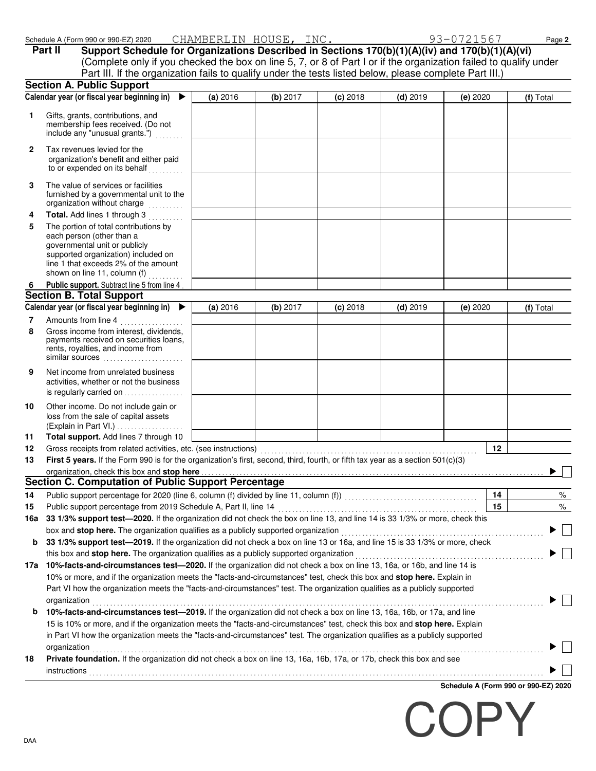|              | Part II      | Schedule A (Form 990 or 990-EZ) 2020<br>Support Schedule for Organizations Described in Sections 170(b)(1)(A)(iv) and 170(b)(1)(A)(vi)<br>(Complete only if you checked the box on line 5, 7, or 8 of Part I or if the organization failed to qualify under<br>Part III. If the organization fails to qualify under the tests listed below, please complete Part III.) | CHAMBERLIN HOUSE, INC. |          |            |            | 93-0721567                  | Page 2    |
|--------------|--------------|------------------------------------------------------------------------------------------------------------------------------------------------------------------------------------------------------------------------------------------------------------------------------------------------------------------------------------------------------------------------|------------------------|----------|------------|------------|-----------------------------|-----------|
|              |              | <b>Section A. Public Support</b>                                                                                                                                                                                                                                                                                                                                       |                        |          |            |            |                             |           |
|              |              | Calendar year (or fiscal year beginning in)<br>$\blacktriangleright$                                                                                                                                                                                                                                                                                                   | (a) 2016               | (b) 2017 | $(c)$ 2018 | $(d)$ 2019 | (e) 2020                    | (f) Total |
| 1.           |              | Gifts, grants, contributions, and<br>membership fees received. (Do not<br>include any "unusual grants.")                                                                                                                                                                                                                                                               |                        |          |            |            |                             |           |
| $\mathbf{2}$ |              | Tax revenues levied for the<br>organization's benefit and either paid<br>to or expended on its behalf                                                                                                                                                                                                                                                                  |                        |          |            |            |                             |           |
| 3            |              | The value of services or facilities<br>furnished by a governmental unit to the<br>organization without charge                                                                                                                                                                                                                                                          |                        |          |            |            |                             |           |
| 4            |              | Total. Add lines 1 through 3                                                                                                                                                                                                                                                                                                                                           |                        |          |            |            |                             |           |
| 5            |              | The portion of total contributions by                                                                                                                                                                                                                                                                                                                                  |                        |          |            |            |                             |           |
|              |              | each person (other than a<br>governmental unit or publicly<br>supported organization) included on<br>line 1 that exceeds 2% of the amount<br>shown on line 11, column (f)                                                                                                                                                                                              |                        |          |            |            |                             |           |
| 6            |              | Public support. Subtract line 5 from line 4                                                                                                                                                                                                                                                                                                                            |                        |          |            |            |                             |           |
|              |              | <b>Section B. Total Support</b>                                                                                                                                                                                                                                                                                                                                        |                        |          |            |            |                             |           |
|              |              | Calendar year (or fiscal year beginning in) ▶                                                                                                                                                                                                                                                                                                                          | (a) 2016               | (b) 2017 | $(c)$ 2018 | $(d)$ 2019 | (e) 2020                    | (f) Total |
| 7            |              | Amounts from line 4                                                                                                                                                                                                                                                                                                                                                    |                        |          |            |            |                             |           |
| 8            |              | Gross income from interest, dividends,<br>payments received on securities loans,<br>rents, royalties, and income from<br>similar sources                                                                                                                                                                                                                               |                        |          |            |            |                             |           |
| 9            |              | Net income from unrelated business<br>activities, whether or not the business<br>is regularly carried on                                                                                                                                                                                                                                                               |                        |          |            |            |                             |           |
| 10           |              | Other income. Do not include gain or<br>loss from the sale of capital assets<br>(Explain in Part VI.)                                                                                                                                                                                                                                                                  |                        |          |            |            |                             |           |
| 11           |              | Total support. Add lines 7 through 10                                                                                                                                                                                                                                                                                                                                  |                        |          |            |            |                             |           |
| 12           |              | Gross receipts from related activities, etc. (see instructions)                                                                                                                                                                                                                                                                                                        |                        |          |            |            | 12                          |           |
| 13           |              | First 5 years. If the Form 990 is for the organization's first, second, third, fourth, or fifth tax year as a section 501(c)(3)<br>organization, check this box and stop here manufactured and content to the state of the state of the state of the state of the state of the state of the state of the state of the state of the state of the state of the stat      |                        |          |            |            |                             |           |
|              |              | <b>Section C. Computation of Public Support Percentage</b>                                                                                                                                                                                                                                                                                                             |                        |          |            |            |                             |           |
| 14           |              |                                                                                                                                                                                                                                                                                                                                                                        |                        |          |            |            | 14                          | %         |
| 15           |              |                                                                                                                                                                                                                                                                                                                                                                        |                        |          |            |            | 15                          | $\%$      |
| 16a          |              | 33 1/3% support test-2020. If the organization did not check the box on line 13, and line 14 is 33 1/3% or more, check this                                                                                                                                                                                                                                            |                        |          |            |            |                             |           |
|              |              |                                                                                                                                                                                                                                                                                                                                                                        |                        |          |            |            |                             |           |
| b            |              | 33 1/3% support test-2019. If the organization did not check a box on line 13 or 16a, and line 15 is 33 1/3% or more, check                                                                                                                                                                                                                                            |                        |          |            |            |                             |           |
|              |              | this box and stop here. The organization qualifies as a publicly supported organization                                                                                                                                                                                                                                                                                |                        |          |            |            |                             |           |
|              |              | 17a 10%-facts-and-circumstances test-2020. If the organization did not check a box on line 13, 16a, or 16b, and line 14 is                                                                                                                                                                                                                                             |                        |          |            |            |                             |           |
|              |              | 10% or more, and if the organization meets the "facts-and-circumstances" test, check this box and stop here. Explain in<br>Part VI how the organization meets the "facts-and-circumstances" test. The organization qualifies as a publicly supported                                                                                                                   |                        |          |            |            |                             |           |
|              | organization | 10%-facts-and-circumstances test-2019. If the organization did not check a box on line 13, 16a, 16b, or 17a, and line                                                                                                                                                                                                                                                  |                        |          |            |            |                             |           |
| b            |              | 15 is 10% or more, and if the organization meets the "facts-and-circumstances" test, check this box and stop here. Explain<br>in Part VI how the organization meets the "facts-and-circumstances" test. The organization qualifies as a publicly supported                                                                                                             |                        |          |            |            |                             |           |
| 18           | organization | Private foundation. If the organization did not check a box on line 13, 16a, 16b, 17a, or 17b, check this box and see                                                                                                                                                                                                                                                  |                        |          |            |            |                             |           |
|              | instructions |                                                                                                                                                                                                                                                                                                                                                                        |                        |          |            |            |                             |           |
|              |              |                                                                                                                                                                                                                                                                                                                                                                        |                        |          |            |            | Cabadula A (Farm 000 av 000 |           |

**Schedule A (Form 990 or 990-EZ) 2020**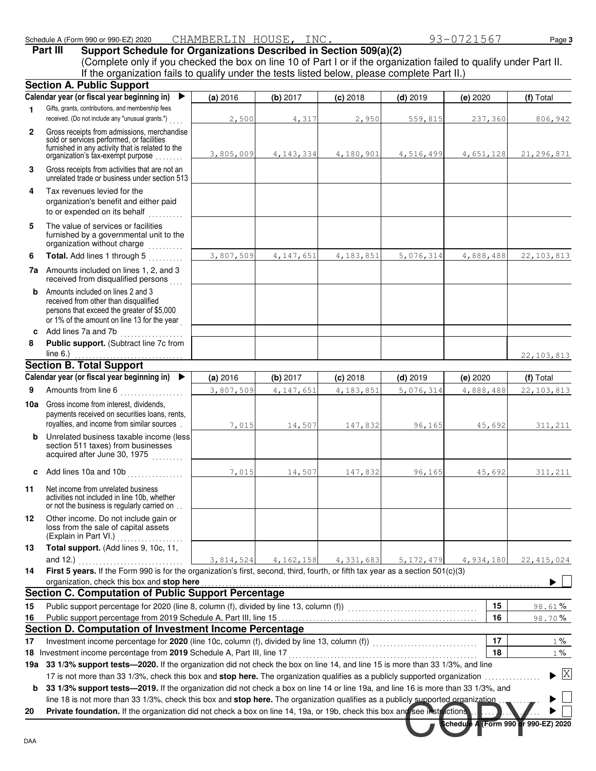|  | Schedule A (Form 990 or 990-EZ) 2020 |  | CHAMBERLIN HOUSE, |  |  |
|--|--------------------------------------|--|-------------------|--|--|
|--|--------------------------------------|--|-------------------|--|--|

Science Instructions

**Schedule A (Form 990 or 990-EZ) 2020**

 $\blacktriangleright \Box$  $\Box$  $\blacktriangleright$ 

|                | Schedule A (Form 990 or 990-EZ) 2020                                                                                                                                                                                                                                                                | CHAMBERLIN HOUSE, INC. |             |            |             | 93-0721567 | Page 3       |
|----------------|-----------------------------------------------------------------------------------------------------------------------------------------------------------------------------------------------------------------------------------------------------------------------------------------------------|------------------------|-------------|------------|-------------|------------|--------------|
|                | Support Schedule for Organizations Described in Section 509(a)(2)<br>Part III<br>(Complete only if you checked the box on line 10 of Part I or if the organization failed to qualify under Part II.<br>If the organization fails to qualify under the tests listed below, please complete Part II.) |                        |             |            |             |            |              |
|                | <b>Section A. Public Support</b>                                                                                                                                                                                                                                                                    |                        |             |            |             |            |              |
|                | Calendar year (or fiscal year beginning in)<br>▶                                                                                                                                                                                                                                                    | (a) 2016               | (b) 2017    | $(c)$ 2018 | $(d)$ 2019  | (e) 2020   | (f) Total    |
| 1              | Gifts, grants, contributions, and membership fees<br>received. (Do not include any "unusual grants.")                                                                                                                                                                                               | 2,500                  | 4,317       | 2,950      | 559,815     | 237,360    | 806,942      |
| $\mathbf{2}$   | Gross receipts from admissions, merchandise<br>sold or services performed, or facilities<br>furnished in any activity that is related to the<br>organization's tax-exempt purpose                                                                                                                   | 3,805,009              | 4, 143, 334 | 4,180,901  | 4,516,499   | 4,651,128  | 21, 296, 871 |
| 3              | Gross receipts from activities that are not an<br>unrelated trade or business under section 513                                                                                                                                                                                                     |                        |             |            |             |            |              |
| 4              | Tax revenues levied for the<br>organization's benefit and either paid<br>to or expended on its behalf                                                                                                                                                                                               |                        |             |            |             |            |              |
| 5              | The value of services or facilities<br>furnished by a governmental unit to the<br>organization without charge                                                                                                                                                                                       |                        |             |            |             |            |              |
| 6              | Total. Add lines 1 through 5                                                                                                                                                                                                                                                                        | 3,807,509              | 4, 147, 651 | 4,183,851  | 5,076,314   | 4,888,488  | 22, 103, 813 |
|                | 7a Amounts included on lines 1, 2, and 3<br>received from disqualified persons                                                                                                                                                                                                                      |                        |             |            |             |            |              |
| b              | Amounts included on lines 2 and 3<br>received from other than disqualified<br>persons that exceed the greater of \$5,000<br>or 1% of the amount on line 13 for the year                                                                                                                             |                        |             |            |             |            |              |
| c              | Add lines 7a and 7b<br><u> 1999 - Johann Stoff, amerikansk f</u>                                                                                                                                                                                                                                    |                        |             |            |             |            |              |
| 8              | Public support. (Subtract line 7c from<br>line $6.$ )                                                                                                                                                                                                                                               |                        |             |            |             |            | 22, 103, 813 |
|                | <b>Section B. Total Support</b>                                                                                                                                                                                                                                                                     |                        |             |            |             |            |              |
|                | Calendar year (or fiscal year beginning in)                                                                                                                                                                                                                                                         | (a) 2016               | (b) 2017    | $(c)$ 2018 | $(d)$ 2019  | (e) 2020   | (f) Total    |
| 9              | Amounts from line 6                                                                                                                                                                                                                                                                                 | 3,807,509              | 4,147,651   | 4,183,851  | 5,076,314   | 4,888,488  | 22, 103, 813 |
|                | <b>10a</b> Gross income from interest, dividends,<br>payments received on securities loans, rents,<br>royalties, and income from similar sources                                                                                                                                                    | 7,015                  | 14,507      | 147,832    | 96,165      | 45,692     | 311,211      |
| b              | Unrelated business taxable income (less<br>section 511 taxes) from businesses<br>acquired after June 30, 1975                                                                                                                                                                                       |                        |             |            |             |            |              |
| c              |                                                                                                                                                                                                                                                                                                     | 7,015                  | 14,507      | 147,832    | 96,165      | 45,692     | 311,211      |
| 11             | Net income from unrelated business<br>activities not included in line 10b, whether<br>or not the business is regularly carried on                                                                                                                                                                   |                        |             |            |             |            |              |
| 12             | Other income. Do not include gain or<br>loss from the sale of capital assets<br>(Explain in Part VI.)                                                                                                                                                                                               |                        |             |            |             |            |              |
| 13             | Total support. (Add lines 9, 10c, 11,<br>and 12.) $\ldots$                                                                                                                                                                                                                                          | 3,814,524              | 4, 162, 158 | 4,331,683  | 5, 172, 479 | 4,934,180  | 22, 415, 024 |
|                | First 5 years. If the Form 990 is for the organization's first, second, third, fourth, or fifth tax year as a section 501(c)(3)                                                                                                                                                                     |                        |             |            |             |            |              |
|                |                                                                                                                                                                                                                                                                                                     |                        |             |            |             |            |              |
|                | organization, check this box and stop here<br><b>Section C. Computation of Public Support Percentage</b>                                                                                                                                                                                            |                        |             |            |             |            |              |
|                |                                                                                                                                                                                                                                                                                                     |                        |             |            |             | 15         | 98.61%       |
| 14<br>15<br>16 | Public support percentage for 2020 (line 8, column (f), divided by line 13, column (f))<br>Public support percentage for 2020 (line 8, column (f), divided by line 13, column (f))<br>Section D. Computation of Investment Income Percentage                                                        |                        |             |            |             | 16         | 98.70%       |
| 17             | Investment income percentage for 2020 (line 10c, column (f), divided by line 13, column (f)) [[[[[[[[[[[[[[[[[                                                                                                                                                                                      |                        |             |            |             | 17         | $1\%$        |

**b** 33 1/3% support tests—2019. If the organization did not check a box on line 14 or line 19a, and line 16 is more than 33 1/3%, and line 18 is not more than 33 1/3%, check this box and stop here. The organization qualifies as a publicly supported organization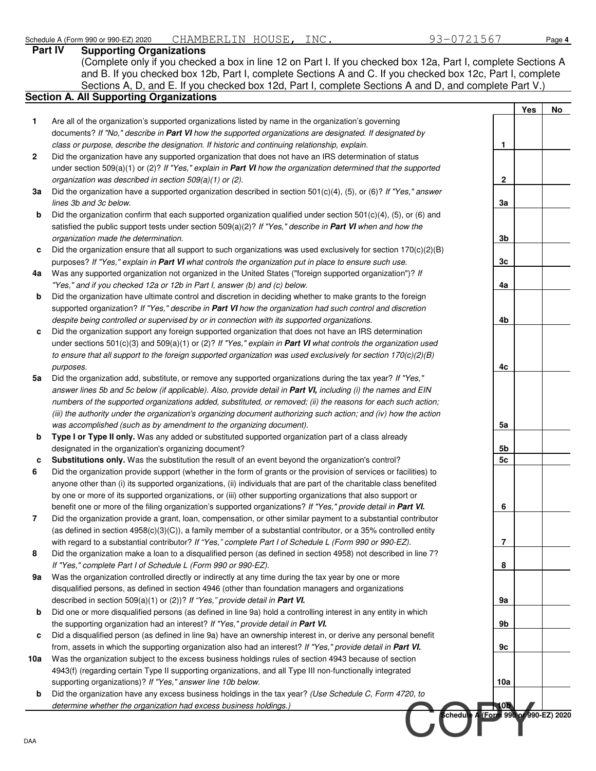|              | 93-0721567<br>CHAMBERLIN HOUSE, INC.<br>Schedule A (Form 990 or 990-EZ) 2020<br>Part IV<br><b>Supporting Organizations</b>                                                                                                   |                                     |     | Page 4 |
|--------------|------------------------------------------------------------------------------------------------------------------------------------------------------------------------------------------------------------------------------|-------------------------------------|-----|--------|
|              | (Complete only if you checked a box in line 12 on Part I. If you checked box 12a, Part I, complete Sections A                                                                                                                |                                     |     |        |
|              | and B. If you checked box 12b, Part I, complete Sections A and C. If you checked box 12c, Part I, complete                                                                                                                   |                                     |     |        |
|              | Sections A, D, and E. If you checked box 12d, Part I, complete Sections A and D, and complete Part V.)                                                                                                                       |                                     |     |        |
|              | <b>Section A. All Supporting Organizations</b>                                                                                                                                                                               |                                     |     |        |
|              |                                                                                                                                                                                                                              |                                     | Yes | No     |
| 1            | Are all of the organization's supported organizations listed by name in the organization's governing<br>documents? If "No," describe in Part VI how the supported organizations are designated. If designated by             |                                     |     |        |
|              | class or purpose, describe the designation. If historic and continuing relationship, explain.                                                                                                                                | $\mathbf{1}$                        |     |        |
| $\mathbf{2}$ | Did the organization have any supported organization that does not have an IRS determination of status                                                                                                                       |                                     |     |        |
|              | under section 509(a)(1) or (2)? If "Yes," explain in Part VI how the organization determined that the supported                                                                                                              |                                     |     |        |
|              | organization was described in section 509(a)(1) or (2).                                                                                                                                                                      | $\mathbf 2$                         |     |        |
| За           | Did the organization have a supported organization described in section 501(c)(4), (5), or (6)? If "Yes," answer                                                                                                             |                                     |     |        |
|              | lines 3b and 3c below.                                                                                                                                                                                                       | 3a                                  |     |        |
| b            | Did the organization confirm that each supported organization qualified under section $501(c)(4)$ , (5), or (6) and                                                                                                          |                                     |     |        |
|              | satisfied the public support tests under section $509(a)(2)$ ? If "Yes," describe in Part VI when and how the                                                                                                                |                                     |     |        |
|              | organization made the determination.                                                                                                                                                                                         | 3 <sub>b</sub>                      |     |        |
| c            | Did the organization ensure that all support to such organizations was used exclusively for section 170(c)(2)(B)                                                                                                             |                                     |     |        |
|              | purposes? If "Yes," explain in Part VI what controls the organization put in place to ensure such use.                                                                                                                       | 3 <sub>c</sub>                      |     |        |
| 4a           | Was any supported organization not organized in the United States ("foreign supported organization")? If                                                                                                                     |                                     |     |        |
|              | "Yes," and if you checked 12a or 12b in Part I, answer (b) and (c) below.                                                                                                                                                    | 4a                                  |     |        |
| b            | Did the organization have ultimate control and discretion in deciding whether to make grants to the foreign                                                                                                                  |                                     |     |        |
|              | supported organization? If "Yes," describe in Part VI how the organization had such control and discretion                                                                                                                   |                                     |     |        |
|              | despite being controlled or supervised by or in connection with its supported organizations.                                                                                                                                 | 4b                                  |     |        |
| c            | Did the organization support any foreign supported organization that does not have an IRS determination                                                                                                                      |                                     |     |        |
|              | under sections $501(c)(3)$ and $509(a)(1)$ or (2)? If "Yes," explain in Part VI what controls the organization used                                                                                                          |                                     |     |        |
|              | to ensure that all support to the foreign supported organization was used exclusively for section $170(c)(2)(B)$                                                                                                             |                                     |     |        |
| 5a           | purposes.                                                                                                                                                                                                                    | 4c                                  |     |        |
|              | Did the organization add, substitute, or remove any supported organizations during the tax year? If "Yes,"<br>answer lines 5b and 5c below (if applicable). Also, provide detail in Part VI, including (i) the names and EIN |                                     |     |        |
|              | numbers of the supported organizations added, substituted, or removed; (ii) the reasons for each such action;                                                                                                                |                                     |     |        |
|              | (iii) the authority under the organization's organizing document authorizing such action; and (iv) how the action                                                                                                            |                                     |     |        |
|              | was accomplished (such as by amendment to the organizing document).                                                                                                                                                          | 5a                                  |     |        |
| b            | Type I or Type II only. Was any added or substituted supported organization part of a class already                                                                                                                          |                                     |     |        |
|              | designated in the organization's organizing document?                                                                                                                                                                        | 5b                                  |     |        |
| c            | Substitutions only. Was the substitution the result of an event beyond the organization's control?                                                                                                                           | 5 <sub>c</sub>                      |     |        |
| 6            | Did the organization provide support (whether in the form of grants or the provision of services or facilities) to                                                                                                           |                                     |     |        |
|              | anyone other than (i) its supported organizations, (ii) individuals that are part of the charitable class benefited                                                                                                          |                                     |     |        |
|              | by one or more of its supported organizations, or (iii) other supporting organizations that also support or                                                                                                                  |                                     |     |        |
|              | benefit one or more of the filing organization's supported organizations? If "Yes," provide detail in Part VI.                                                                                                               | 6                                   |     |        |
| 7            | Did the organization provide a grant, loan, compensation, or other similar payment to a substantial contributor                                                                                                              |                                     |     |        |
|              | (as defined in section $4958(c)(3)(C)$ ), a family member of a substantial contributor, or a 35% controlled entity                                                                                                           |                                     |     |        |
|              | with regard to a substantial contributor? If "Yes," complete Part I of Schedule L (Form 990 or 990-EZ).                                                                                                                      | 7                                   |     |        |
| 8            | Did the organization make a loan to a disqualified person (as defined in section 4958) not described in line 7?                                                                                                              |                                     |     |        |
|              | If "Yes," complete Part I of Schedule L (Form 990 or 990-EZ).                                                                                                                                                                | 8                                   |     |        |
| 9а           | Was the organization controlled directly or indirectly at any time during the tax year by one or more                                                                                                                        |                                     |     |        |
|              | disqualified persons, as defined in section 4946 (other than foundation managers and organizations                                                                                                                           |                                     |     |        |
|              | described in section 509(a)(1) or (2))? If "Yes," provide detail in Part VI.                                                                                                                                                 | 9а                                  |     |        |
| b            | Did one or more disqualified persons (as defined in line 9a) hold a controlling interest in any entity in which<br>the supporting organization had an interest? If "Yes," provide detail in Part VI.                         | 9b                                  |     |        |
| c            | Did a disqualified person (as defined in line 9a) have an ownership interest in, or derive any personal benefit                                                                                                              |                                     |     |        |
|              | from, assets in which the supporting organization also had an interest? If "Yes," provide detail in Part VI.                                                                                                                 | 9c                                  |     |        |
| 10a          | Was the organization subject to the excess business holdings rules of section 4943 because of section                                                                                                                        |                                     |     |        |
|              | 4943(f) (regarding certain Type II supporting organizations, and all Type III non-functionally integrated                                                                                                                    |                                     |     |        |
|              | supporting organizations)? If "Yes," answer line 10b below.                                                                                                                                                                  | 10a                                 |     |        |
| b            | Did the organization have any excess business holdings in the tax year? (Use Schedule C, Form 4720, to                                                                                                                       |                                     |     |        |
|              | determine whether the organization had excess business holdings.)                                                                                                                                                            | 405                                 |     |        |
|              |                                                                                                                                                                                                                              | chedule A (Form 990 or 990-EZ) 2020 |     |        |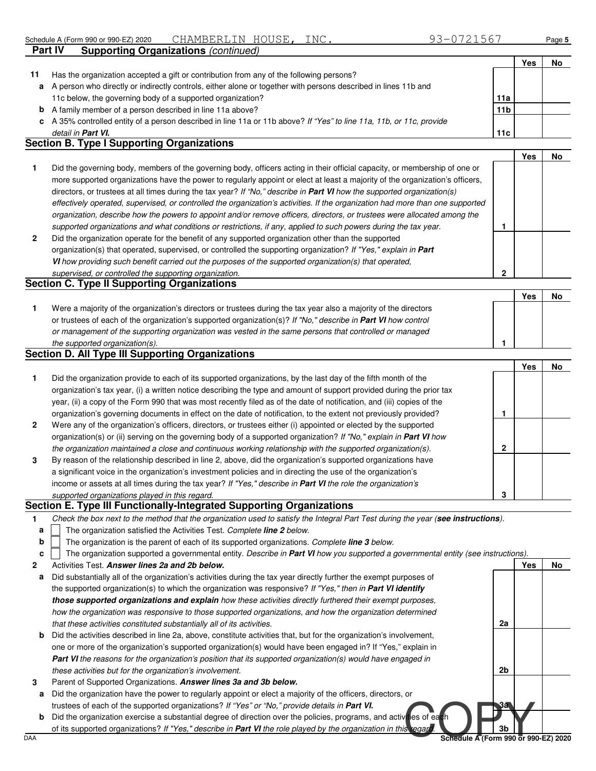**Yes No**

|    |                                                                                                                                             |                 | Yes | No |
|----|---------------------------------------------------------------------------------------------------------------------------------------------|-----------------|-----|----|
| 11 | Has the organization accepted a gift or contribution from any of the following persons?                                                     |                 |     |    |
| a  | A person who directly or indirectly controls, either alone or together with persons described in lines 11b and                              |                 |     |    |
|    | 11c below, the governing body of a supported organization?                                                                                  | 11a             |     |    |
|    | <b>b</b> A family member of a person described in line 11a above?                                                                           | 11 <sub>b</sub> |     |    |
|    | c A 35% controlled entity of a person described in line 11a or 11b above? If "Yes" to line 11a, 11b, or 11c, provide                        |                 |     |    |
|    | detail in <b>Part VI.</b>                                                                                                                   | 11c             |     |    |
|    | $\mathsf{R}_{\mathsf{c}}$ alian $\mathsf{D}_{\mathsf{c}}$ Tema I $\mathsf{R}_{\mathsf{c}}$ maning $\mathsf{R}_{\mathsf{c}}$ maning is a set |                 |     |    |

### **Section B. Type I Supporting Organizations**

**Part IV Supporting Organizations** (continued)

|    | Did the governing body, members of the governing body, officers acting in their official capacity, or membership of one or<br>more supported organizations have the power to regularly appoint or elect at least a majority of the organization's officers, |  |  |
|----|-------------------------------------------------------------------------------------------------------------------------------------------------------------------------------------------------------------------------------------------------------------|--|--|
|    | directors, or trustees at all times during the tax year? If "No," describe in Part VI how the supported organization(s)                                                                                                                                     |  |  |
|    | effectively operated, supervised, or controlled the organization's activities. If the organization had more than one supported                                                                                                                              |  |  |
|    | organization, describe how the powers to appoint and/or remove officers, directors, or trustees were allocated among the                                                                                                                                    |  |  |
|    | supported organizations and what conditions or restrictions, if any, applied to such powers during the tax year.                                                                                                                                            |  |  |
| -2 | Did the organization operate for the benefit of any supported organization other than the supported                                                                                                                                                         |  |  |
|    | organization(s) that operated, supervised, or controlled the supporting organization? If "Yes," explain in Part                                                                                                                                             |  |  |

**VI** how providing such benefit carried out the purposes of the supported organization(s) that operated,

#### supervised, or controlled the supporting organization. **Section C. Type II Supporting Organizations**

| Were a majority of the organization's directors or trustees during the tax year also a majority of the directors |  |  |
|------------------------------------------------------------------------------------------------------------------|--|--|
| or trustees of each of the organization's supported organization(s)? If "No," describe in Part VI how control    |  |  |
| or management of the supporting organization was vested in the same persons that controlled or managed           |  |  |
| the supported organization(s).                                                                                   |  |  |

### **Section D. All Type III Supporting Organizations**

|                |                                                                                                                           |   | Yes | No |
|----------------|---------------------------------------------------------------------------------------------------------------------------|---|-----|----|
| 1              | Did the organization provide to each of its supported organizations, by the last day of the fifth month of the            |   |     |    |
|                | organization's tax year, (i) a written notice describing the type and amount of support provided during the prior tax     |   |     |    |
|                | year, (ii) a copy of the Form 990 that was most recently filed as of the date of notification, and (iii) copies of the    |   |     |    |
|                | organization's governing documents in effect on the date of notification, to the extent not previously provided?          |   |     |    |
| $\overline{2}$ | Were any of the organization's officers, directors, or trustees either (i) appointed or elected by the supported          |   |     |    |
|                | organization(s) or (ii) serving on the governing body of a supported organization? If "No," explain in <b>Part VI</b> how |   |     |    |
|                | the organization maintained a close and continuous working relationship with the supported organization(s).               | 2 |     |    |
| 3              | By reason of the relationship described in line 2, above, did the organization's supported organizations have             |   |     |    |
|                | a significant voice in the organization's investment policies and in directing the use of the organization's              |   |     |    |
|                | income or assets at all times during the tax year? If "Yes," describe in Part VI the role the organization's              |   |     |    |
|                | supported organizations played in this regard.                                                                            | 3 |     |    |

#### **Section E. Type III Functionally-Integrated Supporting Organizations**

| Check the box next to the method that the organization used to satisfy the Integral Part Test during the year (see instructions). |  |  |
|-----------------------------------------------------------------------------------------------------------------------------------|--|--|
|                                                                                                                                   |  |  |

- The organization satisfied the Activities Test. Complete **line 2** below. **a**
- The organization is the parent of each of its supported organizations. Complete **line 3** below. **b**

|  |  | The organization supported a governmental entity. Describe in Part VI how you supported a governmental entity (see instructions). |  |  |  |  |
|--|--|-----------------------------------------------------------------------------------------------------------------------------------|--|--|--|--|
|--|--|-----------------------------------------------------------------------------------------------------------------------------------|--|--|--|--|

- **2** Activities Test. **Answer lines 2a and 2b below.**
- **a** Did substantially all of the organization's activities during the tax year directly further the exempt purposes of the supported organization(s) to which the organization was responsive? If "Yes," then in **Part VI identify those supported organizations and explain** how these activities directly furthered their exempt purposes, how the organization was responsive to those supported organizations, and how the organization determined that these activities constituted substantially all of its activities.
- **b** Did the activities described in line 2a, above, constitute activities that, but for the organization's involvement, one or more of the organization's supported organization(s) would have been engaged in? If "Yes," explain in Part VI the reasons for the organization's position that its supported organization(s) would have engaged in these activities but for the organization's involvement.
- **3** Parent of Supported Organizations. **Answer lines 3a and 3b below.**
- **a** Did the organization have the power to regularly appoint or elect a majority of the officers, directors, or trustees of each of the supported organizations? If "Yes" or "No," provide details in **Part VI.**
- trustees of each of the supported organizations? If "Yes" or "No," provide details in **Part VI.**<br>Did the organization exercise a substantial degree of direction over the policies, programs, and active is of each<br>DAA Schedu **b** Did the organization exercise a substantial degree of direction over the policies, programs, and activities of each of its supported organizations? If "Yes," describe in Part VI the role played by the organization in this regan

**3b**

**3a**

**2a**

**2b**

**Yes No**

**2**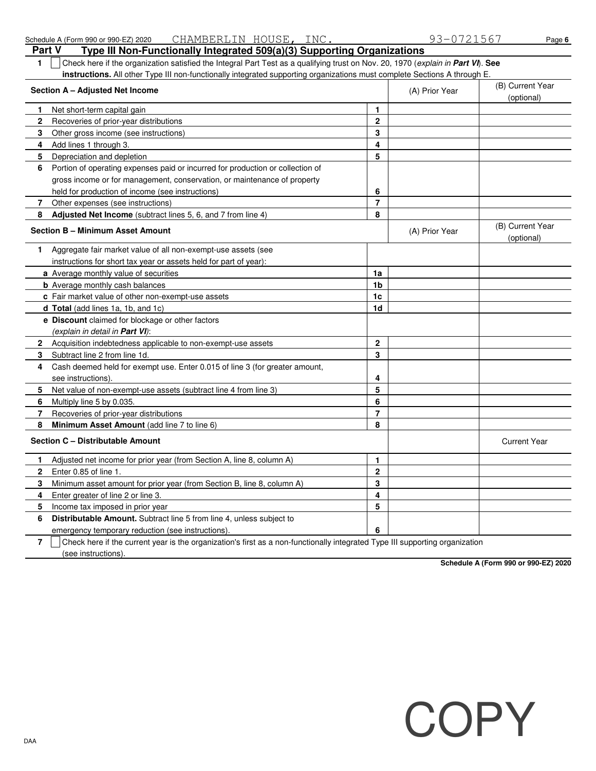| 1.           | Check here if the organization satisfied the Integral Part Test as a qualifying trust on Nov. 20, 1970 (explain in Part VI). See                             |                |                |                                |
|--------------|--------------------------------------------------------------------------------------------------------------------------------------------------------------|----------------|----------------|--------------------------------|
|              | instructions. All other Type III non-functionally integrated supporting organizations must complete Sections A through E.<br>Section A - Adjusted Net Income |                | (A) Prior Year | (B) Current Year<br>(optional) |
| 1.           | Net short-term capital gain                                                                                                                                  | 1              |                |                                |
| $\mathbf 2$  | Recoveries of prior-year distributions                                                                                                                       | $\mathbf{2}$   |                |                                |
| 3            | Other gross income (see instructions)                                                                                                                        | 3              |                |                                |
| 4            | Add lines 1 through 3.                                                                                                                                       | 4              |                |                                |
| 5            | Depreciation and depletion                                                                                                                                   | 5              |                |                                |
| 6            | Portion of operating expenses paid or incurred for production or collection of                                                                               |                |                |                                |
|              | gross income or for management, conservation, or maintenance of property                                                                                     |                |                |                                |
|              | held for production of income (see instructions)                                                                                                             | 6              |                |                                |
| 7            | Other expenses (see instructions)                                                                                                                            | $\overline{7}$ |                |                                |
| 8            | <b>Adjusted Net Income</b> (subtract lines 5, 6, and 7 from line 4)                                                                                          | 8              |                |                                |
|              | <b>Section B - Minimum Asset Amount</b>                                                                                                                      |                | (A) Prior Year | (B) Current Year<br>(optional) |
| 1            | Aggregate fair market value of all non-exempt-use assets (see                                                                                                |                |                |                                |
|              | instructions for short tax year or assets held for part of year):                                                                                            |                |                |                                |
|              | a Average monthly value of securities                                                                                                                        | 1a             |                |                                |
|              | <b>b</b> Average monthly cash balances                                                                                                                       | 1b             |                |                                |
|              | c Fair market value of other non-exempt-use assets                                                                                                           | 1 <sub>c</sub> |                |                                |
|              | d Total (add lines 1a, 1b, and 1c)                                                                                                                           | 1 <sub>d</sub> |                |                                |
|              | <b>e</b> Discount claimed for blockage or other factors                                                                                                      |                |                |                                |
|              | (explain in detail in <b>Part VI</b> ):                                                                                                                      |                |                |                                |
| $\mathbf{2}$ | Acquisition indebtedness applicable to non-exempt-use assets                                                                                                 | $\mathbf{2}$   |                |                                |
| 3            | Subtract line 2 from line 1d.                                                                                                                                | 3              |                |                                |
| 4            | Cash deemed held for exempt use. Enter 0.015 of line 3 (for greater amount,                                                                                  |                |                |                                |
|              | see instructions).                                                                                                                                           | 4              |                |                                |
| 5            | Net value of non-exempt-use assets (subtract line 4 from line 3)                                                                                             | 5              |                |                                |
| 6            | Multiply line 5 by 0.035.                                                                                                                                    | 6              |                |                                |
| 7            | Recoveries of prior-year distributions                                                                                                                       | $\overline{7}$ |                |                                |
| 8            | Minimum Asset Amount (add line 7 to line 6)                                                                                                                  | 8              |                |                                |
|              | Section C - Distributable Amount                                                                                                                             |                |                | <b>Current Year</b>            |
| 1            | Adjusted net income for prior year (from Section A, line 8, column A)                                                                                        | $\mathbf{1}$   |                |                                |
| $\mathbf{2}$ | Enter 0.85 of line 1.                                                                                                                                        | $\mathbf{2}$   |                |                                |
| 3            | Minimum asset amount for prior year (from Section B, line 8, column A)                                                                                       | 3              |                |                                |
| 4            | Enter greater of line 2 or line 3.                                                                                                                           | 4              |                |                                |
| 5            | Income tax imposed in prior year                                                                                                                             | 5              |                |                                |
| 6            | Distributable Amount. Subtract line 5 from line 4, unless subject to                                                                                         |                |                |                                |
|              | emergency temporary reduction (see instructions).                                                                                                            | 6              |                |                                |

**7** (see instructions). Check here if the current year is the organization's first as a non-functionally integrated Type III supporting organization

**Schedule A (Form 990 or 990-EZ) 2020**

**COPY** 

#### **Part V Type III Non-Functionally Integrated 509(a)(3) Supporting Organizations** Schedule A (Form 990 or 990-EZ) 2020 CHAMBERLIN HOUSE, INC. 93-0721567 Page 6 CHAMBERLIN HOUSE,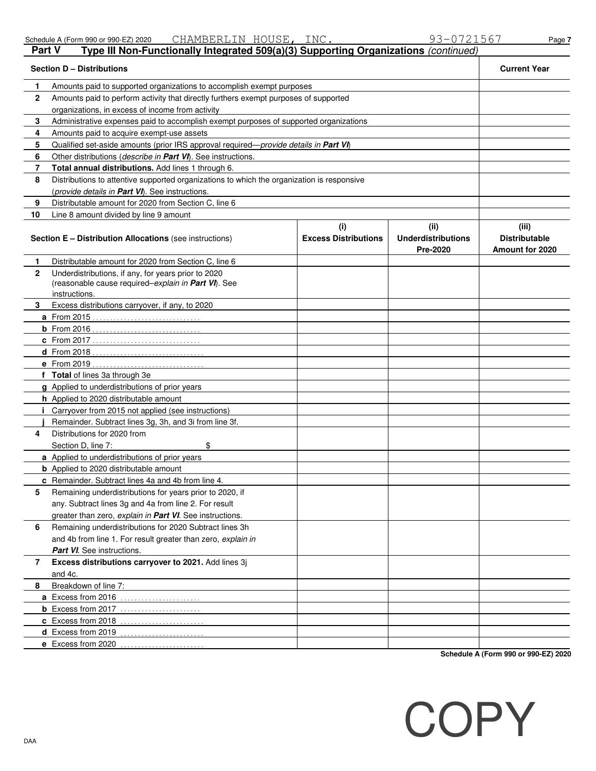**e** Excess from 2020 . . . . . . . . . . . . . . . . . . . . . . . .

|               |  | <u>viilii Den ben ilvoobi tiiva.</u> |  |                                                                                    | ---- |
|---------------|--|--------------------------------------|--|------------------------------------------------------------------------------------|------|
| <b>Part V</b> |  |                                      |  | Type III Non-Functionally Integrated 509(a)(3) Supporting Organizations (continued |      |

Schedule A (Form 990 or 990-EZ) 2020 CHAMBERLIN HOUSE, INC. 93-0721567 Page 7 CHAMBERLIN HOUSE,

**Section D – Distributions Current Year**

| 1            | Amounts paid to supported organizations to accomplish exempt purposes                                        |                                    |                                               |                                                  |
|--------------|--------------------------------------------------------------------------------------------------------------|------------------------------------|-----------------------------------------------|--------------------------------------------------|
| $\mathbf{2}$ | Amounts paid to perform activity that directly furthers exempt purposes of supported                         |                                    |                                               |                                                  |
|              | organizations, in excess of income from activity                                                             |                                    |                                               |                                                  |
| 3            | Administrative expenses paid to accomplish exempt purposes of supported organizations                        |                                    |                                               |                                                  |
| 4            | Amounts paid to acquire exempt-use assets                                                                    |                                    |                                               |                                                  |
| 5            | Qualified set-aside amounts (prior IRS approval required—provide details in Part VI)                         |                                    |                                               |                                                  |
| 6            | Other distributions (describe in Part VI). See instructions.                                                 |                                    |                                               |                                                  |
| 7            | Total annual distributions. Add lines 1 through 6.                                                           |                                    |                                               |                                                  |
| 8            | Distributions to attentive supported organizations to which the organization is responsive                   |                                    |                                               |                                                  |
|              | (provide details in Part VI). See instructions.                                                              |                                    |                                               |                                                  |
| 9            | Distributable amount for 2020 from Section C, line 6                                                         |                                    |                                               |                                                  |
| 10           | Line 8 amount divided by line 9 amount                                                                       |                                    |                                               |                                                  |
|              | Section E - Distribution Allocations (see instructions)                                                      | (i)<br><b>Excess Distributions</b> | (ii)<br><b>Underdistributions</b><br>Pre-2020 | (iii)<br><b>Distributable</b><br>Amount for 2020 |
| 1            | Distributable amount for 2020 from Section C, line 6                                                         |                                    |                                               |                                                  |
| $\mathbf{2}$ | Underdistributions, if any, for years prior to 2020                                                          |                                    |                                               |                                                  |
|              | (reasonable cause required-explain in Part VI). See                                                          |                                    |                                               |                                                  |
|              | instructions.                                                                                                |                                    |                                               |                                                  |
| 3            | Excess distributions carryover, if any, to 2020                                                              |                                    |                                               |                                                  |
|              | <b>a</b> From 2015                                                                                           |                                    |                                               |                                                  |
|              |                                                                                                              |                                    |                                               |                                                  |
|              | <b>c</b> From 2017                                                                                           |                                    |                                               |                                                  |
|              |                                                                                                              |                                    |                                               |                                                  |
|              | e From 2019<br>distribution distribution distri                                                              |                                    |                                               |                                                  |
|              | f Total of lines 3a through 3e                                                                               |                                    |                                               |                                                  |
|              | g Applied to underdistributions of prior years                                                               |                                    |                                               |                                                  |
|              | h Applied to 2020 distributable amount                                                                       |                                    |                                               |                                                  |
| Ť            | Carryover from 2015 not applied (see instructions)<br>Remainder. Subtract lines 3g, 3h, and 3i from line 3f. |                                    |                                               |                                                  |
| 4            | Distributions for 2020 from                                                                                  |                                    |                                               |                                                  |
|              | \$<br>Section D, line 7:                                                                                     |                                    |                                               |                                                  |
|              | a Applied to underdistributions of prior years                                                               |                                    |                                               |                                                  |
|              | <b>b</b> Applied to 2020 distributable amount                                                                |                                    |                                               |                                                  |
|              | c Remainder. Subtract lines 4a and 4b from line 4.                                                           |                                    |                                               |                                                  |
| 5            | Remaining underdistributions for years prior to 2020, if                                                     |                                    |                                               |                                                  |
|              | any. Subtract lines 3g and 4a from line 2. For result                                                        |                                    |                                               |                                                  |
|              | greater than zero, explain in Part VI. See instructions.                                                     |                                    |                                               |                                                  |
| 6            | Remaining underdistributions for 2020 Subtract lines 3h                                                      |                                    |                                               |                                                  |
|              | and 4b from line 1. For result greater than zero, explain in                                                 |                                    |                                               |                                                  |
|              | Part VI. See instructions.                                                                                   |                                    |                                               |                                                  |
| 7            | Excess distributions carryover to 2021. Add lines 3j                                                         |                                    |                                               |                                                  |
|              | and 4c.                                                                                                      |                                    |                                               |                                                  |
| 8            | Breakdown of line 7:                                                                                         |                                    |                                               |                                                  |
|              | a Excess from 2016<br>.                                                                                      |                                    |                                               |                                                  |
|              | <b>b</b> Excess from 2017 $\ldots$                                                                           |                                    |                                               |                                                  |
|              | c Excess from 2018<br>.                                                                                      |                                    |                                               |                                                  |
|              | d Excess from 2019                                                                                           |                                    |                                               |                                                  |
|              |                                                                                                              |                                    |                                               |                                                  |

**Schedule A (Form 990 or 990-EZ) 2020**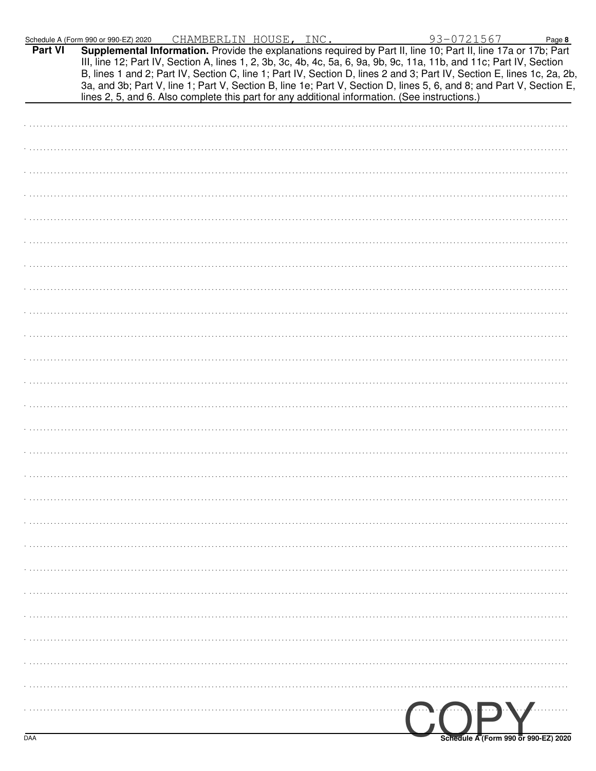|         | Schedule A (Form 990 or 990-EZ) 2020                                                                                                                                                                                                           |  | CHAMBERLIN HOUSE, INC. |  | 93-0721567 | Page 8 |
|---------|------------------------------------------------------------------------------------------------------------------------------------------------------------------------------------------------------------------------------------------------|--|------------------------|--|------------|--------|
| Part VI | Supplemental Information. Provide the explanations required by Part II, line 10; Part II, line 17a or 17b; Part                                                                                                                                |  |                        |  |            |        |
|         | III, line 12; Part IV, Section A, lines 1, 2, 3b, 3c, 4b, 4c, 5a, 6, 9a, 9b, 9c, 11a, 11b, and 11c; Part IV, Section<br>B, lines 1 and 2; Part IV, Section C, line 1; Part IV, Section D, lines 2 and 3; Part IV, Section E, lines 1c, 2a, 2b, |  |                        |  |            |        |
|         | 3a, and 3b; Part V, line 1; Part V, Section B, line 1e; Part V, Section D, lines 5, 6, and 8; and Part V, Section E,                                                                                                                           |  |                        |  |            |        |
|         | lines 2, 5, and 6. Also complete this part for any additional information. (See instructions.)                                                                                                                                                 |  |                        |  |            |        |
|         |                                                                                                                                                                                                                                                |  |                        |  |            |        |
|         |                                                                                                                                                                                                                                                |  |                        |  |            |        |
|         |                                                                                                                                                                                                                                                |  |                        |  |            |        |
|         |                                                                                                                                                                                                                                                |  |                        |  |            |        |
|         |                                                                                                                                                                                                                                                |  |                        |  |            |        |
|         |                                                                                                                                                                                                                                                |  |                        |  |            |        |
|         |                                                                                                                                                                                                                                                |  |                        |  |            |        |
|         |                                                                                                                                                                                                                                                |  |                        |  |            |        |
|         |                                                                                                                                                                                                                                                |  |                        |  |            |        |
|         |                                                                                                                                                                                                                                                |  |                        |  |            |        |
|         |                                                                                                                                                                                                                                                |  |                        |  |            |        |
|         |                                                                                                                                                                                                                                                |  |                        |  |            |        |
|         |                                                                                                                                                                                                                                                |  |                        |  |            |        |
|         |                                                                                                                                                                                                                                                |  |                        |  |            |        |
|         |                                                                                                                                                                                                                                                |  |                        |  |            |        |
|         |                                                                                                                                                                                                                                                |  |                        |  |            |        |
|         |                                                                                                                                                                                                                                                |  |                        |  |            |        |
|         |                                                                                                                                                                                                                                                |  |                        |  |            |        |
|         |                                                                                                                                                                                                                                                |  |                        |  |            |        |
|         |                                                                                                                                                                                                                                                |  |                        |  |            |        |
|         |                                                                                                                                                                                                                                                |  |                        |  |            |        |
|         |                                                                                                                                                                                                                                                |  |                        |  |            |        |
|         |                                                                                                                                                                                                                                                |  |                        |  |            |        |
|         |                                                                                                                                                                                                                                                |  |                        |  |            |        |
|         |                                                                                                                                                                                                                                                |  |                        |  |            |        |
|         |                                                                                                                                                                                                                                                |  |                        |  |            |        |
|         |                                                                                                                                                                                                                                                |  |                        |  |            |        |
|         |                                                                                                                                                                                                                                                |  |                        |  |            |        |
|         |                                                                                                                                                                                                                                                |  |                        |  |            |        |
|         |                                                                                                                                                                                                                                                |  |                        |  |            |        |
|         |                                                                                                                                                                                                                                                |  |                        |  |            |        |
|         |                                                                                                                                                                                                                                                |  |                        |  |            |        |
|         |                                                                                                                                                                                                                                                |  |                        |  |            |        |
|         |                                                                                                                                                                                                                                                |  |                        |  |            |        |
|         |                                                                                                                                                                                                                                                |  |                        |  |            |        |
|         |                                                                                                                                                                                                                                                |  |                        |  | COPY       |        |
|         |                                                                                                                                                                                                                                                |  |                        |  |            |        |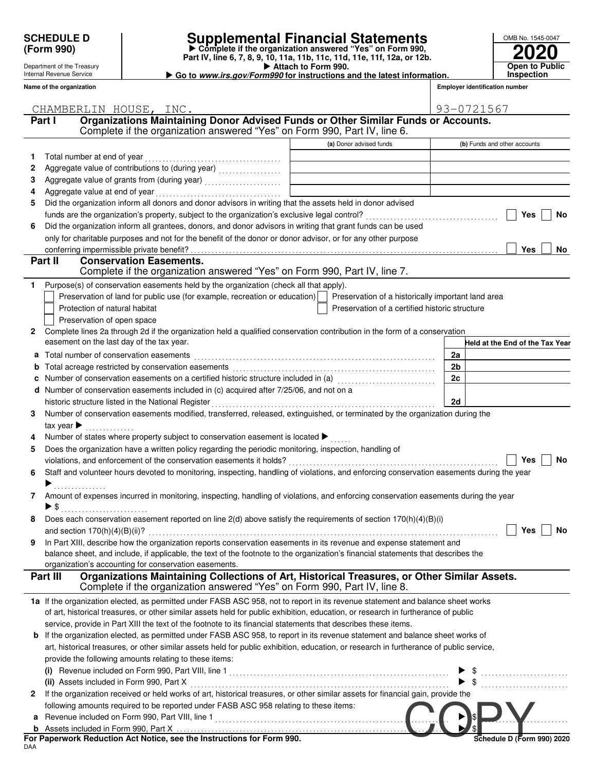Department of the Treasury Internal Revenue Service **Name of the organization**

## **SCHEDULE D Supplemental Financial Statements**

- **Attach to Form 990. Part IV, line 6, 7, 8, 9, 10, 11a, 11b, 11c, 11d, 11e, 11f, 12a, or 12b.** - **Complete if the organization answered "Yes" on Form 990,**

| Go to www.irs.gov/Form990 for instructions and the latest information. |  |
|------------------------------------------------------------------------|--|
|                                                                        |  |

| OMB No. 1545-0047 |
|-------------------|
| <b>2020</b>       |
| Open to Public    |
| <b>Inspection</b> |

**Employer identification number**

| Organizations Maintaining Donor Advised Funds or Other Similar Funds or Accounts.<br>Part I<br>Complete if the organization answered "Yes" on Form 990, Part IV, line 6.<br>(a) Donor advised funds<br>(b) Funds and other accounts<br>Total number at end of year<br>1.<br>2<br>З<br>Aggregate value at end of year<br>4<br>Did the organization inform all donors and donor advisors in writing that the assets held in donor advised<br>5<br>Yes<br><b>No</b><br>Did the organization inform all grantees, donors, and donor advisors in writing that grant funds can be used<br>6<br>only for charitable purposes and not for the benefit of the donor or donor advisor, or for any other purpose<br>Yes<br>No<br><b>Conservation Easements.</b><br>Part II<br>Complete if the organization answered "Yes" on Form 990, Part IV, line 7.<br>Purpose(s) of conservation easements held by the organization (check all that apply).<br>1<br>Preservation of land for public use (for example, recreation or education)<br>Preservation of a historically important land area<br>Protection of natural habitat<br>Preservation of a certified historic structure<br>Preservation of open space<br>Complete lines 2a through 2d if the organization held a qualified conservation contribution in the form of a conservation<br>$\mathbf{2}$<br>easement on the last day of the tax year.<br>Total number of conservation easements<br>2a<br>a<br>2 <sub>b</sub><br>b<br>Number of conservation easements on a certified historic structure included in (a) [[[[[[[[[[[[[[[[[[[[[[[[[]]]]]]]<br>2c<br>c<br>Number of conservation easements included in (c) acquired after 7/25/06, and not on a<br>d<br>2d<br>historic structure listed in the National Register<br>Number of conservation easements modified, transferred, released, extinguished, or terminated by the organization during the<br>3<br>tax year $\blacktriangleright$<br>Number of states where property subject to conservation easement is located ▶<br>Does the organization have a written policy regarding the periodic monitoring, inspection, handling of<br>5<br>Yes<br>No<br>Staff and volunteer hours devoted to monitoring, inspecting, handling of violations, and enforcing conservation easements during the year<br>6<br>Amount of expenses incurred in monitoring, inspecting, handling of violations, and enforcing conservation easements during the year<br>7<br>► \$<br>Does each conservation easement reported on line $2(d)$ above satisfy the requirements of section $170(h)(4)(B)(i)$<br>In Part XIII, describe how the organization reports conservation easements in its revenue and expense statement and<br>9<br>balance sheet, and include, if applicable, the text of the footnote to the organization's financial statements that describes the<br>organization's accounting for conservation easements.<br>Organizations Maintaining Collections of Art, Historical Treasures, or Other Similar Assets.<br>Part III<br>Complete if the organization answered "Yes" on Form 990, Part IV, line 8.<br>1a If the organization elected, as permitted under FASB ASC 958, not to report in its revenue statement and balance sheet works<br>of art, historical treasures, or other similar assets held for public exhibition, education, or research in furtherance of public<br>service, provide in Part XIII the text of the footnote to its financial statements that describes these items.<br><b>b</b> If the organization elected, as permitted under FASB ASC 958, to report in its revenue statement and balance sheet works of<br>art, historical treasures, or other similar assets held for public exhibition, education, or research in furtherance of public service,<br>provide the following amounts relating to these items:<br>(ii) Assets included in Form 990, Part X<br>If the organization received or held works of art, historical treasures, or other similar assets for financial gain, provide the<br>$\mathbf{2}$<br>following amounts required to be reported under FASB ASC 958 relating to these items:<br>a<br>For Paperwork Reduction Act Notice, see the Instructions for Form 990.<br>Schedule D (Form 990) 2020 | CHAMBERLIN HOUSE, INC. |  |  | 93-0721567 |
|----------------------------------------------------------------------------------------------------------------------------------------------------------------------------------------------------------------------------------------------------------------------------------------------------------------------------------------------------------------------------------------------------------------------------------------------------------------------------------------------------------------------------------------------------------------------------------------------------------------------------------------------------------------------------------------------------------------------------------------------------------------------------------------------------------------------------------------------------------------------------------------------------------------------------------------------------------------------------------------------------------------------------------------------------------------------------------------------------------------------------------------------------------------------------------------------------------------------------------------------------------------------------------------------------------------------------------------------------------------------------------------------------------------------------------------------------------------------------------------------------------------------------------------------------------------------------------------------------------------------------------------------------------------------------------------------------------------------------------------------------------------------------------------------------------------------------------------------------------------------------------------------------------------------------------------------------------------------------------------------------------------------------------------------------------------------------------------------------------------------------------------------------------------------------------------------------------------------------------------------------------------------------------------------------------------------------------------------------------------------------------------------------------------------------------------------------------------------------------------------------------------------------------------------------------------------------------------------------------------------------------------------------------------------------------------------------------------------------------------------------------------------------------------------------------------------------------------------------------------------------------------------------------------------------------------------------------------------------------------------------------------------------------------------------------------------------------------------------------------------------------------------------------------------------------------------------------------------------------------------------------------------------------------------------------------------------------------------------------------------------------------------------------------------------------------------------------------------------------------------------------------------------------------------------------------------------------------------------------------------------------------------------------------------------------------------------------------------------------------------------------------------------------------------------------------------------------------------------------------------------------------------------------------------------------------------------------------------------------------------------------------------------------------------------------------------------------------------------------------------------------------------------------------------------------------------------------------------------------------------------|------------------------|--|--|------------|
|                                                                                                                                                                                                                                                                                                                                                                                                                                                                                                                                                                                                                                                                                                                                                                                                                                                                                                                                                                                                                                                                                                                                                                                                                                                                                                                                                                                                                                                                                                                                                                                                                                                                                                                                                                                                                                                                                                                                                                                                                                                                                                                                                                                                                                                                                                                                                                                                                                                                                                                                                                                                                                                                                                                                                                                                                                                                                                                                                                                                                                                                                                                                                                                                                                                                                                                                                                                                                                                                                                                                                                                                                                                                                                                                                                                                                                                                                                                                                                                                                                                                                                                                                                                                                                                    |                        |  |  |            |
|                                                                                                                                                                                                                                                                                                                                                                                                                                                                                                                                                                                                                                                                                                                                                                                                                                                                                                                                                                                                                                                                                                                                                                                                                                                                                                                                                                                                                                                                                                                                                                                                                                                                                                                                                                                                                                                                                                                                                                                                                                                                                                                                                                                                                                                                                                                                                                                                                                                                                                                                                                                                                                                                                                                                                                                                                                                                                                                                                                                                                                                                                                                                                                                                                                                                                                                                                                                                                                                                                                                                                                                                                                                                                                                                                                                                                                                                                                                                                                                                                                                                                                                                                                                                                                                    |                        |  |  |            |
|                                                                                                                                                                                                                                                                                                                                                                                                                                                                                                                                                                                                                                                                                                                                                                                                                                                                                                                                                                                                                                                                                                                                                                                                                                                                                                                                                                                                                                                                                                                                                                                                                                                                                                                                                                                                                                                                                                                                                                                                                                                                                                                                                                                                                                                                                                                                                                                                                                                                                                                                                                                                                                                                                                                                                                                                                                                                                                                                                                                                                                                                                                                                                                                                                                                                                                                                                                                                                                                                                                                                                                                                                                                                                                                                                                                                                                                                                                                                                                                                                                                                                                                                                                                                                                                    |                        |  |  |            |
|                                                                                                                                                                                                                                                                                                                                                                                                                                                                                                                                                                                                                                                                                                                                                                                                                                                                                                                                                                                                                                                                                                                                                                                                                                                                                                                                                                                                                                                                                                                                                                                                                                                                                                                                                                                                                                                                                                                                                                                                                                                                                                                                                                                                                                                                                                                                                                                                                                                                                                                                                                                                                                                                                                                                                                                                                                                                                                                                                                                                                                                                                                                                                                                                                                                                                                                                                                                                                                                                                                                                                                                                                                                                                                                                                                                                                                                                                                                                                                                                                                                                                                                                                                                                                                                    |                        |  |  |            |
|                                                                                                                                                                                                                                                                                                                                                                                                                                                                                                                                                                                                                                                                                                                                                                                                                                                                                                                                                                                                                                                                                                                                                                                                                                                                                                                                                                                                                                                                                                                                                                                                                                                                                                                                                                                                                                                                                                                                                                                                                                                                                                                                                                                                                                                                                                                                                                                                                                                                                                                                                                                                                                                                                                                                                                                                                                                                                                                                                                                                                                                                                                                                                                                                                                                                                                                                                                                                                                                                                                                                                                                                                                                                                                                                                                                                                                                                                                                                                                                                                                                                                                                                                                                                                                                    |                        |  |  |            |
|                                                                                                                                                                                                                                                                                                                                                                                                                                                                                                                                                                                                                                                                                                                                                                                                                                                                                                                                                                                                                                                                                                                                                                                                                                                                                                                                                                                                                                                                                                                                                                                                                                                                                                                                                                                                                                                                                                                                                                                                                                                                                                                                                                                                                                                                                                                                                                                                                                                                                                                                                                                                                                                                                                                                                                                                                                                                                                                                                                                                                                                                                                                                                                                                                                                                                                                                                                                                                                                                                                                                                                                                                                                                                                                                                                                                                                                                                                                                                                                                                                                                                                                                                                                                                                                    |                        |  |  |            |
|                                                                                                                                                                                                                                                                                                                                                                                                                                                                                                                                                                                                                                                                                                                                                                                                                                                                                                                                                                                                                                                                                                                                                                                                                                                                                                                                                                                                                                                                                                                                                                                                                                                                                                                                                                                                                                                                                                                                                                                                                                                                                                                                                                                                                                                                                                                                                                                                                                                                                                                                                                                                                                                                                                                                                                                                                                                                                                                                                                                                                                                                                                                                                                                                                                                                                                                                                                                                                                                                                                                                                                                                                                                                                                                                                                                                                                                                                                                                                                                                                                                                                                                                                                                                                                                    |                        |  |  |            |
|                                                                                                                                                                                                                                                                                                                                                                                                                                                                                                                                                                                                                                                                                                                                                                                                                                                                                                                                                                                                                                                                                                                                                                                                                                                                                                                                                                                                                                                                                                                                                                                                                                                                                                                                                                                                                                                                                                                                                                                                                                                                                                                                                                                                                                                                                                                                                                                                                                                                                                                                                                                                                                                                                                                                                                                                                                                                                                                                                                                                                                                                                                                                                                                                                                                                                                                                                                                                                                                                                                                                                                                                                                                                                                                                                                                                                                                                                                                                                                                                                                                                                                                                                                                                                                                    |                        |  |  |            |
|                                                                                                                                                                                                                                                                                                                                                                                                                                                                                                                                                                                                                                                                                                                                                                                                                                                                                                                                                                                                                                                                                                                                                                                                                                                                                                                                                                                                                                                                                                                                                                                                                                                                                                                                                                                                                                                                                                                                                                                                                                                                                                                                                                                                                                                                                                                                                                                                                                                                                                                                                                                                                                                                                                                                                                                                                                                                                                                                                                                                                                                                                                                                                                                                                                                                                                                                                                                                                                                                                                                                                                                                                                                                                                                                                                                                                                                                                                                                                                                                                                                                                                                                                                                                                                                    |                        |  |  |            |
|                                                                                                                                                                                                                                                                                                                                                                                                                                                                                                                                                                                                                                                                                                                                                                                                                                                                                                                                                                                                                                                                                                                                                                                                                                                                                                                                                                                                                                                                                                                                                                                                                                                                                                                                                                                                                                                                                                                                                                                                                                                                                                                                                                                                                                                                                                                                                                                                                                                                                                                                                                                                                                                                                                                                                                                                                                                                                                                                                                                                                                                                                                                                                                                                                                                                                                                                                                                                                                                                                                                                                                                                                                                                                                                                                                                                                                                                                                                                                                                                                                                                                                                                                                                                                                                    |                        |  |  |            |
|                                                                                                                                                                                                                                                                                                                                                                                                                                                                                                                                                                                                                                                                                                                                                                                                                                                                                                                                                                                                                                                                                                                                                                                                                                                                                                                                                                                                                                                                                                                                                                                                                                                                                                                                                                                                                                                                                                                                                                                                                                                                                                                                                                                                                                                                                                                                                                                                                                                                                                                                                                                                                                                                                                                                                                                                                                                                                                                                                                                                                                                                                                                                                                                                                                                                                                                                                                                                                                                                                                                                                                                                                                                                                                                                                                                                                                                                                                                                                                                                                                                                                                                                                                                                                                                    |                        |  |  |            |
|                                                                                                                                                                                                                                                                                                                                                                                                                                                                                                                                                                                                                                                                                                                                                                                                                                                                                                                                                                                                                                                                                                                                                                                                                                                                                                                                                                                                                                                                                                                                                                                                                                                                                                                                                                                                                                                                                                                                                                                                                                                                                                                                                                                                                                                                                                                                                                                                                                                                                                                                                                                                                                                                                                                                                                                                                                                                                                                                                                                                                                                                                                                                                                                                                                                                                                                                                                                                                                                                                                                                                                                                                                                                                                                                                                                                                                                                                                                                                                                                                                                                                                                                                                                                                                                    |                        |  |  |            |
| Held at the End of the Tax Year                                                                                                                                                                                                                                                                                                                                                                                                                                                                                                                                                                                                                                                                                                                                                                                                                                                                                                                                                                                                                                                                                                                                                                                                                                                                                                                                                                                                                                                                                                                                                                                                                                                                                                                                                                                                                                                                                                                                                                                                                                                                                                                                                                                                                                                                                                                                                                                                                                                                                                                                                                                                                                                                                                                                                                                                                                                                                                                                                                                                                                                                                                                                                                                                                                                                                                                                                                                                                                                                                                                                                                                                                                                                                                                                                                                                                                                                                                                                                                                                                                                                                                                                                                                                                    |                        |  |  |            |
|                                                                                                                                                                                                                                                                                                                                                                                                                                                                                                                                                                                                                                                                                                                                                                                                                                                                                                                                                                                                                                                                                                                                                                                                                                                                                                                                                                                                                                                                                                                                                                                                                                                                                                                                                                                                                                                                                                                                                                                                                                                                                                                                                                                                                                                                                                                                                                                                                                                                                                                                                                                                                                                                                                                                                                                                                                                                                                                                                                                                                                                                                                                                                                                                                                                                                                                                                                                                                                                                                                                                                                                                                                                                                                                                                                                                                                                                                                                                                                                                                                                                                                                                                                                                                                                    |                        |  |  |            |
|                                                                                                                                                                                                                                                                                                                                                                                                                                                                                                                                                                                                                                                                                                                                                                                                                                                                                                                                                                                                                                                                                                                                                                                                                                                                                                                                                                                                                                                                                                                                                                                                                                                                                                                                                                                                                                                                                                                                                                                                                                                                                                                                                                                                                                                                                                                                                                                                                                                                                                                                                                                                                                                                                                                                                                                                                                                                                                                                                                                                                                                                                                                                                                                                                                                                                                                                                                                                                                                                                                                                                                                                                                                                                                                                                                                                                                                                                                                                                                                                                                                                                                                                                                                                                                                    |                        |  |  |            |
|                                                                                                                                                                                                                                                                                                                                                                                                                                                                                                                                                                                                                                                                                                                                                                                                                                                                                                                                                                                                                                                                                                                                                                                                                                                                                                                                                                                                                                                                                                                                                                                                                                                                                                                                                                                                                                                                                                                                                                                                                                                                                                                                                                                                                                                                                                                                                                                                                                                                                                                                                                                                                                                                                                                                                                                                                                                                                                                                                                                                                                                                                                                                                                                                                                                                                                                                                                                                                                                                                                                                                                                                                                                                                                                                                                                                                                                                                                                                                                                                                                                                                                                                                                                                                                                    |                        |  |  |            |
|                                                                                                                                                                                                                                                                                                                                                                                                                                                                                                                                                                                                                                                                                                                                                                                                                                                                                                                                                                                                                                                                                                                                                                                                                                                                                                                                                                                                                                                                                                                                                                                                                                                                                                                                                                                                                                                                                                                                                                                                                                                                                                                                                                                                                                                                                                                                                                                                                                                                                                                                                                                                                                                                                                                                                                                                                                                                                                                                                                                                                                                                                                                                                                                                                                                                                                                                                                                                                                                                                                                                                                                                                                                                                                                                                                                                                                                                                                                                                                                                                                                                                                                                                                                                                                                    |                        |  |  |            |
|                                                                                                                                                                                                                                                                                                                                                                                                                                                                                                                                                                                                                                                                                                                                                                                                                                                                                                                                                                                                                                                                                                                                                                                                                                                                                                                                                                                                                                                                                                                                                                                                                                                                                                                                                                                                                                                                                                                                                                                                                                                                                                                                                                                                                                                                                                                                                                                                                                                                                                                                                                                                                                                                                                                                                                                                                                                                                                                                                                                                                                                                                                                                                                                                                                                                                                                                                                                                                                                                                                                                                                                                                                                                                                                                                                                                                                                                                                                                                                                                                                                                                                                                                                                                                                                    |                        |  |  |            |
|                                                                                                                                                                                                                                                                                                                                                                                                                                                                                                                                                                                                                                                                                                                                                                                                                                                                                                                                                                                                                                                                                                                                                                                                                                                                                                                                                                                                                                                                                                                                                                                                                                                                                                                                                                                                                                                                                                                                                                                                                                                                                                                                                                                                                                                                                                                                                                                                                                                                                                                                                                                                                                                                                                                                                                                                                                                                                                                                                                                                                                                                                                                                                                                                                                                                                                                                                                                                                                                                                                                                                                                                                                                                                                                                                                                                                                                                                                                                                                                                                                                                                                                                                                                                                                                    |                        |  |  |            |
|                                                                                                                                                                                                                                                                                                                                                                                                                                                                                                                                                                                                                                                                                                                                                                                                                                                                                                                                                                                                                                                                                                                                                                                                                                                                                                                                                                                                                                                                                                                                                                                                                                                                                                                                                                                                                                                                                                                                                                                                                                                                                                                                                                                                                                                                                                                                                                                                                                                                                                                                                                                                                                                                                                                                                                                                                                                                                                                                                                                                                                                                                                                                                                                                                                                                                                                                                                                                                                                                                                                                                                                                                                                                                                                                                                                                                                                                                                                                                                                                                                                                                                                                                                                                                                                    |                        |  |  |            |
|                                                                                                                                                                                                                                                                                                                                                                                                                                                                                                                                                                                                                                                                                                                                                                                                                                                                                                                                                                                                                                                                                                                                                                                                                                                                                                                                                                                                                                                                                                                                                                                                                                                                                                                                                                                                                                                                                                                                                                                                                                                                                                                                                                                                                                                                                                                                                                                                                                                                                                                                                                                                                                                                                                                                                                                                                                                                                                                                                                                                                                                                                                                                                                                                                                                                                                                                                                                                                                                                                                                                                                                                                                                                                                                                                                                                                                                                                                                                                                                                                                                                                                                                                                                                                                                    |                        |  |  |            |
|                                                                                                                                                                                                                                                                                                                                                                                                                                                                                                                                                                                                                                                                                                                                                                                                                                                                                                                                                                                                                                                                                                                                                                                                                                                                                                                                                                                                                                                                                                                                                                                                                                                                                                                                                                                                                                                                                                                                                                                                                                                                                                                                                                                                                                                                                                                                                                                                                                                                                                                                                                                                                                                                                                                                                                                                                                                                                                                                                                                                                                                                                                                                                                                                                                                                                                                                                                                                                                                                                                                                                                                                                                                                                                                                                                                                                                                                                                                                                                                                                                                                                                                                                                                                                                                    |                        |  |  |            |
|                                                                                                                                                                                                                                                                                                                                                                                                                                                                                                                                                                                                                                                                                                                                                                                                                                                                                                                                                                                                                                                                                                                                                                                                                                                                                                                                                                                                                                                                                                                                                                                                                                                                                                                                                                                                                                                                                                                                                                                                                                                                                                                                                                                                                                                                                                                                                                                                                                                                                                                                                                                                                                                                                                                                                                                                                                                                                                                                                                                                                                                                                                                                                                                                                                                                                                                                                                                                                                                                                                                                                                                                                                                                                                                                                                                                                                                                                                                                                                                                                                                                                                                                                                                                                                                    |                        |  |  |            |
|                                                                                                                                                                                                                                                                                                                                                                                                                                                                                                                                                                                                                                                                                                                                                                                                                                                                                                                                                                                                                                                                                                                                                                                                                                                                                                                                                                                                                                                                                                                                                                                                                                                                                                                                                                                                                                                                                                                                                                                                                                                                                                                                                                                                                                                                                                                                                                                                                                                                                                                                                                                                                                                                                                                                                                                                                                                                                                                                                                                                                                                                                                                                                                                                                                                                                                                                                                                                                                                                                                                                                                                                                                                                                                                                                                                                                                                                                                                                                                                                                                                                                                                                                                                                                                                    |                        |  |  |            |
|                                                                                                                                                                                                                                                                                                                                                                                                                                                                                                                                                                                                                                                                                                                                                                                                                                                                                                                                                                                                                                                                                                                                                                                                                                                                                                                                                                                                                                                                                                                                                                                                                                                                                                                                                                                                                                                                                                                                                                                                                                                                                                                                                                                                                                                                                                                                                                                                                                                                                                                                                                                                                                                                                                                                                                                                                                                                                                                                                                                                                                                                                                                                                                                                                                                                                                                                                                                                                                                                                                                                                                                                                                                                                                                                                                                                                                                                                                                                                                                                                                                                                                                                                                                                                                                    |                        |  |  |            |
|                                                                                                                                                                                                                                                                                                                                                                                                                                                                                                                                                                                                                                                                                                                                                                                                                                                                                                                                                                                                                                                                                                                                                                                                                                                                                                                                                                                                                                                                                                                                                                                                                                                                                                                                                                                                                                                                                                                                                                                                                                                                                                                                                                                                                                                                                                                                                                                                                                                                                                                                                                                                                                                                                                                                                                                                                                                                                                                                                                                                                                                                                                                                                                                                                                                                                                                                                                                                                                                                                                                                                                                                                                                                                                                                                                                                                                                                                                                                                                                                                                                                                                                                                                                                                                                    |                        |  |  |            |
|                                                                                                                                                                                                                                                                                                                                                                                                                                                                                                                                                                                                                                                                                                                                                                                                                                                                                                                                                                                                                                                                                                                                                                                                                                                                                                                                                                                                                                                                                                                                                                                                                                                                                                                                                                                                                                                                                                                                                                                                                                                                                                                                                                                                                                                                                                                                                                                                                                                                                                                                                                                                                                                                                                                                                                                                                                                                                                                                                                                                                                                                                                                                                                                                                                                                                                                                                                                                                                                                                                                                                                                                                                                                                                                                                                                                                                                                                                                                                                                                                                                                                                                                                                                                                                                    |                        |  |  |            |
|                                                                                                                                                                                                                                                                                                                                                                                                                                                                                                                                                                                                                                                                                                                                                                                                                                                                                                                                                                                                                                                                                                                                                                                                                                                                                                                                                                                                                                                                                                                                                                                                                                                                                                                                                                                                                                                                                                                                                                                                                                                                                                                                                                                                                                                                                                                                                                                                                                                                                                                                                                                                                                                                                                                                                                                                                                                                                                                                                                                                                                                                                                                                                                                                                                                                                                                                                                                                                                                                                                                                                                                                                                                                                                                                                                                                                                                                                                                                                                                                                                                                                                                                                                                                                                                    |                        |  |  |            |
|                                                                                                                                                                                                                                                                                                                                                                                                                                                                                                                                                                                                                                                                                                                                                                                                                                                                                                                                                                                                                                                                                                                                                                                                                                                                                                                                                                                                                                                                                                                                                                                                                                                                                                                                                                                                                                                                                                                                                                                                                                                                                                                                                                                                                                                                                                                                                                                                                                                                                                                                                                                                                                                                                                                                                                                                                                                                                                                                                                                                                                                                                                                                                                                                                                                                                                                                                                                                                                                                                                                                                                                                                                                                                                                                                                                                                                                                                                                                                                                                                                                                                                                                                                                                                                                    |                        |  |  |            |
|                                                                                                                                                                                                                                                                                                                                                                                                                                                                                                                                                                                                                                                                                                                                                                                                                                                                                                                                                                                                                                                                                                                                                                                                                                                                                                                                                                                                                                                                                                                                                                                                                                                                                                                                                                                                                                                                                                                                                                                                                                                                                                                                                                                                                                                                                                                                                                                                                                                                                                                                                                                                                                                                                                                                                                                                                                                                                                                                                                                                                                                                                                                                                                                                                                                                                                                                                                                                                                                                                                                                                                                                                                                                                                                                                                                                                                                                                                                                                                                                                                                                                                                                                                                                                                                    |                        |  |  |            |
|                                                                                                                                                                                                                                                                                                                                                                                                                                                                                                                                                                                                                                                                                                                                                                                                                                                                                                                                                                                                                                                                                                                                                                                                                                                                                                                                                                                                                                                                                                                                                                                                                                                                                                                                                                                                                                                                                                                                                                                                                                                                                                                                                                                                                                                                                                                                                                                                                                                                                                                                                                                                                                                                                                                                                                                                                                                                                                                                                                                                                                                                                                                                                                                                                                                                                                                                                                                                                                                                                                                                                                                                                                                                                                                                                                                                                                                                                                                                                                                                                                                                                                                                                                                                                                                    |                        |  |  |            |
|                                                                                                                                                                                                                                                                                                                                                                                                                                                                                                                                                                                                                                                                                                                                                                                                                                                                                                                                                                                                                                                                                                                                                                                                                                                                                                                                                                                                                                                                                                                                                                                                                                                                                                                                                                                                                                                                                                                                                                                                                                                                                                                                                                                                                                                                                                                                                                                                                                                                                                                                                                                                                                                                                                                                                                                                                                                                                                                                                                                                                                                                                                                                                                                                                                                                                                                                                                                                                                                                                                                                                                                                                                                                                                                                                                                                                                                                                                                                                                                                                                                                                                                                                                                                                                                    |                        |  |  |            |
|                                                                                                                                                                                                                                                                                                                                                                                                                                                                                                                                                                                                                                                                                                                                                                                                                                                                                                                                                                                                                                                                                                                                                                                                                                                                                                                                                                                                                                                                                                                                                                                                                                                                                                                                                                                                                                                                                                                                                                                                                                                                                                                                                                                                                                                                                                                                                                                                                                                                                                                                                                                                                                                                                                                                                                                                                                                                                                                                                                                                                                                                                                                                                                                                                                                                                                                                                                                                                                                                                                                                                                                                                                                                                                                                                                                                                                                                                                                                                                                                                                                                                                                                                                                                                                                    |                        |  |  |            |
|                                                                                                                                                                                                                                                                                                                                                                                                                                                                                                                                                                                                                                                                                                                                                                                                                                                                                                                                                                                                                                                                                                                                                                                                                                                                                                                                                                                                                                                                                                                                                                                                                                                                                                                                                                                                                                                                                                                                                                                                                                                                                                                                                                                                                                                                                                                                                                                                                                                                                                                                                                                                                                                                                                                                                                                                                                                                                                                                                                                                                                                                                                                                                                                                                                                                                                                                                                                                                                                                                                                                                                                                                                                                                                                                                                                                                                                                                                                                                                                                                                                                                                                                                                                                                                                    |                        |  |  |            |
|                                                                                                                                                                                                                                                                                                                                                                                                                                                                                                                                                                                                                                                                                                                                                                                                                                                                                                                                                                                                                                                                                                                                                                                                                                                                                                                                                                                                                                                                                                                                                                                                                                                                                                                                                                                                                                                                                                                                                                                                                                                                                                                                                                                                                                                                                                                                                                                                                                                                                                                                                                                                                                                                                                                                                                                                                                                                                                                                                                                                                                                                                                                                                                                                                                                                                                                                                                                                                                                                                                                                                                                                                                                                                                                                                                                                                                                                                                                                                                                                                                                                                                                                                                                                                                                    |                        |  |  |            |
|                                                                                                                                                                                                                                                                                                                                                                                                                                                                                                                                                                                                                                                                                                                                                                                                                                                                                                                                                                                                                                                                                                                                                                                                                                                                                                                                                                                                                                                                                                                                                                                                                                                                                                                                                                                                                                                                                                                                                                                                                                                                                                                                                                                                                                                                                                                                                                                                                                                                                                                                                                                                                                                                                                                                                                                                                                                                                                                                                                                                                                                                                                                                                                                                                                                                                                                                                                                                                                                                                                                                                                                                                                                                                                                                                                                                                                                                                                                                                                                                                                                                                                                                                                                                                                                    |                        |  |  |            |
|                                                                                                                                                                                                                                                                                                                                                                                                                                                                                                                                                                                                                                                                                                                                                                                                                                                                                                                                                                                                                                                                                                                                                                                                                                                                                                                                                                                                                                                                                                                                                                                                                                                                                                                                                                                                                                                                                                                                                                                                                                                                                                                                                                                                                                                                                                                                                                                                                                                                                                                                                                                                                                                                                                                                                                                                                                                                                                                                                                                                                                                                                                                                                                                                                                                                                                                                                                                                                                                                                                                                                                                                                                                                                                                                                                                                                                                                                                                                                                                                                                                                                                                                                                                                                                                    |                        |  |  |            |
|                                                                                                                                                                                                                                                                                                                                                                                                                                                                                                                                                                                                                                                                                                                                                                                                                                                                                                                                                                                                                                                                                                                                                                                                                                                                                                                                                                                                                                                                                                                                                                                                                                                                                                                                                                                                                                                                                                                                                                                                                                                                                                                                                                                                                                                                                                                                                                                                                                                                                                                                                                                                                                                                                                                                                                                                                                                                                                                                                                                                                                                                                                                                                                                                                                                                                                                                                                                                                                                                                                                                                                                                                                                                                                                                                                                                                                                                                                                                                                                                                                                                                                                                                                                                                                                    |                        |  |  |            |
|                                                                                                                                                                                                                                                                                                                                                                                                                                                                                                                                                                                                                                                                                                                                                                                                                                                                                                                                                                                                                                                                                                                                                                                                                                                                                                                                                                                                                                                                                                                                                                                                                                                                                                                                                                                                                                                                                                                                                                                                                                                                                                                                                                                                                                                                                                                                                                                                                                                                                                                                                                                                                                                                                                                                                                                                                                                                                                                                                                                                                                                                                                                                                                                                                                                                                                                                                                                                                                                                                                                                                                                                                                                                                                                                                                                                                                                                                                                                                                                                                                                                                                                                                                                                                                                    |                        |  |  |            |
|                                                                                                                                                                                                                                                                                                                                                                                                                                                                                                                                                                                                                                                                                                                                                                                                                                                                                                                                                                                                                                                                                                                                                                                                                                                                                                                                                                                                                                                                                                                                                                                                                                                                                                                                                                                                                                                                                                                                                                                                                                                                                                                                                                                                                                                                                                                                                                                                                                                                                                                                                                                                                                                                                                                                                                                                                                                                                                                                                                                                                                                                                                                                                                                                                                                                                                                                                                                                                                                                                                                                                                                                                                                                                                                                                                                                                                                                                                                                                                                                                                                                                                                                                                                                                                                    |                        |  |  |            |
|                                                                                                                                                                                                                                                                                                                                                                                                                                                                                                                                                                                                                                                                                                                                                                                                                                                                                                                                                                                                                                                                                                                                                                                                                                                                                                                                                                                                                                                                                                                                                                                                                                                                                                                                                                                                                                                                                                                                                                                                                                                                                                                                                                                                                                                                                                                                                                                                                                                                                                                                                                                                                                                                                                                                                                                                                                                                                                                                                                                                                                                                                                                                                                                                                                                                                                                                                                                                                                                                                                                                                                                                                                                                                                                                                                                                                                                                                                                                                                                                                                                                                                                                                                                                                                                    |                        |  |  |            |
|                                                                                                                                                                                                                                                                                                                                                                                                                                                                                                                                                                                                                                                                                                                                                                                                                                                                                                                                                                                                                                                                                                                                                                                                                                                                                                                                                                                                                                                                                                                                                                                                                                                                                                                                                                                                                                                                                                                                                                                                                                                                                                                                                                                                                                                                                                                                                                                                                                                                                                                                                                                                                                                                                                                                                                                                                                                                                                                                                                                                                                                                                                                                                                                                                                                                                                                                                                                                                                                                                                                                                                                                                                                                                                                                                                                                                                                                                                                                                                                                                                                                                                                                                                                                                                                    |                        |  |  |            |
|                                                                                                                                                                                                                                                                                                                                                                                                                                                                                                                                                                                                                                                                                                                                                                                                                                                                                                                                                                                                                                                                                                                                                                                                                                                                                                                                                                                                                                                                                                                                                                                                                                                                                                                                                                                                                                                                                                                                                                                                                                                                                                                                                                                                                                                                                                                                                                                                                                                                                                                                                                                                                                                                                                                                                                                                                                                                                                                                                                                                                                                                                                                                                                                                                                                                                                                                                                                                                                                                                                                                                                                                                                                                                                                                                                                                                                                                                                                                                                                                                                                                                                                                                                                                                                                    |                        |  |  |            |
|                                                                                                                                                                                                                                                                                                                                                                                                                                                                                                                                                                                                                                                                                                                                                                                                                                                                                                                                                                                                                                                                                                                                                                                                                                                                                                                                                                                                                                                                                                                                                                                                                                                                                                                                                                                                                                                                                                                                                                                                                                                                                                                                                                                                                                                                                                                                                                                                                                                                                                                                                                                                                                                                                                                                                                                                                                                                                                                                                                                                                                                                                                                                                                                                                                                                                                                                                                                                                                                                                                                                                                                                                                                                                                                                                                                                                                                                                                                                                                                                                                                                                                                                                                                                                                                    |                        |  |  |            |
|                                                                                                                                                                                                                                                                                                                                                                                                                                                                                                                                                                                                                                                                                                                                                                                                                                                                                                                                                                                                                                                                                                                                                                                                                                                                                                                                                                                                                                                                                                                                                                                                                                                                                                                                                                                                                                                                                                                                                                                                                                                                                                                                                                                                                                                                                                                                                                                                                                                                                                                                                                                                                                                                                                                                                                                                                                                                                                                                                                                                                                                                                                                                                                                                                                                                                                                                                                                                                                                                                                                                                                                                                                                                                                                                                                                                                                                                                                                                                                                                                                                                                                                                                                                                                                                    |                        |  |  |            |
|                                                                                                                                                                                                                                                                                                                                                                                                                                                                                                                                                                                                                                                                                                                                                                                                                                                                                                                                                                                                                                                                                                                                                                                                                                                                                                                                                                                                                                                                                                                                                                                                                                                                                                                                                                                                                                                                                                                                                                                                                                                                                                                                                                                                                                                                                                                                                                                                                                                                                                                                                                                                                                                                                                                                                                                                                                                                                                                                                                                                                                                                                                                                                                                                                                                                                                                                                                                                                                                                                                                                                                                                                                                                                                                                                                                                                                                                                                                                                                                                                                                                                                                                                                                                                                                    |                        |  |  |            |
|                                                                                                                                                                                                                                                                                                                                                                                                                                                                                                                                                                                                                                                                                                                                                                                                                                                                                                                                                                                                                                                                                                                                                                                                                                                                                                                                                                                                                                                                                                                                                                                                                                                                                                                                                                                                                                                                                                                                                                                                                                                                                                                                                                                                                                                                                                                                                                                                                                                                                                                                                                                                                                                                                                                                                                                                                                                                                                                                                                                                                                                                                                                                                                                                                                                                                                                                                                                                                                                                                                                                                                                                                                                                                                                                                                                                                                                                                                                                                                                                                                                                                                                                                                                                                                                    |                        |  |  |            |
|                                                                                                                                                                                                                                                                                                                                                                                                                                                                                                                                                                                                                                                                                                                                                                                                                                                                                                                                                                                                                                                                                                                                                                                                                                                                                                                                                                                                                                                                                                                                                                                                                                                                                                                                                                                                                                                                                                                                                                                                                                                                                                                                                                                                                                                                                                                                                                                                                                                                                                                                                                                                                                                                                                                                                                                                                                                                                                                                                                                                                                                                                                                                                                                                                                                                                                                                                                                                                                                                                                                                                                                                                                                                                                                                                                                                                                                                                                                                                                                                                                                                                                                                                                                                                                                    |                        |  |  |            |
|                                                                                                                                                                                                                                                                                                                                                                                                                                                                                                                                                                                                                                                                                                                                                                                                                                                                                                                                                                                                                                                                                                                                                                                                                                                                                                                                                                                                                                                                                                                                                                                                                                                                                                                                                                                                                                                                                                                                                                                                                                                                                                                                                                                                                                                                                                                                                                                                                                                                                                                                                                                                                                                                                                                                                                                                                                                                                                                                                                                                                                                                                                                                                                                                                                                                                                                                                                                                                                                                                                                                                                                                                                                                                                                                                                                                                                                                                                                                                                                                                                                                                                                                                                                                                                                    |                        |  |  |            |
|                                                                                                                                                                                                                                                                                                                                                                                                                                                                                                                                                                                                                                                                                                                                                                                                                                                                                                                                                                                                                                                                                                                                                                                                                                                                                                                                                                                                                                                                                                                                                                                                                                                                                                                                                                                                                                                                                                                                                                                                                                                                                                                                                                                                                                                                                                                                                                                                                                                                                                                                                                                                                                                                                                                                                                                                                                                                                                                                                                                                                                                                                                                                                                                                                                                                                                                                                                                                                                                                                                                                                                                                                                                                                                                                                                                                                                                                                                                                                                                                                                                                                                                                                                                                                                                    |                        |  |  |            |
|                                                                                                                                                                                                                                                                                                                                                                                                                                                                                                                                                                                                                                                                                                                                                                                                                                                                                                                                                                                                                                                                                                                                                                                                                                                                                                                                                                                                                                                                                                                                                                                                                                                                                                                                                                                                                                                                                                                                                                                                                                                                                                                                                                                                                                                                                                                                                                                                                                                                                                                                                                                                                                                                                                                                                                                                                                                                                                                                                                                                                                                                                                                                                                                                                                                                                                                                                                                                                                                                                                                                                                                                                                                                                                                                                                                                                                                                                                                                                                                                                                                                                                                                                                                                                                                    |                        |  |  |            |
|                                                                                                                                                                                                                                                                                                                                                                                                                                                                                                                                                                                                                                                                                                                                                                                                                                                                                                                                                                                                                                                                                                                                                                                                                                                                                                                                                                                                                                                                                                                                                                                                                                                                                                                                                                                                                                                                                                                                                                                                                                                                                                                                                                                                                                                                                                                                                                                                                                                                                                                                                                                                                                                                                                                                                                                                                                                                                                                                                                                                                                                                                                                                                                                                                                                                                                                                                                                                                                                                                                                                                                                                                                                                                                                                                                                                                                                                                                                                                                                                                                                                                                                                                                                                                                                    |                        |  |  |            |
|                                                                                                                                                                                                                                                                                                                                                                                                                                                                                                                                                                                                                                                                                                                                                                                                                                                                                                                                                                                                                                                                                                                                                                                                                                                                                                                                                                                                                                                                                                                                                                                                                                                                                                                                                                                                                                                                                                                                                                                                                                                                                                                                                                                                                                                                                                                                                                                                                                                                                                                                                                                                                                                                                                                                                                                                                                                                                                                                                                                                                                                                                                                                                                                                                                                                                                                                                                                                                                                                                                                                                                                                                                                                                                                                                                                                                                                                                                                                                                                                                                                                                                                                                                                                                                                    |                        |  |  |            |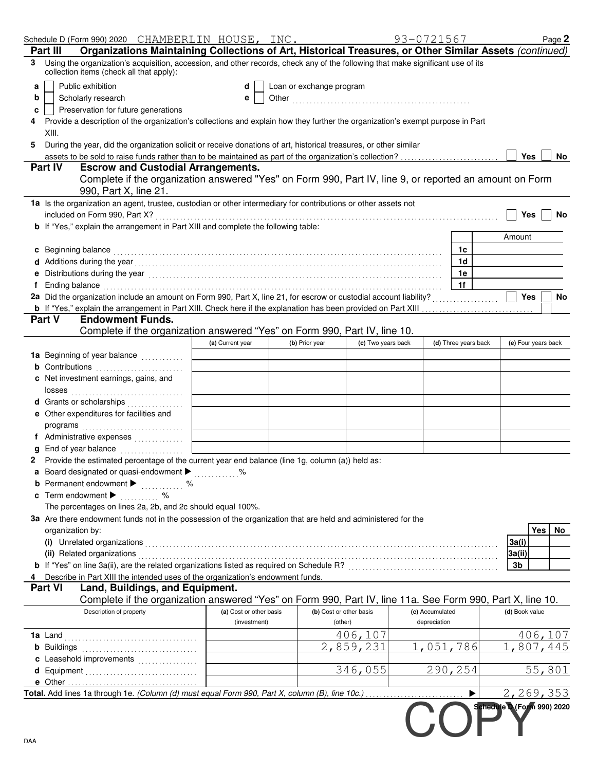|    |                                        |                                                    | Schedule D (Form 990) 2020 CHAMBERLIN HOUSE, INC.                                                                                                                                                                              |                         |                          |                         | 93-0721567      |                      |                            |            | Page 2  |
|----|----------------------------------------|----------------------------------------------------|--------------------------------------------------------------------------------------------------------------------------------------------------------------------------------------------------------------------------------|-------------------------|--------------------------|-------------------------|-----------------|----------------------|----------------------------|------------|---------|
|    | <b>Part III</b>                        |                                                    | Organizations Maintaining Collections of Art, Historical Treasures, or Other Similar Assets (continued)                                                                                                                        |                         |                          |                         |                 |                      |                            |            |         |
| 3. |                                        | collection items (check all that apply):           | Using the organization's acquisition, accession, and other records, check any of the following that make significant use of its                                                                                                |                         |                          |                         |                 |                      |                            |            |         |
| a  |                                        | Public exhibition                                  |                                                                                                                                                                                                                                | d                       | Loan or exchange program |                         |                 |                      |                            |            |         |
| b  |                                        | Scholarly research                                 |                                                                                                                                                                                                                                | е                       |                          |                         |                 |                      |                            |            |         |
| c  |                                        | Preservation for future generations                |                                                                                                                                                                                                                                |                         |                          |                         |                 |                      |                            |            |         |
|    |                                        |                                                    | Provide a description of the organization's collections and explain how they further the organization's exempt purpose in Part                                                                                                 |                         |                          |                         |                 |                      |                            |            |         |
|    | XIII.                                  |                                                    |                                                                                                                                                                                                                                |                         |                          |                         |                 |                      |                            |            |         |
| 5. |                                        |                                                    | During the year, did the organization solicit or receive donations of art, historical treasures, or other similar                                                                                                              |                         |                          |                         |                 |                      |                            |            |         |
|    | <b>Part IV</b>                         |                                                    | <b>Escrow and Custodial Arrangements.</b>                                                                                                                                                                                      |                         |                          |                         |                 |                      |                            | <b>Yes</b> | No.     |
|    |                                        | 990, Part X, line 21.                              | Complete if the organization answered "Yes" on Form 990, Part IV, line 9, or reported an amount on Form                                                                                                                        |                         |                          |                         |                 |                      |                            |            |         |
|    |                                        |                                                    | 1a Is the organization an agent, trustee, custodian or other intermediary for contributions or other assets not                                                                                                                |                         |                          |                         |                 |                      |                            |            |         |
|    |                                        | included on Form 990, Part X?                      |                                                                                                                                                                                                                                |                         |                          |                         |                 |                      |                            | <b>Yes</b> | No      |
|    |                                        |                                                    | <b>b</b> If "Yes," explain the arrangement in Part XIII and complete the following table:                                                                                                                                      |                         |                          |                         |                 |                      |                            |            |         |
|    |                                        |                                                    |                                                                                                                                                                                                                                |                         |                          |                         |                 |                      | Amount                     |            |         |
|    |                                        |                                                    | c Beginning balance expressions and the set of the set of the set of the set of the set of the set of the set of the set of the set of the set of the set of the set of the set of the set of the set of the set of the set of |                         |                          |                         |                 | 1c                   |                            |            |         |
|    |                                        |                                                    |                                                                                                                                                                                                                                |                         |                          |                         |                 | 1 <sub>d</sub>       |                            |            |         |
|    |                                        |                                                    | e Distributions during the year manufactured contains and the year manufactured with the year manufactured with the set of the set of the set of the set of the set of the set of the set of the set of the set of the set of  |                         |                          |                         |                 | 1e                   |                            |            |         |
|    |                                        |                                                    | f Ending balance encourance and contact the contact of the contact of the contact of the contact of the contact of the contact of the contact of the contact of the contact of the contact of the contact of the contact of th |                         |                          |                         |                 | 1f                   |                            |            |         |
|    |                                        |                                                    | 2a Did the organization include an amount on Form 990, Part X, line 21, for escrow or custodial account liability?                                                                                                             |                         |                          |                         |                 |                      |                            | <b>Yes</b> | No      |
|    | <b>Part V</b>                          | <b>Endowment Funds.</b>                            | b If "Yes," explain the arrangement in Part XIII. Check here if the explanation has been provided on Part XIII                                                                                                                 |                         |                          |                         |                 |                      |                            |            |         |
|    |                                        |                                                    | Complete if the organization answered "Yes" on Form 990, Part IV, line 10.                                                                                                                                                     |                         |                          |                         |                 |                      |                            |            |         |
|    |                                        |                                                    |                                                                                                                                                                                                                                | (a) Current year        | (b) Prior year           | (c) Two years back      |                 | (d) Three years back | (e) Four years back        |            |         |
|    |                                        |                                                    | 1a Beginning of year balance [11][11][11]                                                                                                                                                                                      |                         |                          |                         |                 |                      |                            |            |         |
|    |                                        |                                                    |                                                                                                                                                                                                                                |                         |                          |                         |                 |                      |                            |            |         |
|    |                                        | c Net investment earnings, gains, and              |                                                                                                                                                                                                                                |                         |                          |                         |                 |                      |                            |            |         |
|    |                                        |                                                    |                                                                                                                                                                                                                                |                         |                          |                         |                 |                      |                            |            |         |
|    |                                        |                                                    | d Grants or scholarships                                                                                                                                                                                                       |                         |                          |                         |                 |                      |                            |            |         |
|    |                                        | e Other expenditures for facilities and            |                                                                                                                                                                                                                                |                         |                          |                         |                 |                      |                            |            |         |
|    |                                        |                                                    |                                                                                                                                                                                                                                |                         |                          |                         |                 |                      |                            |            |         |
|    |                                        |                                                    |                                                                                                                                                                                                                                |                         |                          |                         |                 |                      |                            |            |         |
|    |                                        |                                                    | End of year balance                                                                                                                                                                                                            |                         |                          |                         |                 |                      |                            |            |         |
|    |                                        |                                                    | 2 Provide the estimated percentage of the current year end balance (line 1g, column (a)) held as:                                                                                                                              |                         |                          |                         |                 |                      |                            |            |         |
|    |                                        |                                                    | a Board designated or quasi-endowment >                                                                                                                                                                                        |                         |                          |                         |                 |                      |                            |            |         |
|    |                                        | <b>b</b> Permanent endowment $\blacktriangleright$ | . %                                                                                                                                                                                                                            |                         |                          |                         |                 |                      |                            |            |         |
|    | c Term endowment $\blacktriangleright$ |                                                    | . %                                                                                                                                                                                                                            |                         |                          |                         |                 |                      |                            |            |         |
|    |                                        |                                                    | The percentages on lines 2a, 2b, and 2c should equal 100%.                                                                                                                                                                     |                         |                          |                         |                 |                      |                            |            |         |
|    |                                        |                                                    | 3a Are there endowment funds not in the possession of the organization that are held and administered for the                                                                                                                  |                         |                          |                         |                 |                      |                            |            |         |
|    | organization by:                       |                                                    |                                                                                                                                                                                                                                |                         |                          |                         |                 |                      |                            | Yes        | No      |
|    |                                        |                                                    |                                                                                                                                                                                                                                |                         |                          |                         |                 |                      | 3a(i)                      |            |         |
|    |                                        |                                                    | (ii) Related organizations [11] Related organizations [11] Related organizations [11] Related organizations [11] Related organizations [11] Related organizations [11] Related organizations [11] Related organizations [11] R |                         |                          |                         |                 |                      | 3a(ii)                     |            |         |
|    |                                        |                                                    |                                                                                                                                                                                                                                |                         |                          |                         |                 |                      | 3b                         |            |         |
|    |                                        |                                                    | 4 Describe in Part XIII the intended uses of the organization's endowment funds.                                                                                                                                               |                         |                          |                         |                 |                      |                            |            |         |
|    | <b>Part VI</b>                         |                                                    | Land, Buildings, and Equipment.                                                                                                                                                                                                |                         |                          |                         |                 |                      |                            |            |         |
|    |                                        |                                                    | Complete if the organization answered "Yes" on Form 990, Part IV, line 11a. See Form 990, Part X, line 10.                                                                                                                     |                         |                          |                         |                 |                      |                            |            |         |
|    |                                        | Description of property                            |                                                                                                                                                                                                                                | (a) Cost or other basis |                          | (b) Cost or other basis | (c) Accumulated |                      | (d) Book value             |            |         |
|    |                                        |                                                    |                                                                                                                                                                                                                                | (investment)            |                          | (other)                 | depreciation    |                      |                            |            |         |
|    |                                        |                                                    |                                                                                                                                                                                                                                |                         |                          | 406,107                 |                 |                      |                            |            | 406,107 |
|    |                                        |                                                    |                                                                                                                                                                                                                                |                         |                          | 2,859,231               |                 | 1,051,786            | 1,807,445                  |            |         |
|    |                                        |                                                    | c Leasehold improvements                                                                                                                                                                                                       |                         |                          |                         |                 |                      |                            |            |         |
|    |                                        |                                                    | d Equipment                                                                                                                                                                                                                    |                         |                          | 346,055                 |                 | 290,254              |                            |            | 55,801  |
|    |                                        |                                                    |                                                                                                                                                                                                                                |                         |                          |                         |                 |                      |                            |            |         |
|    |                                        |                                                    | Total. Add lines 1a through 1e. (Column (d) must equal Form 990, Part X, column (B), line 10c.)                                                                                                                                |                         |                          |                         |                 |                      | 2,269,353                  |            |         |
|    |                                        |                                                    |                                                                                                                                                                                                                                |                         |                          |                         |                 |                      | Schedule D (Form 990) 2020 |            |         |
|    |                                        |                                                    |                                                                                                                                                                                                                                |                         |                          |                         |                 |                      |                            |            |         |
|    |                                        |                                                    |                                                                                                                                                                                                                                |                         |                          |                         |                 |                      |                            |            |         |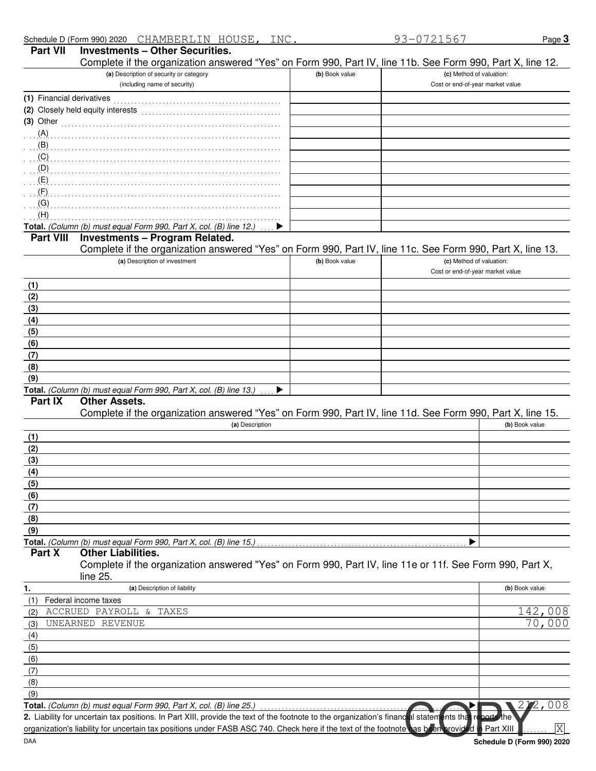| Complete if the organization answered "Yes" on Form 990, Part IV, line 11b. See Form 990, Part X, line 12.                                           |                |                                  |                            |
|------------------------------------------------------------------------------------------------------------------------------------------------------|----------------|----------------------------------|----------------------------|
| (a) Description of security or category                                                                                                              | (b) Book value | (c) Method of valuation:         |                            |
| (including name of security)                                                                                                                         |                | Cost or end-of-year market value |                            |
|                                                                                                                                                      |                |                                  |                            |
| (2) Closely held equity interests                                                                                                                    |                |                                  |                            |
| (3) Other $\ldots$ $\ldots$ $\ldots$ $\ldots$ $\ldots$ $\ldots$ $\ldots$ $\ldots$ $\ldots$                                                           |                |                                  |                            |
| (A)                                                                                                                                                  |                |                                  |                            |
| $\overline{A}$ (B)                                                                                                                                   |                |                                  |                            |
| (C)                                                                                                                                                  |                |                                  |                            |
| (D)                                                                                                                                                  |                |                                  |                            |
| (E)                                                                                                                                                  |                |                                  |                            |
| (F)                                                                                                                                                  |                |                                  |                            |
| (G)                                                                                                                                                  |                |                                  |                            |
| (H)                                                                                                                                                  |                |                                  |                            |
| Total. (Column (b) must equal Form 990, Part X, col. (B) line 12.)<br>▶                                                                              |                |                                  |                            |
| <b>Investments - Program Related.</b><br><b>Part VIII</b>                                                                                            |                |                                  |                            |
| Complete if the organization answered "Yes" on Form 990, Part IV, line 11c. See Form 990, Part X, line 13.                                           |                |                                  |                            |
| (a) Description of investment                                                                                                                        | (b) Book value | (c) Method of valuation:         |                            |
|                                                                                                                                                      |                | Cost or end-of-year market value |                            |
| (1)                                                                                                                                                  |                |                                  |                            |
| (2)                                                                                                                                                  |                |                                  |                            |
| (3)                                                                                                                                                  |                |                                  |                            |
| (4)                                                                                                                                                  |                |                                  |                            |
| (5)                                                                                                                                                  |                |                                  |                            |
| (6)                                                                                                                                                  |                |                                  |                            |
| (7)                                                                                                                                                  |                |                                  |                            |
| (8)                                                                                                                                                  |                |                                  |                            |
| (9)                                                                                                                                                  |                |                                  |                            |
| Total. (Column (b) must equal Form 990, Part X, col. (B) line 13.)<br>▶                                                                              |                |                                  |                            |
| <b>Other Assets.</b><br>Part IX                                                                                                                      |                |                                  |                            |
| Complete if the organization answered "Yes" on Form 990, Part IV, line 11d. See Form 990, Part X, line 15.                                           |                |                                  |                            |
| (a) Description                                                                                                                                      |                |                                  | (b) Book value             |
| (1)                                                                                                                                                  |                |                                  |                            |
| (2)                                                                                                                                                  |                |                                  |                            |
| (3)                                                                                                                                                  |                |                                  |                            |
| (4)                                                                                                                                                  |                |                                  |                            |
| (5)                                                                                                                                                  |                |                                  |                            |
| <u>(6)</u>                                                                                                                                           |                |                                  |                            |
| (7)                                                                                                                                                  |                |                                  |                            |
| (8)                                                                                                                                                  |                |                                  |                            |
| (9)                                                                                                                                                  |                |                                  |                            |
| Total. (Column (b) must equal Form 990, Part X, col. (B) line 15.)                                                                                   |                |                                  |                            |
| Part X<br><b>Other Liabilities.</b>                                                                                                                  |                |                                  |                            |
| Complete if the organization answered "Yes" on Form 990, Part IV, line 11e or 11f. See Form 990, Part X,                                             |                |                                  |                            |
| line 25.                                                                                                                                             |                |                                  |                            |
| (a) Description of liability<br>1.                                                                                                                   |                |                                  | (b) Book value             |
| Federal income taxes<br>(1)                                                                                                                          |                |                                  |                            |
| ACCRUED PAYROLL &<br><b>TAXES</b><br>(2)                                                                                                             |                |                                  | 142,008                    |
| UNEARNED REVENUE<br>(3)                                                                                                                              |                |                                  | 70,000                     |
| (4)                                                                                                                                                  |                |                                  |                            |
| (5)                                                                                                                                                  |                |                                  |                            |
| (6)                                                                                                                                                  |                |                                  |                            |
| (7)                                                                                                                                                  |                |                                  |                            |
|                                                                                                                                                      |                |                                  |                            |
| (8)<br>(9)                                                                                                                                           |                |                                  |                            |
| Total. (Column (b) must equal Form 990, Part X, col. (B) line 25.)                                                                                   |                |                                  | 2,008                      |
| 2. Liability for uncertain tax positions. In Part XIII, provide the text of the footnote to the organization's financial statements that reports the |                |                                  |                            |
| organization's liability for uncertain tax positions under FASB ASC 740. Check here if the text of the footnote has been provided in Part XIII       |                |                                  | X                          |
| DAA                                                                                                                                                  |                |                                  |                            |
|                                                                                                                                                      |                |                                  | Schedule D (Form 990) 2020 |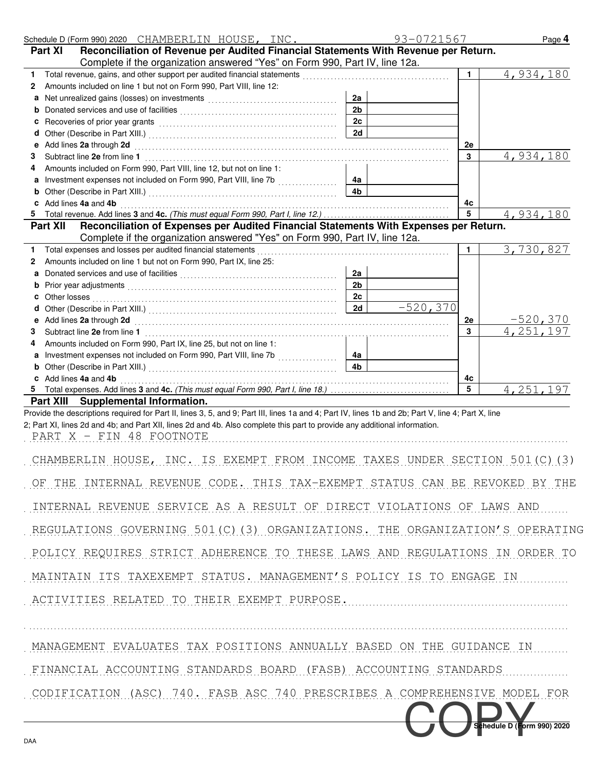| Schedule D (Form 990) 2020 CHAMBERLIN HOUSE, INC.                                                                                                                                                                                        |                | 93-0721567   | Page 4                       |
|------------------------------------------------------------------------------------------------------------------------------------------------------------------------------------------------------------------------------------------|----------------|--------------|------------------------------|
| Reconciliation of Revenue per Audited Financial Statements With Revenue per Return.<br><b>Part XI</b>                                                                                                                                    |                |              |                              |
| Complete if the organization answered "Yes" on Form 990, Part IV, line 12a.<br>Total revenue, gains, and other support per audited financial statements<br>1.                                                                            |                | $\mathbf{1}$ | 4,934,180                    |
| Amounts included on line 1 but not on Form 990, Part VIII, line 12:<br>2                                                                                                                                                                 |                |              |                              |
| а                                                                                                                                                                                                                                        | 2a             |              |                              |
|                                                                                                                                                                                                                                          | 2 <sub>b</sub> |              |                              |
| Recoveries of prior year grants [100] Martin March 1999 (100] March 1999 (100] March 1999 (100] March 1999 (100<br>c                                                                                                                     | 2c<br>2d       |              |                              |
| d<br>Add lines 2a through 2d [11] March 2014 [12] March 2014 [12] March 2014 [12] March 2014 [12] March 2014 [12] March 2014 [12] March 2014 [12] March 2014 [12] March 2014 [12] March 2014 [12] March 2014 [12] March 2014 [12] M<br>е |                | 2e           |                              |
| З                                                                                                                                                                                                                                        |                | 3            | 4,934,180                    |
| Amounts included on Form 990, Part VIII, line 12, but not on line 1:<br>4                                                                                                                                                                |                |              |                              |
|                                                                                                                                                                                                                                          | 4a             |              |                              |
| b<br>c Add lines 4a and 4b                                                                                                                                                                                                               | 4 <sub>b</sub> | 4c           |                              |
|                                                                                                                                                                                                                                          |                | 5            | 4,934,180                    |
| Reconciliation of Expenses per Audited Financial Statements With Expenses per Return.<br><b>Part XII</b>                                                                                                                                 |                |              |                              |
| Complete if the organization answered "Yes" on Form 990, Part IV, line 12a.                                                                                                                                                              |                |              |                              |
| Total expenses and losses per audited financial statements<br>1.                                                                                                                                                                         |                | 1            | 3,730,827                    |
| Amounts included on line 1 but not on Form 990, Part IX, line 25:<br>2                                                                                                                                                                   | 2a             |              |                              |
|                                                                                                                                                                                                                                          | 2 <sub>b</sub> |              |                              |
|                                                                                                                                                                                                                                          | 2c             |              |                              |
|                                                                                                                                                                                                                                          | 2d             | $-520,370$   |                              |
|                                                                                                                                                                                                                                          |                | 2e<br>3      | <u>-520,370</u><br>4,251,197 |
| З<br>Amounts included on Form 990, Part IX, line 25, but not on line 1:<br>4                                                                                                                                                             |                |              |                              |
| Investment expenses not included on Form 990, Part VIII, line 7b [[[[[[[[[[[[[[[[[[[[[[[[[]]]]]]]]]]                                                                                                                                     | 4a             |              |                              |
| b                                                                                                                                                                                                                                        | 4 <sub>b</sub> |              |                              |
| c Add lines 4a and 4b                                                                                                                                                                                                                    |                | 4c           |                              |
| Part XIII Supplemental Information.                                                                                                                                                                                                      |                | 5            | 4, 251, 197                  |
| Provide the descriptions required for Part II, lines 3, 5, and 9; Part III, lines 1a and 4; Part IV, lines 1b and 2b; Part V, line 4; Part X, line                                                                                       |                |              |                              |
| 2; Part XI, lines 2d and 4b; and Part XII, lines 2d and 4b. Also complete this part to provide any additional information.                                                                                                               |                |              |                              |
| PART X - FIN 48 FOOTNOTE                                                                                                                                                                                                                 |                |              |                              |
| CHAMBERLIN HOUSE, INC. IS EXEMPT FROM INCOME TAXES UNDER SECTION 501(C)(3)                                                                                                                                                               |                |              |                              |
| THE INTERNAL REVENUE CODE. THIS TAX-EXEMPT STATUS CAN BE REVOKED BY THE                                                                                                                                                                  |                |              |                              |
| INTERNAL REVENUE SERVICE AS A RESULT OF DIRECT VIOLATIONS OF LAWS AND                                                                                                                                                                    |                |              |                              |
| REGULATIONS GOVERNING 501(C)(3) ORGANIZATIONS. THE ORGANIZATION'S OPERATING                                                                                                                                                              |                |              |                              |
| POLICY REQUIRES STRICT ADHERENCE TO THESE LAWS AND REGULATIONS IN ORDER TO                                                                                                                                                               |                |              |                              |
| MAINTAIN ITS TAXEXEMPT STATUS. MANAGEMENT'S POLICY IS TO ENGAGE IN                                                                                                                                                                       |                |              |                              |
| ACTIVITIES RELATED TO THEIR EXEMPT PURPOSE.                                                                                                                                                                                              |                |              |                              |
| MANAGEMENT EVALUATES TAX POSITIONS ANNUALLY BASED ON THE GUIDANCE IN                                                                                                                                                                     |                |              |                              |
| FINANCIAL ACCOUNTING STANDARDS BOARD (FASB) ACCOUNTING STANDARDS                                                                                                                                                                         |                |              |                              |
|                                                                                                                                                                                                                                          |                |              |                              |
| CODIFICATION (ASC) 740. FASB ASC 740 PRESCRIBES A COMPREHENSIVE MODEL FOR                                                                                                                                                                |                |              |                              |
|                                                                                                                                                                                                                                          |                |              | Schedule D (Form 990) 2020   |
| DAA                                                                                                                                                                                                                                      |                |              |                              |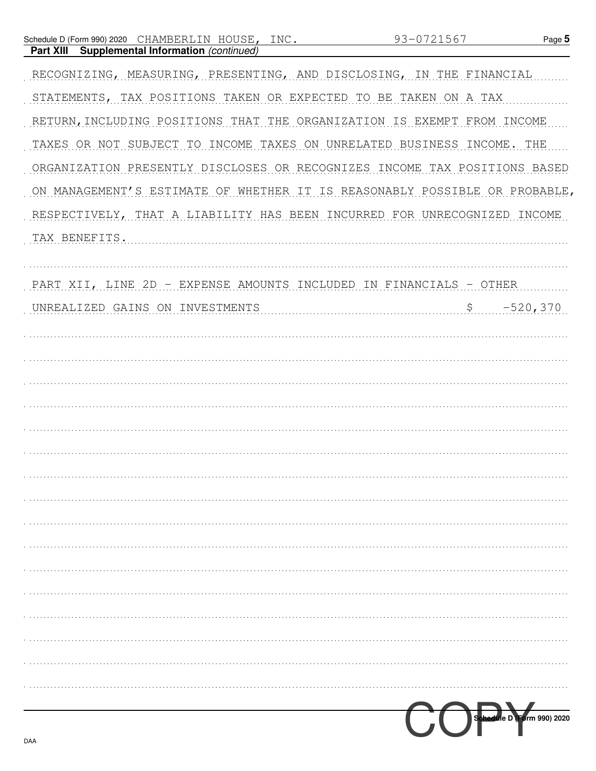| INC.<br>CHAMBERLIN HOUSE,<br>Schedule D (Form 990) 2020                    | 93-0721567                                       | Page 5                     |
|----------------------------------------------------------------------------|--------------------------------------------------|----------------------------|
| Supplemental Information (continued)<br><b>Part XIII</b>                   |                                                  |                            |
| RECOGNIZING, MEASURING, PRESENTING, AND DISCLOSING, IN THE FINANCIAL       |                                                  |                            |
| STATEMENTS, TAX POSITIONS TAKEN OR EXPECTED TO BE TAKEN ON A TAX           |                                                  |                            |
| RETURN, INCLUDING POSITIONS THAT THE ORGANIZATION IS EXEMPT FROM INCOME    |                                                  |                            |
| TAXES OR NOT SUBJECT TO INCOME TAXES ON UNRELATED BUSINESS INCOME.         |                                                  | THE                        |
| ORGANIZATION PRESENTLY DISCLOSES OR RECOGNIZES INCOME TAX POSITIONS BASED  |                                                  |                            |
| ON MANAGEMENT'S ESTIMATE OF WHETHER IT IS REASONABLY POSSIBLE OR PROBABLE, |                                                  |                            |
| RESPECTIVELY, THAT A LIABILITY HAS BEEN INCURRED FOR UNRECOGNIZED          |                                                  | INCOME                     |
| TAX BENEFITS.                                                              |                                                  |                            |
|                                                                            |                                                  |                            |
| PART XII, LINE 2D                                                          | - EXPENSE AMOUNTS INCLUDED IN FINANCIALS - OTHER |                            |
| UNREALIZED GAINS ON INVESTMENTS                                            | $\mathsf{S}$                                     | $-520,370$                 |
|                                                                            |                                                  |                            |
|                                                                            |                                                  |                            |
|                                                                            |                                                  |                            |
|                                                                            |                                                  |                            |
|                                                                            |                                                  |                            |
|                                                                            |                                                  |                            |
|                                                                            |                                                  |                            |
|                                                                            |                                                  |                            |
|                                                                            |                                                  |                            |
|                                                                            |                                                  |                            |
|                                                                            |                                                  |                            |
|                                                                            |                                                  |                            |
|                                                                            |                                                  |                            |
|                                                                            |                                                  |                            |
|                                                                            |                                                  |                            |
|                                                                            |                                                  |                            |
|                                                                            |                                                  | Schedule D (Form 990) 2020 |
|                                                                            |                                                  |                            |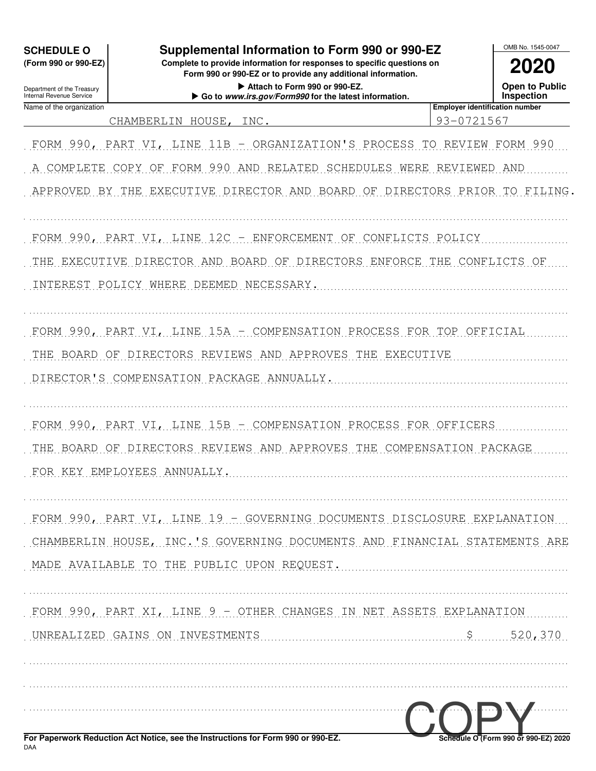| <b>SCHEDULE O</b><br>(Form 990 or 990-EZ)              | Supplemental Information to Form 990 or 990-EZ<br>Complete to provide information for responses to specific questions on | OMB No. 1545-0047                                   |
|--------------------------------------------------------|--------------------------------------------------------------------------------------------------------------------------|-----------------------------------------------------|
|                                                        | Form 990 or 990-EZ or to provide any additional information.                                                             | 2020                                                |
| Department of the Treasury<br>Internal Revenue Service | Attach to Form 990 or 990-EZ.<br>Go to www.irs.gov/Form990 for the latest information.                                   | <b>Open to Public</b><br>Inspection                 |
| Name of the organization                               | CHAMBERLIN HOUSE, INC.                                                                                                   | <b>Employer identification number</b><br>93-0721567 |
|                                                        |                                                                                                                          |                                                     |
|                                                        | FORM 990, PART VI, LINE 11B - ORGANIZATION'S PROCESS TO REVIEW FORM 990                                                  |                                                     |
| A COMPLETE COPY OF                                     | FORM 990 AND RELATED SCHEDULES WERE REVIEWED AND                                                                         |                                                     |
|                                                        | APPROVED BY THE EXECUTIVE DIRECTOR AND BOARD OF DIRECTORS PRIOR TO FILING                                                |                                                     |
|                                                        | FORM 990, PART VI, LINE 12C - ENFORCEMENT OF CONFLICTS POLICY                                                            |                                                     |
|                                                        | THE EXECUTIVE DIRECTOR AND BOARD OF DIRECTORS ENFORCE THE CONFLICTS OF                                                   |                                                     |
|                                                        | INTEREST POLICY WHERE DEEMED NECESSARY.                                                                                  |                                                     |
|                                                        | FORM 990, PART VI, LINE 15A - COMPENSATION PROCESS FOR TOP OFFICIAL                                                      |                                                     |
|                                                        | THE BOARD OF DIRECTORS REVIEWS AND APPROVES THE EXECUTIVE                                                                |                                                     |
|                                                        | DIRECTOR'S COMPENSATION PACKAGE ANNUALLY.                                                                                |                                                     |
|                                                        | FORM 990, PART VI, LINE 15B - COMPENSATION PROCESS FOR OFFICERS                                                          |                                                     |
| THE BOARD OF                                           | DIRECTORS REVIEWS AND APPROVES THE COMPENSATION PACKAGE                                                                  |                                                     |
|                                                        | FOR KEY EMPLOYEES ANNUALLY.                                                                                              |                                                     |
|                                                        | FORM 990, PART VI, LINE 19 - GOVERNING DOCUMENTS DISCLOSURE EXPLANATION                                                  |                                                     |
|                                                        | CHAMBERLIN HOUSE, INC. S GOVERNING DOCUMENTS AND FINANCIAL STATEMENTS ARE                                                |                                                     |
|                                                        | MADE AVAILABLE TO THE PUBLIC UPON REQUEST.                                                                               |                                                     |
|                                                        | FORM 990, PART XI, LINE 9 - OTHER CHANGES IN NET ASSETS EXPLANATION                                                      |                                                     |
|                                                        | UNREALIZED GAINS ON INVESTMENTS                                                                                          | \$ 520, 370                                         |
|                                                        |                                                                                                                          |                                                     |
|                                                        |                                                                                                                          |                                                     |
| <b>DAA</b>                                             | For Paperwork Reduction Act Notice, see the Instructions for Form 990 or 990-EZ.                                         | Schedule O7Form 990 or 990-EZ) 2020                 |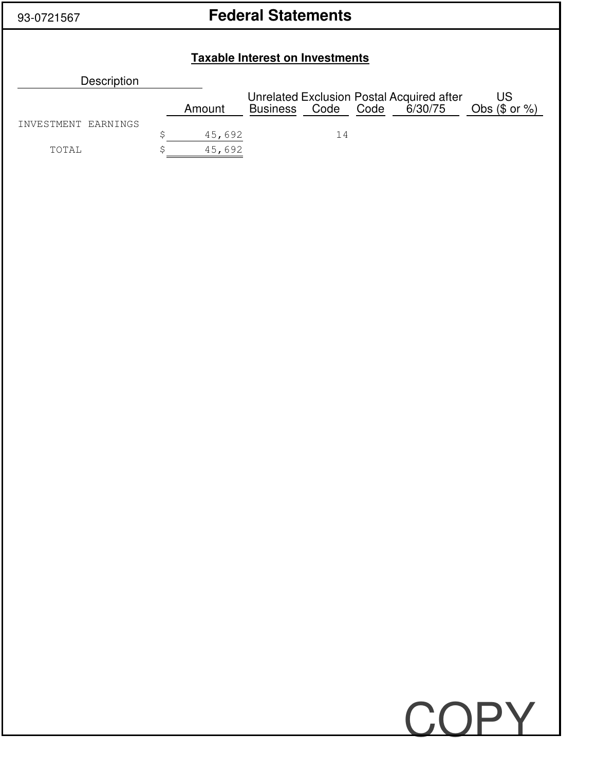# 93-0721567 **Federal Statements**

## **Taxable Interest on Investments**

| Description         |        |                    |    |                                                      |                     |
|---------------------|--------|--------------------|----|------------------------------------------------------|---------------------|
|                     | Amount | Business Code Code |    | Unrelated Exclusion Postal Acquired after<br>6/30/75 | US<br>Obs $($or %)$ |
| INVESTMENT EARNINGS | 45,692 |                    | 14 |                                                      |                     |
| TOTAL               | 45,692 |                    |    |                                                      |                     |